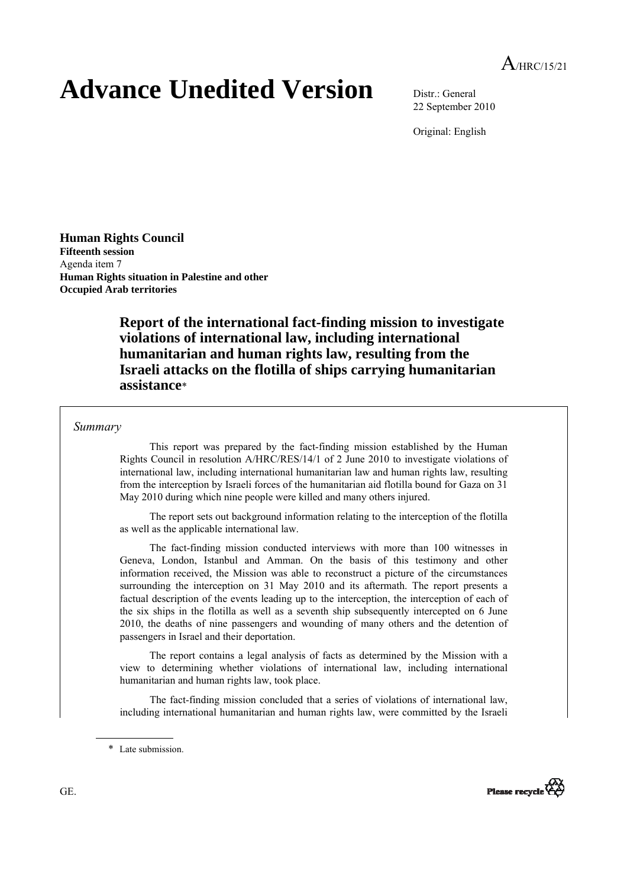$A$ /HRC/15/21

# **Advance Unedited Version** Distr.: General

22 September 2010

Original: English

**Human Rights Council Fifteenth session**  Agenda item 7 **Human Rights situation in Palestine and other Occupied Arab territories** 

> **Report of the international fact-finding mission to investigate violations of international law, including international humanitarian and human rights law, resulting from the Israeli attacks on the flotilla of ships carrying humanitarian assistance**\*

# *Summary*

This report was prepared by the fact-finding mission established by the Human Rights Council in resolution A/HRC/RES/14/1 of 2 June 2010 to investigate violations of international law, including international humanitarian law and human rights law, resulting from the interception by Israeli forces of the humanitarian aid flotilla bound for Gaza on 31 May 2010 during which nine people were killed and many others injured.

The report sets out background information relating to the interception of the flotilla as well as the applicable international law.

The fact-finding mission conducted interviews with more than 100 witnesses in Geneva, London, Istanbul and Amman. On the basis of this testimony and other information received, the Mission was able to reconstruct a picture of the circumstances surrounding the interception on 31 May 2010 and its aftermath. The report presents a factual description of the events leading up to the interception, the interception of each of the six ships in the flotilla as well as a seventh ship subsequently intercepted on 6 June 2010, the deaths of nine passengers and wounding of many others and the detention of passengers in Israel and their deportation.

The report contains a legal analysis of facts as determined by the Mission with a view to determining whether violations of international law, including international humanitarian and human rights law, took place.

 The fact-finding mission concluded that a series of violations of international law, including international humanitarian and human rights law, were committed by the Israeli



<sup>\*</sup> Late submission.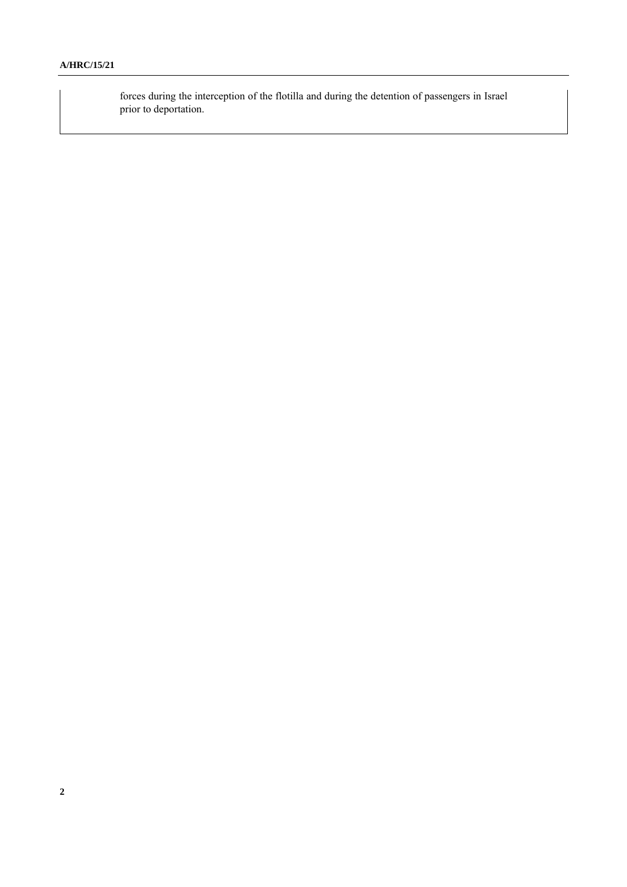forces during the interception of the flotilla and during the detention of passengers in Israel prior to deportation.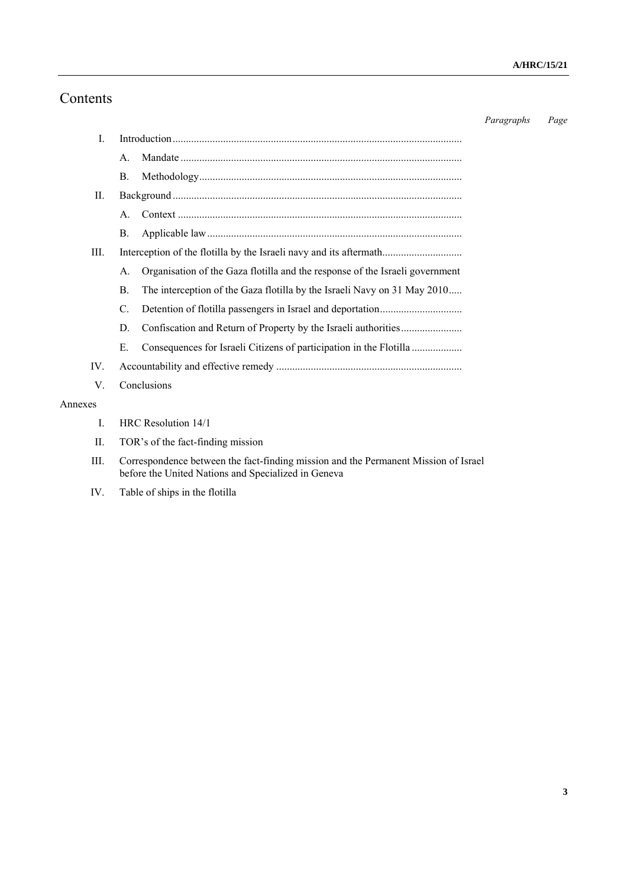# Contents

|         |             |                                                                                                                                     | Paragraphs | Page |
|---------|-------------|-------------------------------------------------------------------------------------------------------------------------------------|------------|------|
| I.      |             |                                                                                                                                     |            |      |
|         | $A_{\cdot}$ |                                                                                                                                     |            |      |
|         | <b>B.</b>   |                                                                                                                                     |            |      |
| П.      |             |                                                                                                                                     |            |      |
|         | А.          |                                                                                                                                     |            |      |
|         | <b>B.</b>   |                                                                                                                                     |            |      |
| Ш.      |             |                                                                                                                                     |            |      |
|         | А.          | Organisation of the Gaza flotilla and the response of the Israeli government                                                        |            |      |
|         | <b>B.</b>   | The interception of the Gaza flotilla by the Israeli Navy on 31 May 2010                                                            |            |      |
|         | C.          |                                                                                                                                     |            |      |
|         | D.          |                                                                                                                                     |            |      |
|         | Е.          | Consequences for Israeli Citizens of participation in the Flotilla                                                                  |            |      |
| IV.     |             |                                                                                                                                     |            |      |
| V.      | Conclusions |                                                                                                                                     |            |      |
| Annexes |             |                                                                                                                                     |            |      |
| I.      |             | HRC Resolution 14/1                                                                                                                 |            |      |
| П.      |             | TOR's of the fact-finding mission                                                                                                   |            |      |
|         |             | $\mathbf{a}$ and $\mathbf{a}$ and $\mathbf{a}$ and $\mathbf{a}$ and $\mathbf{a}$ and $\mathbf{a}$ and $\mathbf{a}$ and $\mathbf{a}$ |            |      |

- III. Correspondence between the fact-finding mission and the Permanent Mission of Israel before the United Nations and Specialized in Geneva
- IV. Table of ships in the flotilla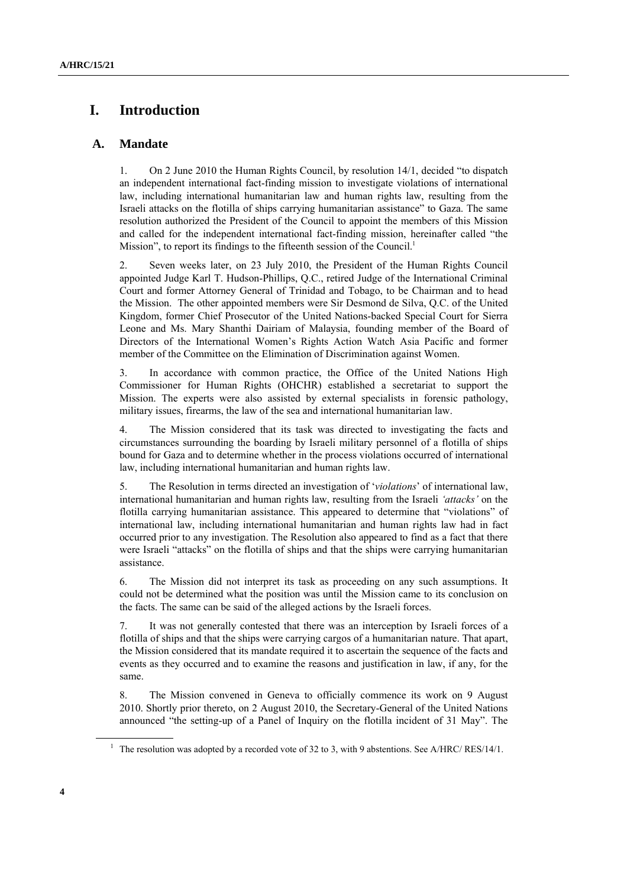# **I. Introduction**

# **A. Mandate**

1. On 2 June 2010 the Human Rights Council, by resolution 14/1, decided "to dispatch an independent international fact-finding mission to investigate violations of international law, including international humanitarian law and human rights law, resulting from the Israeli attacks on the flotilla of ships carrying humanitarian assistance" to Gaza. The same resolution authorized the President of the Council to appoint the members of this Mission and called for the independent international fact-finding mission, hereinafter called "the Mission", to report its findings to the fifteenth session of the Council.<sup>1</sup>

2. Seven weeks later, on 23 July 2010, the President of the Human Rights Council appointed Judge Karl T. Hudson-Phillips, Q.C., retired Judge of the International Criminal Court and former Attorney General of Trinidad and Tobago, to be Chairman and to head the Mission. The other appointed members were Sir Desmond de Silva, Q.C. of the United Kingdom, former Chief Prosecutor of the United Nations-backed Special Court for Sierra Leone and Ms. Mary Shanthi Dairiam of Malaysia, founding member of the Board of Directors of the International Women's Rights Action Watch Asia Pacific and former member of the Committee on the Elimination of Discrimination against Women.

3. In accordance with common practice, the Office of the United Nations High Commissioner for Human Rights (OHCHR) established a secretariat to support the Mission. The experts were also assisted by external specialists in forensic pathology, military issues, firearms, the law of the sea and international humanitarian law.

4. The Mission considered that its task was directed to investigating the facts and circumstances surrounding the boarding by Israeli military personnel of a flotilla of ships bound for Gaza and to determine whether in the process violations occurred of international law, including international humanitarian and human rights law.

5. The Resolution in terms directed an investigation of '*violations*' of international law, international humanitarian and human rights law, resulting from the Israeli *'attacks'* on the flotilla carrying humanitarian assistance. This appeared to determine that "violations" of international law, including international humanitarian and human rights law had in fact occurred prior to any investigation. The Resolution also appeared to find as a fact that there were Israeli "attacks" on the flotilla of ships and that the ships were carrying humanitarian assistance.

6. The Mission did not interpret its task as proceeding on any such assumptions. It could not be determined what the position was until the Mission came to its conclusion on the facts. The same can be said of the alleged actions by the Israeli forces.

7. It was not generally contested that there was an interception by Israeli forces of a flotilla of ships and that the ships were carrying cargos of a humanitarian nature. That apart, the Mission considered that its mandate required it to ascertain the sequence of the facts and events as they occurred and to examine the reasons and justification in law, if any, for the same.

8. The Mission convened in Geneva to officially commence its work on 9 August 2010. Shortly prior thereto, on 2 August 2010, the Secretary-General of the United Nations announced "the setting-up of a Panel of Inquiry on the flotilla incident of 31 May". The

<sup>&</sup>lt;sup>1</sup> The resolution was adopted by a recorded vote of 32 to 3, with 9 abstentions. See A/HRC/ RES/14/1.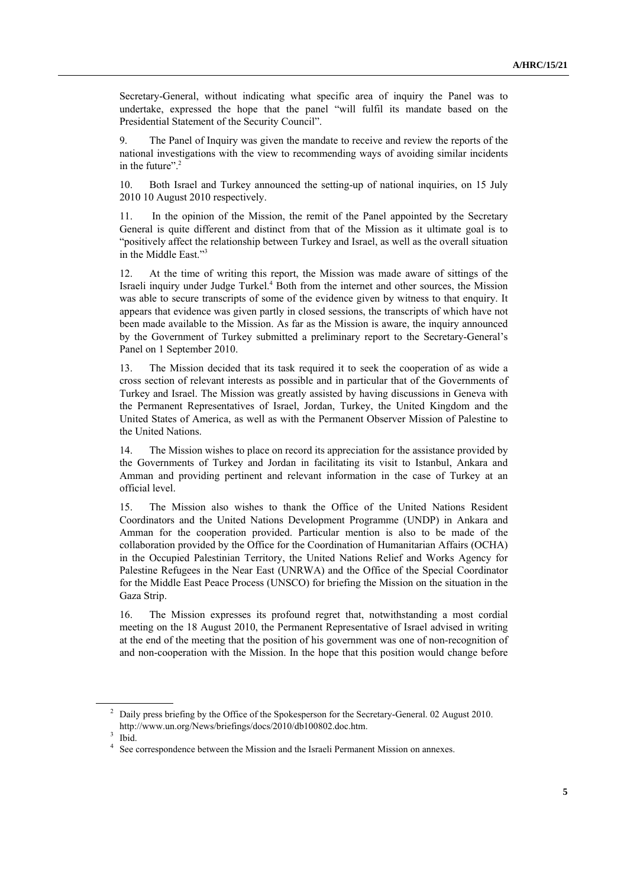Secretary-General, without indicating what specific area of inquiry the Panel was to undertake, expressed the hope that the panel "will fulfil its mandate based on the Presidential Statement of the Security Council".

9. The Panel of Inquiry was given the mandate to receive and review the reports of the national investigations with the view to recommending ways of avoiding similar incidents in the future".<sup>2</sup>

10. Both Israel and Turkey announced the setting-up of national inquiries, on 15 July 2010 10 August 2010 respectively.

11. In the opinion of the Mission, the remit of the Panel appointed by the Secretary General is quite different and distinct from that of the Mission as it ultimate goal is to "positively affect the relationship between Turkey and Israel, as well as the overall situation in the Middle East."3

12. At the time of writing this report, the Mission was made aware of sittings of the Israeli inquiry under Judge Turkel.<sup>4</sup> Both from the internet and other sources, the Mission was able to secure transcripts of some of the evidence given by witness to that enquiry. It appears that evidence was given partly in closed sessions, the transcripts of which have not been made available to the Mission. As far as the Mission is aware, the inquiry announced by the Government of Turkey submitted a preliminary report to the Secretary-General's Panel on 1 September 2010.

13. The Mission decided that its task required it to seek the cooperation of as wide a cross section of relevant interests as possible and in particular that of the Governments of Turkey and Israel. The Mission was greatly assisted by having discussions in Geneva with the Permanent Representatives of Israel, Jordan, Turkey, the United Kingdom and the United States of America, as well as with the Permanent Observer Mission of Palestine to the United Nations.

14. The Mission wishes to place on record its appreciation for the assistance provided by the Governments of Turkey and Jordan in facilitating its visit to Istanbul, Ankara and Amman and providing pertinent and relevant information in the case of Turkey at an official level.

15. The Mission also wishes to thank the Office of the United Nations Resident Coordinators and the United Nations Development Programme (UNDP) in Ankara and Amman for the cooperation provided. Particular mention is also to be made of the collaboration provided by the Office for the Coordination of Humanitarian Affairs (OCHA) in the Occupied Palestinian Territory, the United Nations Relief and Works Agency for Palestine Refugees in the Near East (UNRWA) and the Office of the Special Coordinator for the Middle East Peace Process (UNSCO) for briefing the Mission on the situation in the Gaza Strip.

16. The Mission expresses its profound regret that, notwithstanding a most cordial meeting on the 18 August 2010, the Permanent Representative of Israel advised in writing at the end of the meeting that the position of his government was one of non-recognition of and non-cooperation with the Mission. In the hope that this position would change before

 $2$  Daily press briefing by the Office of the Spokesperson for the Secretary-General. 02 August 2010. http://www.un.org/News/briefings/docs/2010/db100802.doc.htm. 3

 $3$  Ibid.

<sup>&</sup>lt;sup>4</sup> See correspondence between the Mission and the Israeli Permanent Mission on annexes.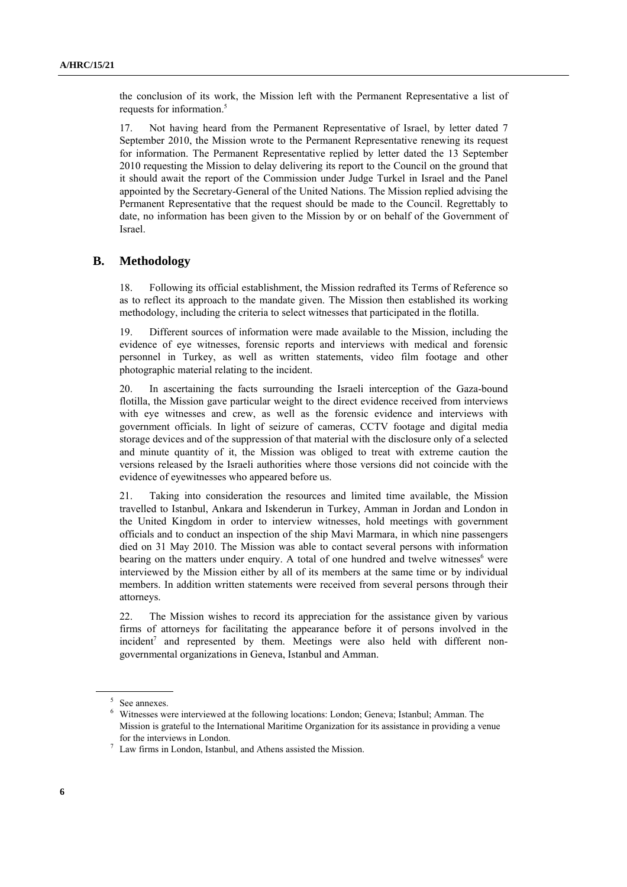the conclusion of its work, the Mission left with the Permanent Representative a list of requests for information.<sup>5</sup>

17. Not having heard from the Permanent Representative of Israel, by letter dated 7 September 2010, the Mission wrote to the Permanent Representative renewing its request for information. The Permanent Representative replied by letter dated the 13 September 2010 requesting the Mission to delay delivering its report to the Council on the ground that it should await the report of the Commission under Judge Turkel in Israel and the Panel appointed by the Secretary-General of the United Nations. The Mission replied advising the Permanent Representative that the request should be made to the Council. Regrettably to date, no information has been given to the Mission by or on behalf of the Government of Israel.

# **B. Methodology**

18. Following its official establishment, the Mission redrafted its Terms of Reference so as to reflect its approach to the mandate given. The Mission then established its working methodology, including the criteria to select witnesses that participated in the flotilla.

19. Different sources of information were made available to the Mission, including the evidence of eye witnesses, forensic reports and interviews with medical and forensic personnel in Turkey, as well as written statements, video film footage and other photographic material relating to the incident.

20. In ascertaining the facts surrounding the Israeli interception of the Gaza-bound flotilla, the Mission gave particular weight to the direct evidence received from interviews with eye witnesses and crew, as well as the forensic evidence and interviews with government officials. In light of seizure of cameras, CCTV footage and digital media storage devices and of the suppression of that material with the disclosure only of a selected and minute quantity of it, the Mission was obliged to treat with extreme caution the versions released by the Israeli authorities where those versions did not coincide with the evidence of eyewitnesses who appeared before us.

21. Taking into consideration the resources and limited time available, the Mission travelled to Istanbul, Ankara and Iskenderun in Turkey, Amman in Jordan and London in the United Kingdom in order to interview witnesses, hold meetings with government officials and to conduct an inspection of the ship Mavi Marmara, in which nine passengers died on 31 May 2010. The Mission was able to contact several persons with information bearing on the matters under enquiry. A total of one hundred and twelve witnesses<sup>6</sup> were interviewed by the Mission either by all of its members at the same time or by individual members. In addition written statements were received from several persons through their attorneys.

22. The Mission wishes to record its appreciation for the assistance given by various firms of attorneys for facilitating the appearance before it of persons involved in the incident<sup>7</sup> and represented by them. Meetings were also held with different nongovernmental organizations in Geneva, Istanbul and Amman.

<sup>5</sup> See annexes.

<sup>&</sup>lt;sup>6</sup> Witnesses were interviewed at the following locations: London; Geneva; Istanbul; Amman. The Mission is grateful to the International Maritime Organization for its assistance in providing a venue

for the interviews in London.<br><sup>7</sup> Law firms in London, Istanbul, and Athens assisted the Mission.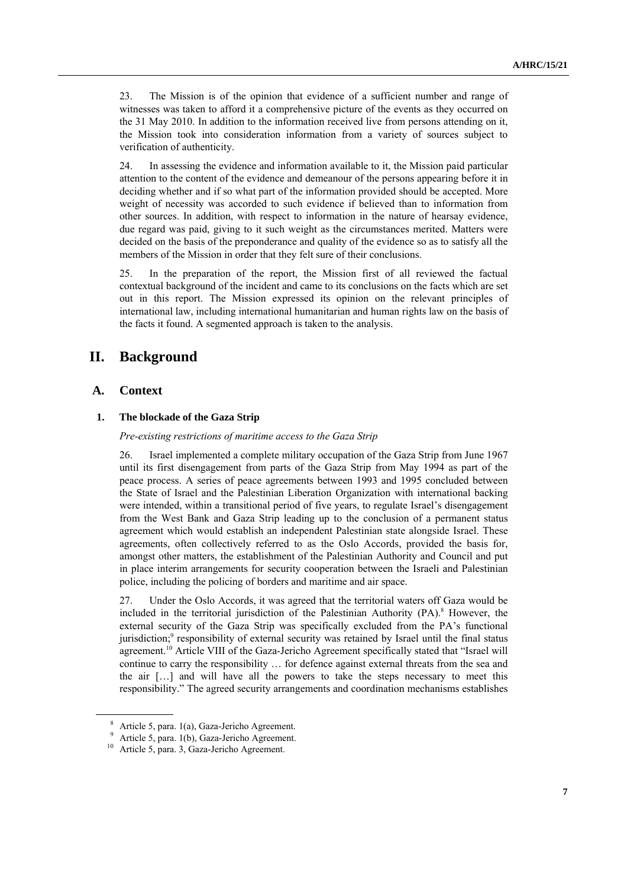23. The Mission is of the opinion that evidence of a sufficient number and range of witnesses was taken to afford it a comprehensive picture of the events as they occurred on the 31 May 2010. In addition to the information received live from persons attending on it, the Mission took into consideration information from a variety of sources subject to verification of authenticity.

24. In assessing the evidence and information available to it, the Mission paid particular attention to the content of the evidence and demeanour of the persons appearing before it in deciding whether and if so what part of the information provided should be accepted. More weight of necessity was accorded to such evidence if believed than to information from other sources. In addition, with respect to information in the nature of hearsay evidence, due regard was paid, giving to it such weight as the circumstances merited. Matters were decided on the basis of the preponderance and quality of the evidence so as to satisfy all the members of the Mission in order that they felt sure of their conclusions.

25. In the preparation of the report, the Mission first of all reviewed the factual contextual background of the incident and came to its conclusions on the facts which are set out in this report. The Mission expressed its opinion on the relevant principles of international law, including international humanitarian and human rights law on the basis of the facts it found. A segmented approach is taken to the analysis.

# **II. Background**

# **A. Context**

## **1. The blockade of the Gaza Strip**

#### *Pre-existing restrictions of maritime access to the Gaza Strip*

26. Israel implemented a complete military occupation of the Gaza Strip from June 1967 until its first disengagement from parts of the Gaza Strip from May 1994 as part of the peace process. A series of peace agreements between 1993 and 1995 concluded between the State of Israel and the Palestinian Liberation Organization with international backing were intended, within a transitional period of five years, to regulate Israel's disengagement from the West Bank and Gaza Strip leading up to the conclusion of a permanent status agreement which would establish an independent Palestinian state alongside Israel. These agreements, often collectively referred to as the Oslo Accords, provided the basis for, amongst other matters, the establishment of the Palestinian Authority and Council and put in place interim arrangements for security cooperation between the Israeli and Palestinian police, including the policing of borders and maritime and air space.

27. Under the Oslo Accords, it was agreed that the territorial waters off Gaza would be included in the territorial jurisdiction of the Palestinian Authority (PA).<sup>8</sup> However, the external security of the Gaza Strip was specifically excluded from the PA's functional jurisdiction;<sup>9</sup> responsibility of external security was retained by Israel until the final status agreement.<sup>10</sup> Article VIII of the Gaza-Jericho Agreement specifically stated that "Israel will continue to carry the responsibility … for defence against external threats from the sea and the air […] and will have all the powers to take the steps necessary to meet this responsibility." The agreed security arrangements and coordination mechanisms establishes

<sup>8</sup> Article 5, para. 1(a), Gaza-Jericho Agreement.

<sup>9</sup> Article 5, para. 1(b), Gaza-Jericho Agreement.

<sup>10</sup> Article 5, para. 3, Gaza-Jericho Agreement.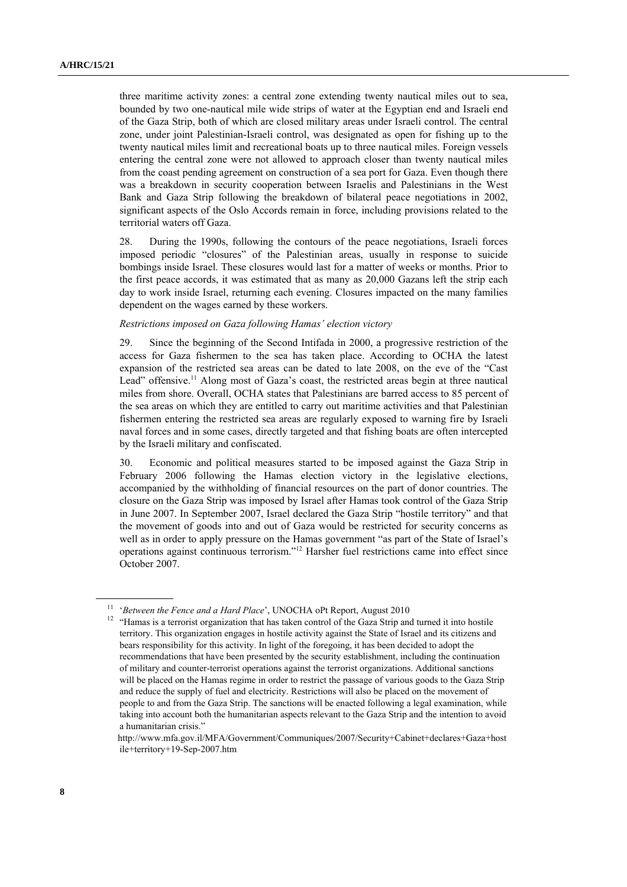three maritime activity zones: a central zone extending twenty nautical miles out to sea, bounded by two one-nautical mile wide strips of water at the Egyptian end and Israeli end of the Gaza Strip, both of which are closed military areas under Israeli control. The central zone, under joint Palestinian-Israeli control, was designated as open for fishing up to the twenty nautical miles limit and recreational boats up to three nautical miles. Foreign vessels entering the central zone were not allowed to approach closer than twenty nautical miles from the coast pending agreement on construction of a sea port for Gaza. Even though there was a breakdown in security cooperation between Israelis and Palestinians in the West Bank and Gaza Strip following the breakdown of bilateral peace negotiations in 2002, significant aspects of the Oslo Accords remain in force, including provisions related to the territorial waters off Gaza.

28. During the 1990s, following the contours of the peace negotiations, Israeli forces imposed periodic "closures" of the Palestinian areas, usually in response to suicide bombings inside Israel. These closures would last for a matter of weeks or months. Prior to the first peace accords, it was estimated that as many as 20,000 Gazans left the strip each day to work inside Israel, returning each evening. Closures impacted on the many families dependent on the wages earned by these workers.

#### *Restrictions imposed on Gaza following Hamas' election victory*

29. Since the beginning of the Second Intifada in 2000, a progressive restriction of the access for Gaza fishermen to the sea has taken place. According to OCHA the latest expansion of the restricted sea areas can be dated to late 2008, on the eve of the "Cast Lead" offensive.<sup>11</sup> Along most of Gaza's coast, the restricted areas begin at three nautical miles from shore. Overall, OCHA states that Palestinians are barred access to 85 percent of the sea areas on which they are entitled to carry out maritime activities and that Palestinian fishermen entering the restricted sea areas are regularly exposed to warning fire by Israeli naval forces and in some cases, directly targeted and that fishing boats are often intercepted by the Israeli military and confiscated.

30. Economic and political measures started to be imposed against the Gaza Strip in February 2006 following the Hamas election victory in the legislative elections, accompanied by the withholding of financial resources on the part of donor countries. The closure on the Gaza Strip was imposed by Israel after Hamas took control of the Gaza Strip in June 2007. In September 2007, Israel declared the Gaza Strip "hostile territory" and that the movement of goods into and out of Gaza would be restricted for security concerns as well as in order to apply pressure on the Hamas government "as part of the State of Israel's operations against continuous terrorism."12 Harsher fuel restrictions came into effect since October 2007.

<sup>&</sup>lt;sup>11</sup> '*Between the Fence and a Hard Place*', UNOCHA oPt Report, August 2010<br><sup>12</sup> "Hamas is a terrorist organization that has taken control of the Gaza Strip and turned it into hostile territory. This organization engages in hostile activity against the State of Israel and its citizens and bears responsibility for this activity. In light of the foregoing, it has been decided to adopt the recommendations that have been presented by the security establishment, including the continuation of military and counter-terrorist operations against the terrorist organizations. Additional sanctions will be placed on the Hamas regime in order to restrict the passage of various goods to the Gaza Strip and reduce the supply of fuel and electricity. Restrictions will also be placed on the movement of people to and from the Gaza Strip. The sanctions will be enacted following a legal examination, while taking into account both the humanitarian aspects relevant to the Gaza Strip and the intention to avoid a humanitarian crisis."

http://www.mfa.gov.il/MFA/Government/Communiques/2007/Security+Cabinet+declares+Gaza+host ile+territory+19-Sep-2007.htm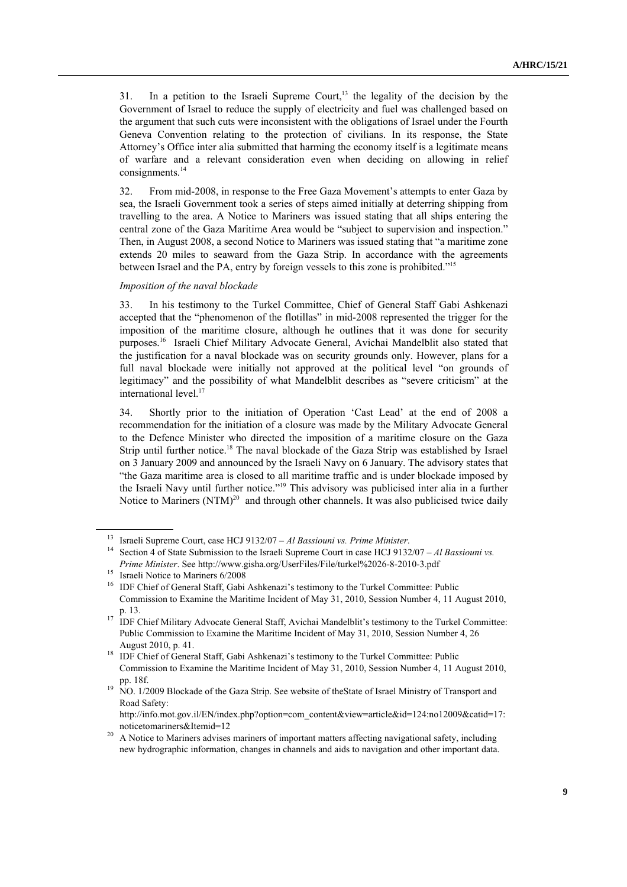31. In a petition to the Israeli Supreme Court,<sup>13</sup> the legality of the decision by the Government of Israel to reduce the supply of electricity and fuel was challenged based on the argument that such cuts were inconsistent with the obligations of Israel under the Fourth Geneva Convention relating to the protection of civilians. In its response, the State Attorney's Office inter alia submitted that harming the economy itself is a legitimate means of warfare and a relevant consideration even when deciding on allowing in relief consignments.<sup>14</sup>

32. From mid-2008, in response to the Free Gaza Movement's attempts to enter Gaza by sea, the Israeli Government took a series of steps aimed initially at deterring shipping from travelling to the area. A Notice to Mariners was issued stating that all ships entering the central zone of the Gaza Maritime Area would be "subject to supervision and inspection." Then, in August 2008, a second Notice to Mariners was issued stating that "a maritime zone extends 20 miles to seaward from the Gaza Strip. In accordance with the agreements between Israel and the PA, entry by foreign vessels to this zone is prohibited."15

#### *Imposition of the naval blockade*

33. In his testimony to the Turkel Committee, Chief of General Staff Gabi Ashkenazi accepted that the "phenomenon of the flotillas" in mid-2008 represented the trigger for the imposition of the maritime closure, although he outlines that it was done for security purposes.16 Israeli Chief Military Advocate General, Avichai Mandelblit also stated that the justification for a naval blockade was on security grounds only. However, plans for a full naval blockade were initially not approved at the political level "on grounds of legitimacy" and the possibility of what Mandelblit describes as "severe criticism" at the international level.<sup>17</sup>

34. Shortly prior to the initiation of Operation 'Cast Lead' at the end of 2008 a recommendation for the initiation of a closure was made by the Military Advocate General to the Defence Minister who directed the imposition of a maritime closure on the Gaza Strip until further notice.<sup>18</sup> The naval blockade of the Gaza Strip was established by Israel on 3 January 2009 and announced by the Israeli Navy on 6 January. The advisory states that "the Gaza maritime area is closed to all maritime traffic and is under blockade imposed by the Israeli Navy until further notice."19 This advisory was publicised inter alia in a further Notice to Mariners  $(NTM)^{20}$  and through other channels. It was also publicised twice daily

<sup>&</sup>lt;sup>13</sup> Israeli Supreme Court, case HCJ 9132/07 – *Al Bassiouni vs. Prime Minister*.<br><sup>14</sup> Section 4 of State Submission to the Israeli Supreme Court in case HCJ 9132/07 – *Al Bassiouni vs. Prime Minister*. See http://www.gisha.org/UserFiles/File/turkel%2026-8-2010-3.pdf 15 Israeli Notice to Mariners 6/2008

<sup>&</sup>lt;sup>16</sup> IDF Chief of General Staff, Gabi Ashkenazi's testimony to the Turkel Committee: Public Commission to Examine the Maritime Incident of May 31, 2010, Session Number 4, 11 August 2010,

p. 13. 17 IDF Chief Military Advocate General Staff, Avichai Mandelblit's testimony to the Turkel Committee: Public Commission to Examine the Maritime Incident of May 31, 2010, Session Number 4, 26

August 2010, p. 41. 18 IDF Chief of General Staff, Gabi Ashkenazi's testimony to the Turkel Committee: Public Commission to Examine the Maritime Incident of May 31, 2010, Session Number 4, 11 August 2010, pp. 18f. 19 NO. 1/2009 Blockade of the Gaza Strip. See website of theState of Israel Ministry of Transport and

Road Safety:

http://info.mot.gov.il/EN/index.php?option=com\_content&view=article&id=124:no12009&catid=17: noticetomariners&Itemid=12<br><sup>20</sup> A Notice to Mariners advises mariners of important matters affecting navigational safety, including

new hydrographic information, changes in channels and aids to navigation and other important data.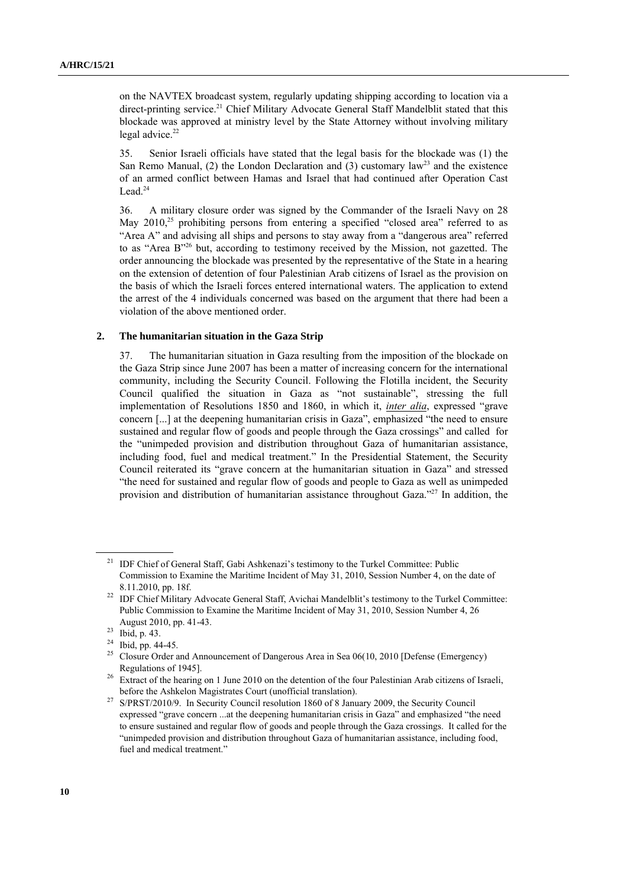on the NAVTEX broadcast system, regularly updating shipping according to location via a direct-printing service.<sup>21</sup> Chief Military Advocate General Staff Mandelblit stated that this blockade was approved at ministry level by the State Attorney without involving military legal advice. $22$ 

35. Senior Israeli officials have stated that the legal basis for the blockade was (1) the San Remo Manual, (2) the London Declaration and (3) customary law<sup>23</sup> and the existence of an armed conflict between Hamas and Israel that had continued after Operation Cast Lead $^{24}$ 

36. A military closure order was signed by the Commander of the Israeli Navy on 28 May  $2010<sup>25</sup>$  prohibiting persons from entering a specified "closed area" referred to as "Area A" and advising all ships and persons to stay away from a "dangerous area" referred to as "Area B"26 but, according to testimony received by the Mission, not gazetted. The order announcing the blockade was presented by the representative of the State in a hearing on the extension of detention of four Palestinian Arab citizens of Israel as the provision on the basis of which the Israeli forces entered international waters. The application to extend the arrest of the 4 individuals concerned was based on the argument that there had been a violation of the above mentioned order.

#### **2. The humanitarian situation in the Gaza Strip**

37. The humanitarian situation in Gaza resulting from the imposition of the blockade on the Gaza Strip since June 2007 has been a matter of increasing concern for the international community, including the Security Council. Following the Flotilla incident, the Security Council qualified the situation in Gaza as "not sustainable", stressing the full implementation of Resolutions 1850 and 1860, in which it, *inter alia*, expressed "grave concern [...] at the deepening humanitarian crisis in Gaza", emphasized "the need to ensure sustained and regular flow of goods and people through the Gaza crossings" and called for the "unimpeded provision and distribution throughout Gaza of humanitarian assistance, including food, fuel and medical treatment." In the Presidential Statement, the Security Council reiterated its "grave concern at the humanitarian situation in Gaza" and stressed "the need for sustained and regular flow of goods and people to Gaza as well as unimpeded provision and distribution of humanitarian assistance throughout Gaza."<sup>27</sup> In addition, the

<sup>&</sup>lt;sup>21</sup> IDF Chief of General Staff, Gabi Ashkenazi's testimony to the Turkel Committee: Public Commission to Examine the Maritime Incident of May 31, 2010, Session Number 4, on the date of

<sup>8.11.2010,</sup> pp. 18f. 22 IDF Chief Military Advocate General Staff, Avichai Mandelblit's testimony to the Turkel Committee: Public Commission to Examine the Maritime Incident of May 31, 2010, Session Number 4, 26 August 2010, pp. 41-43. 23 Ibid, p. 43.

 $24$  Ibid, pp. 44-45.

<sup>&</sup>lt;sup>25</sup> Closure Order and Announcement of Dangerous Area in Sea 06(10, 2010 [Defense (Emergency) Regulations of 1945].<br><sup>26</sup> Extract of the hearing on 1 June 2010 on the detention of the four Palestinian Arab citizens of Israeli,

before the Ashkelon Magistrates Court (unofficial translation).<br><sup>27</sup> S/PRST/2010/9. In Security Council resolution 1860 of 8 January 2009, the Security Council expressed "grave concern ...at the deepening humanitarian crisis in Gaza" and emphasized "the need to ensure sustained and regular flow of goods and people through the Gaza crossings. It called for the "unimpeded provision and distribution throughout Gaza of humanitarian assistance, including food, fuel and medical treatment."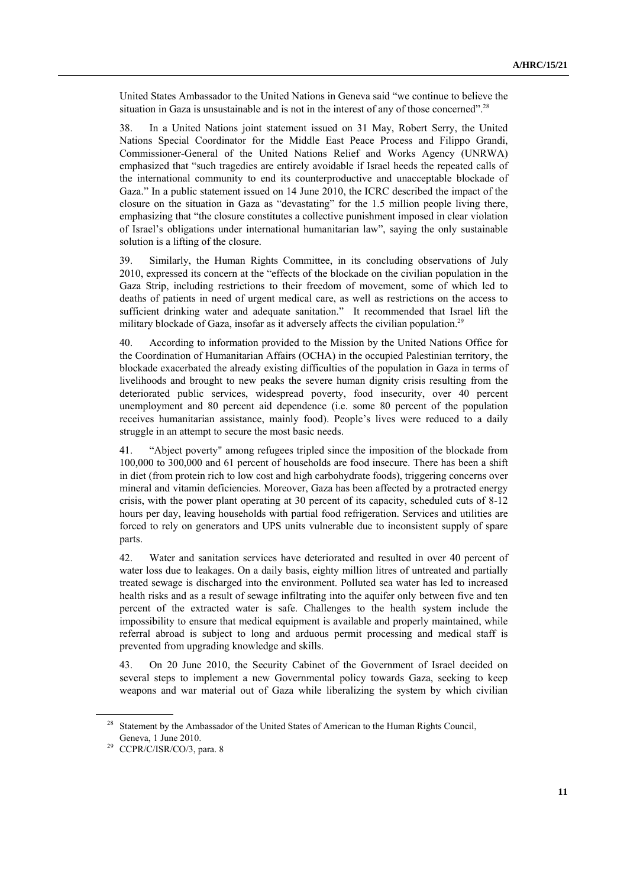United States Ambassador to the United Nations in Geneva said "we continue to believe the situation in Gaza is unsustainable and is not in the interest of any of those concerned".<sup>28</sup>

38. In a United Nations joint statement issued on 31 May, Robert Serry, the United Nations Special Coordinator for the Middle East Peace Process and Filippo Grandi, Commissioner-General of the United Nations Relief and Works Agency (UNRWA) emphasized that "such tragedies are entirely avoidable if Israel heeds the repeated calls of the international community to end its counterproductive and unacceptable blockade of Gaza." In a public statement issued on 14 June 2010, the ICRC described the impact of the closure on the situation in Gaza as "devastating" for the 1.5 million people living there, emphasizing that "the closure constitutes a collective punishment imposed in clear violation of Israel's obligations under international humanitarian law", saying the only sustainable solution is a lifting of the closure.

39. Similarly, the Human Rights Committee, in its concluding observations of July 2010, expressed its concern at the "effects of the blockade on the civilian population in the Gaza Strip, including restrictions to their freedom of movement, some of which led to deaths of patients in need of urgent medical care, as well as restrictions on the access to sufficient drinking water and adequate sanitation." It recommended that Israel lift the military blockade of Gaza, insofar as it adversely affects the civilian population.<sup>29</sup>

40. According to information provided to the Mission by the United Nations Office for the Coordination of Humanitarian Affairs (OCHA) in the occupied Palestinian territory, the blockade exacerbated the already existing difficulties of the population in Gaza in terms of livelihoods and brought to new peaks the severe human dignity crisis resulting from the deteriorated public services, widespread poverty, food insecurity, over 40 percent unemployment and 80 percent aid dependence (i.e. some 80 percent of the population receives humanitarian assistance, mainly food). People's lives were reduced to a daily struggle in an attempt to secure the most basic needs.

41. "Abject poverty" among refugees tripled since the imposition of the blockade from 100,000 to 300,000 and 61 percent of households are food insecure. There has been a shift in diet (from protein rich to low cost and high carbohydrate foods), triggering concerns over mineral and vitamin deficiencies. Moreover, Gaza has been affected by a protracted energy crisis, with the power plant operating at 30 percent of its capacity, scheduled cuts of 8-12 hours per day, leaving households with partial food refrigeration. Services and utilities are forced to rely on generators and UPS units vulnerable due to inconsistent supply of spare parts.

42. Water and sanitation services have deteriorated and resulted in over 40 percent of water loss due to leakages. On a daily basis, eighty million litres of untreated and partially treated sewage is discharged into the environment. Polluted sea water has led to increased health risks and as a result of sewage infiltrating into the aquifer only between five and ten percent of the extracted water is safe. Challenges to the health system include the impossibility to ensure that medical equipment is available and properly maintained, while referral abroad is subject to long and arduous permit processing and medical staff is prevented from upgrading knowledge and skills.

43. On 20 June 2010, the Security Cabinet of the Government of Israel decided on several steps to implement a new Governmental policy towards Gaza, seeking to keep weapons and war material out of Gaza while liberalizing the system by which civilian

<sup>&</sup>lt;sup>28</sup> Statement by the Ambassador of the United States of American to the Human Rights Council, Geneva, 1 June 2010.<br><sup>29</sup> CCPR/C/ISR/CO/3, para. 8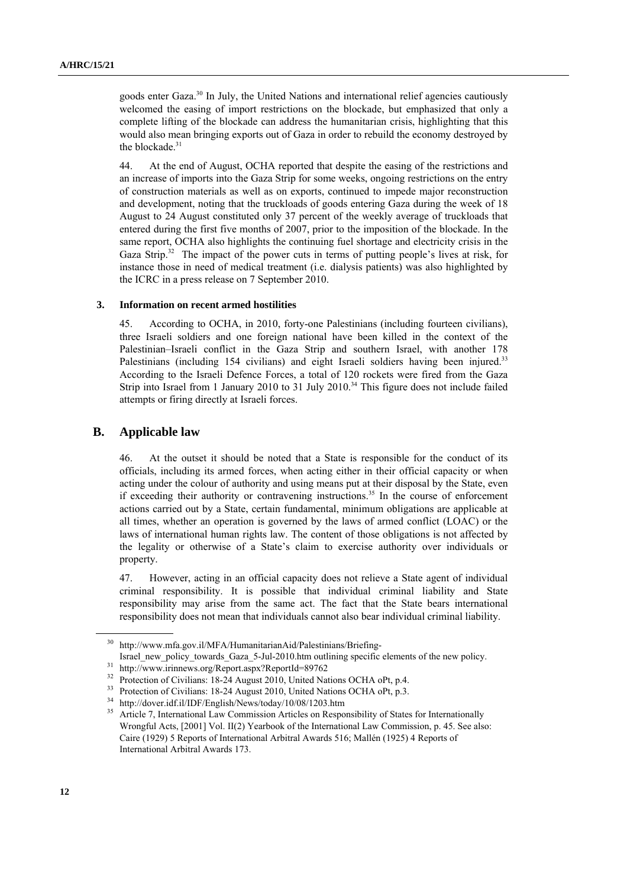goods enter Gaza.<sup>30</sup> In July, the United Nations and international relief agencies cautiously welcomed the easing of import restrictions on the blockade, but emphasized that only a complete lifting of the blockade can address the humanitarian crisis, highlighting that this would also mean bringing exports out of Gaza in order to rebuild the economy destroyed by the blockade $31$ 

44. At the end of August, OCHA reported that despite the easing of the restrictions and an increase of imports into the Gaza Strip for some weeks, ongoing restrictions on the entry of construction materials as well as on exports, continued to impede major reconstruction and development, noting that the truckloads of goods entering Gaza during the week of 18 August to 24 August constituted only 37 percent of the weekly average of truckloads that entered during the first five months of 2007, prior to the imposition of the blockade. In the same report, OCHA also highlights the continuing fuel shortage and electricity crisis in the Gaza Strip.<sup>32</sup> The impact of the power cuts in terms of putting people's lives at risk, for instance those in need of medical treatment (i.e. dialysis patients) was also highlighted by the ICRC in a press release on 7 September 2010.

# **3. Information on recent armed hostilities**

45. According to OCHA, in 2010, forty-one Palestinians (including fourteen civilians), three Israeli soldiers and one foreign national have been killed in the context of the Palestinian–Israeli conflict in the Gaza Strip and southern Israel, with another 178 Palestinians (including 154 civilians) and eight Israeli soldiers having been injured.<sup>33</sup> According to the Israeli Defence Forces, a total of 120 rockets were fired from the Gaza Strip into Israel from 1 January 2010 to 31 July 2010.<sup>34</sup> This figure does not include failed attempts or firing directly at Israeli forces.

# **B. Applicable law**

46. At the outset it should be noted that a State is responsible for the conduct of its officials, including its armed forces, when acting either in their official capacity or when acting under the colour of authority and using means put at their disposal by the State, even if exceeding their authority or contravening instructions.<sup>35</sup> In the course of enforcement actions carried out by a State, certain fundamental, minimum obligations are applicable at all times, whether an operation is governed by the laws of armed conflict (LOAC) or the laws of international human rights law. The content of those obligations is not affected by the legality or otherwise of a State's claim to exercise authority over individuals or property.

47. However, acting in an official capacity does not relieve a State agent of individual criminal responsibility. It is possible that individual criminal liability and State responsibility may arise from the same act. The fact that the State bears international responsibility does not mean that individuals cannot also bear individual criminal liability.

http://www.mfa.gov.il/MFA/HumanitarianAid/Palestinians/Briefing-

Israel\_new\_policy\_towards\_Gaza\_5-Jul-2010.htm outlining specific elements of the new policy. 31 http://www.irinnews.org/Report.aspx?ReportId=89762

<sup>&</sup>lt;sup>32</sup> Protection of Civilians: 18-24 August 2010, United Nations OCHA oPt, p.4.

<sup>&</sup>lt;sup>33</sup> Protection of Civilians: 18-24 August 2010, United Nations OCHA oPt, p.3.<br><sup>34</sup> http://dover.idf.il/IDF/English/News/today/10/08/1203.htm

 $\frac{35}{100}$  Article 7, International Law Commission Articles on Responsibility of States for Internationally Wrongful Acts, [2001] Vol. II(2) Yearbook of the International Law Commission, p. 45. See also: Caire (1929) 5 Reports of International Arbitral Awards 516; Mallén (1925) 4 Reports of International Arbitral Awards 173.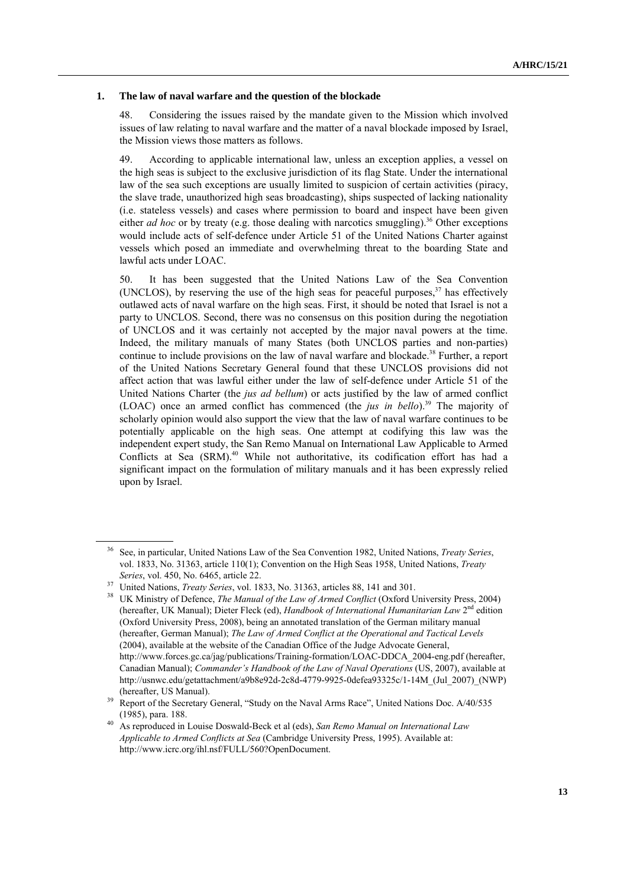#### **1. The law of naval warfare and the question of the blockade**

48. Considering the issues raised by the mandate given to the Mission which involved issues of law relating to naval warfare and the matter of a naval blockade imposed by Israel, the Mission views those matters as follows.

49. According to applicable international law, unless an exception applies, a vessel on the high seas is subject to the exclusive jurisdiction of its flag State. Under the international law of the sea such exceptions are usually limited to suspicion of certain activities (piracy, the slave trade, unauthorized high seas broadcasting), ships suspected of lacking nationality (i.e. stateless vessels) and cases where permission to board and inspect have been given either *ad hoc* or by treaty (e.g. those dealing with narcotics smuggling).<sup>36</sup> Other exceptions would include acts of self-defence under Article 51 of the United Nations Charter against vessels which posed an immediate and overwhelming threat to the boarding State and lawful acts under LOAC.

50. It has been suggested that the United Nations Law of the Sea Convention (UNCLOS), by reserving the use of the high seas for peaceful purposes,  $37$  has effectively outlawed acts of naval warfare on the high seas. First, it should be noted that Israel is not a party to UNCLOS. Second, there was no consensus on this position during the negotiation of UNCLOS and it was certainly not accepted by the major naval powers at the time. Indeed, the military manuals of many States (both UNCLOS parties and non-parties) continue to include provisions on the law of naval warfare and blockade.<sup>38</sup> Further, a report of the United Nations Secretary General found that these UNCLOS provisions did not affect action that was lawful either under the law of self-defence under Article 51 of the United Nations Charter (the *jus ad bellum*) or acts justified by the law of armed conflict (LOAC) once an armed conflict has commenced (the *jus in bello*).<sup>39</sup> The majority of scholarly opinion would also support the view that the law of naval warfare continues to be potentially applicable on the high seas. One attempt at codifying this law was the independent expert study, the San Remo Manual on International Law Applicable to Armed Conflicts at Sea  $(SRM)^{40}$  While not authoritative, its codification effort has had a significant impact on the formulation of military manuals and it has been expressly relied upon by Israel.

<sup>36</sup> See, in particular, United Nations Law of the Sea Convention 1982, United Nations, *Treaty Series*, vol. 1833, No. 31363, article 110(1); Convention on the High Seas 1958, United Nations, *Treaty* 

Series, vol. 450, No. 6465, article 22.<br><sup>37</sup> United Nations, *Treaty Series*, vol. 1833, No. 31363, articles 88, 141 and 301.<br><sup>38</sup> UK Ministry of Defence, *The Manual of the Law of Armed Conflict* (Oxford University Press, (hereafter, UK Manual); Dieter Fleck (ed), *Handbook of International Humanitarian Law* 2nd edition (Oxford University Press, 2008), being an annotated translation of the German military manual (hereafter, German Manual); *The Law of Armed Conflict at the Operational and Tactical Levels* (2004), available at the website of the Canadian Office of the Judge Advocate General, http://www.forces.gc.ca/jag/publications/Training-formation/LOAC-DDCA\_2004-eng.pdf (hereafter, Canadian Manual); *Commander's Handbook of the Law of Naval Operations* (US, 2007), available at http://usnwc.edu/getattachment/a9b8e92d-2c8d-4779-9925-0defea93325c/1-14M\_(Jul\_2007)\_(NWP)

<sup>(</sup>hereafter, US Manual).<br><sup>39</sup> Report of the Secretary General, "Study on the Naval Arms Race", United Nations Doc. A/40/535

<sup>(1985),</sup> para. 188. 40 As reproduced in Louise Doswald-Beck et al (eds), *San Remo Manual on International Law Applicable to Armed Conflicts at Sea* (Cambridge University Press, 1995). Available at: http://www.icrc.org/ihl.nsf/FULL/560?OpenDocument.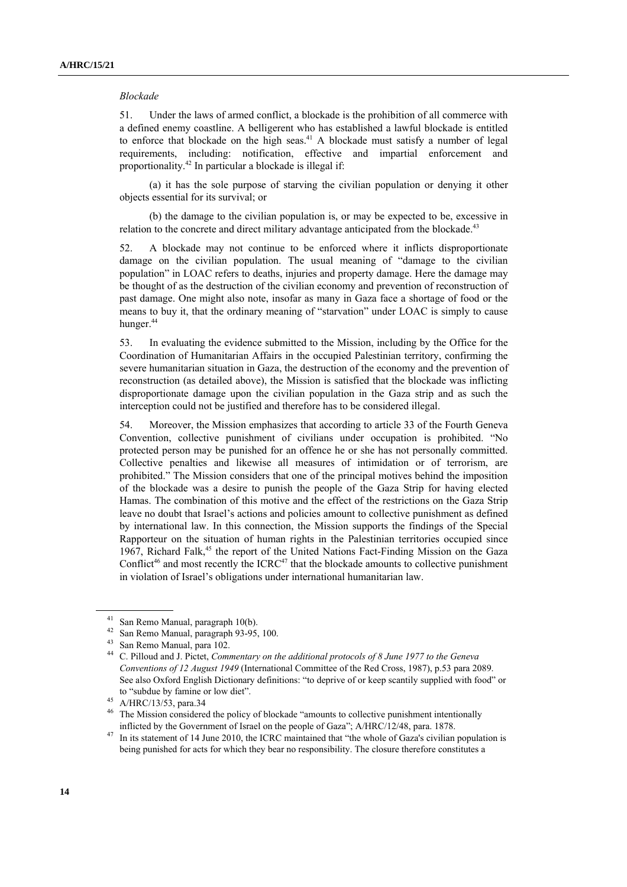#### *Blockade*

51. Under the laws of armed conflict, a blockade is the prohibition of all commerce with a defined enemy coastline. A belligerent who has established a lawful blockade is entitled to enforce that blockade on the high seas.<sup>41</sup> A blockade must satisfy a number of legal requirements, including: notification, effective and impartial enforcement and proportionality.42 In particular a blockade is illegal if:

(a) it has the sole purpose of starving the civilian population or denying it other objects essential for its survival; or

(b) the damage to the civilian population is, or may be expected to be, excessive in relation to the concrete and direct military advantage anticipated from the blockade.<sup>43</sup>

52. A blockade may not continue to be enforced where it inflicts disproportionate damage on the civilian population. The usual meaning of "damage to the civilian population" in LOAC refers to deaths, injuries and property damage. Here the damage may be thought of as the destruction of the civilian economy and prevention of reconstruction of past damage. One might also note, insofar as many in Gaza face a shortage of food or the means to buy it, that the ordinary meaning of "starvation" under LOAC is simply to cause hunger.<sup>44</sup>

53. In evaluating the evidence submitted to the Mission, including by the Office for the Coordination of Humanitarian Affairs in the occupied Palestinian territory, confirming the severe humanitarian situation in Gaza, the destruction of the economy and the prevention of reconstruction (as detailed above), the Mission is satisfied that the blockade was inflicting disproportionate damage upon the civilian population in the Gaza strip and as such the interception could not be justified and therefore has to be considered illegal.

54. Moreover, the Mission emphasizes that according to article 33 of the Fourth Geneva Convention, collective punishment of civilians under occupation is prohibited. "No protected person may be punished for an offence he or she has not personally committed. Collective penalties and likewise all measures of intimidation or of terrorism, are prohibited." The Mission considers that one of the principal motives behind the imposition of the blockade was a desire to punish the people of the Gaza Strip for having elected Hamas. The combination of this motive and the effect of the restrictions on the Gaza Strip leave no doubt that Israel's actions and policies amount to collective punishment as defined by international law. In this connection, the Mission supports the findings of the Special Rapporteur on the situation of human rights in the Palestinian territories occupied since 1967, Richard Falk,<sup>45</sup> the report of the United Nations Fact-Finding Mission on the Gaza Conflict<sup>46</sup> and most recently the  $ICRC<sup>47</sup>$  that the blockade amounts to collective punishment in violation of Israel's obligations under international humanitarian law.

San Remo Manual, paragraph 10(b).

<sup>42</sup> San Remo Manual, paragraph 93-95, 100.

San Remo Manual, para 102.

<sup>44</sup> C. Pilloud and J. Pictet, *Commentary on the additional protocols of 8 June 1977 to the Geneva Conventions of 12 August 1949* (International Committee of the Red Cross, 1987), p.53 para 2089. See also Oxford English Dictionary definitions: "to deprive of or keep scantily supplied with food" or to "subdue by famine or low diet". 45 A/HRC/13/53, para.34

<sup>&</sup>lt;sup>46</sup> The Mission considered the policy of blockade "amounts to collective punishment intentionally

inflicted by the Government of Israel on the people of Gaza"; A/HRC/12/48, para. 1878.<br><sup>47</sup> In its statement of 14 June 2010, the ICRC maintained that "the whole of Gaza's civilian population is being punished for acts for which they bear no responsibility. The closure therefore constitutes a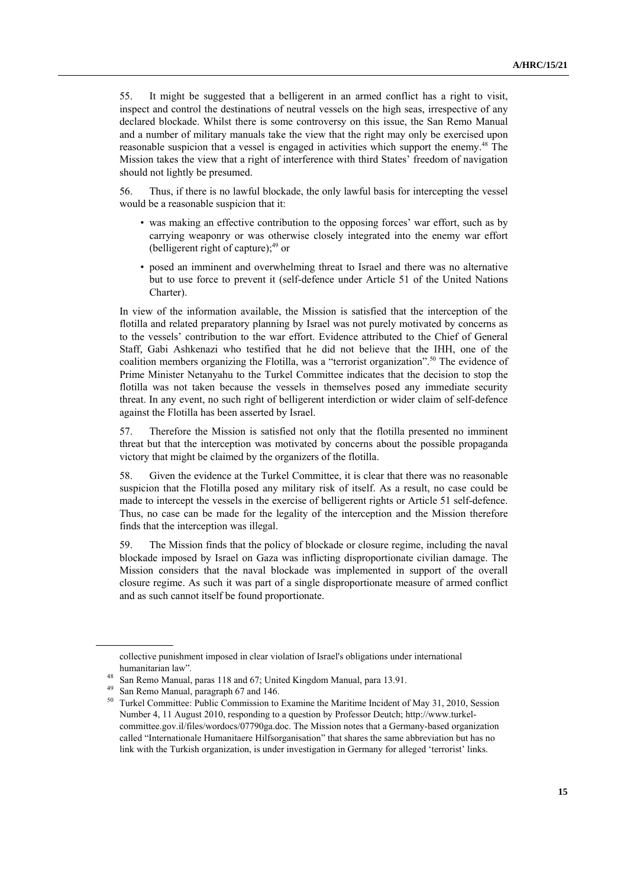55. It might be suggested that a belligerent in an armed conflict has a right to visit, inspect and control the destinations of neutral vessels on the high seas, irrespective of any declared blockade. Whilst there is some controversy on this issue, the San Remo Manual and a number of military manuals take the view that the right may only be exercised upon reasonable suspicion that a vessel is engaged in activities which support the enemy.<sup>48</sup> The Mission takes the view that a right of interference with third States' freedom of navigation should not lightly be presumed.

56. Thus, if there is no lawful blockade, the only lawful basis for intercepting the vessel would be a reasonable suspicion that it:

- was making an effective contribution to the opposing forces' war effort, such as by carrying weaponry or was otherwise closely integrated into the enemy war effort (belligerent right of capture); $49$  or
- posed an imminent and overwhelming threat to Israel and there was no alternative but to use force to prevent it (self-defence under Article 51 of the United Nations Charter).

In view of the information available, the Mission is satisfied that the interception of the flotilla and related preparatory planning by Israel was not purely motivated by concerns as to the vessels' contribution to the war effort. Evidence attributed to the Chief of General Staff, Gabi Ashkenazi who testified that he did not believe that the IHH, one of the coalition members organizing the Flotilla, was a "terrorist organization".<sup>50</sup> The evidence of Prime Minister Netanyahu to the Turkel Committee indicates that the decision to stop the flotilla was not taken because the vessels in themselves posed any immediate security threat. In any event, no such right of belligerent interdiction or wider claim of self-defence against the Flotilla has been asserted by Israel.

57. Therefore the Mission is satisfied not only that the flotilla presented no imminent threat but that the interception was motivated by concerns about the possible propaganda victory that might be claimed by the organizers of the flotilla.

58. Given the evidence at the Turkel Committee, it is clear that there was no reasonable suspicion that the Flotilla posed any military risk of itself. As a result, no case could be made to intercept the vessels in the exercise of belligerent rights or Article 51 self-defence. Thus, no case can be made for the legality of the interception and the Mission therefore finds that the interception was illegal.

59. The Mission finds that the policy of blockade or closure regime, including the naval blockade imposed by Israel on Gaza was inflicting disproportionate civilian damage. The Mission considers that the naval blockade was implemented in support of the overall closure regime. As such it was part of a single disproportionate measure of armed conflict and as such cannot itself be found proportionate.

collective punishment imposed in clear violation of Israel's obligations under international humanitarian law"*.*

<sup>48</sup> San Remo Manual, paras 118 and 67; United Kingdom Manual, para 13.91.<br><sup>49</sup> San Remo Manual, paragraph 67 and 146.

<sup>50</sup> Turkel Committee: Public Commission to Examine the Maritime Incident of May 31, 2010, Session Number 4, 11 August 2010, responding to a question by Professor Deutch; http://www.turkelcommittee.gov.il/files/wordocs/07790ga.doc. The Mission notes that a Germany-based organization called "Internationale Humanitaere Hilfsorganisation" that shares the same abbreviation but has no link with the Turkish organization, is under investigation in Germany for alleged 'terrorist' links.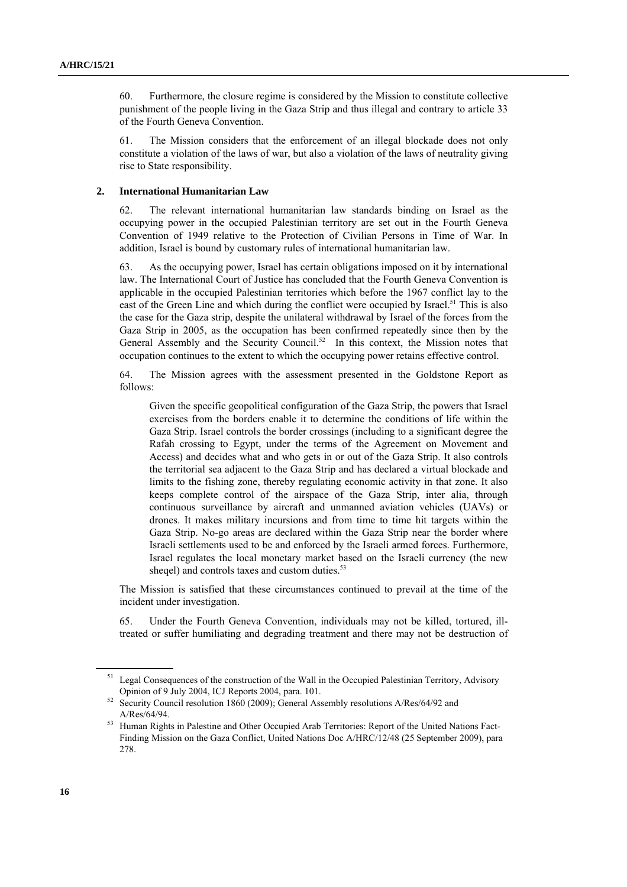60. Furthermore, the closure regime is considered by the Mission to constitute collective punishment of the people living in the Gaza Strip and thus illegal and contrary to article 33 of the Fourth Geneva Convention.

61. The Mission considers that the enforcement of an illegal blockade does not only constitute a violation of the laws of war, but also a violation of the laws of neutrality giving rise to State responsibility.

#### **2. International Humanitarian Law**

62. The relevant international humanitarian law standards binding on Israel as the occupying power in the occupied Palestinian territory are set out in the Fourth Geneva Convention of 1949 relative to the Protection of Civilian Persons in Time of War. In addition, Israel is bound by customary rules of international humanitarian law.

63. As the occupying power, Israel has certain obligations imposed on it by international law. The International Court of Justice has concluded that the Fourth Geneva Convention is applicable in the occupied Palestinian territories which before the 1967 conflict lay to the east of the Green Line and which during the conflict were occupied by Israel.<sup>51</sup> This is also the case for the Gaza strip, despite the unilateral withdrawal by Israel of the forces from the Gaza Strip in 2005, as the occupation has been confirmed repeatedly since then by the General Assembly and the Security Council.<sup>52</sup> In this context, the Mission notes that occupation continues to the extent to which the occupying power retains effective control.

64. The Mission agrees with the assessment presented in the Goldstone Report as follows:

Given the specific geopolitical configuration of the Gaza Strip, the powers that Israel exercises from the borders enable it to determine the conditions of life within the Gaza Strip. Israel controls the border crossings (including to a significant degree the Rafah crossing to Egypt, under the terms of the Agreement on Movement and Access) and decides what and who gets in or out of the Gaza Strip. It also controls the territorial sea adjacent to the Gaza Strip and has declared a virtual blockade and limits to the fishing zone, thereby regulating economic activity in that zone. It also keeps complete control of the airspace of the Gaza Strip, inter alia, through continuous surveillance by aircraft and unmanned aviation vehicles (UAVs) or drones. It makes military incursions and from time to time hit targets within the Gaza Strip. No-go areas are declared within the Gaza Strip near the border where Israeli settlements used to be and enforced by the Israeli armed forces. Furthermore, Israel regulates the local monetary market based on the Israeli currency (the new sheqel) and controls taxes and custom duties.<sup>53</sup>

The Mission is satisfied that these circumstances continued to prevail at the time of the incident under investigation.

65. Under the Fourth Geneva Convention, individuals may not be killed, tortured, illtreated or suffer humiliating and degrading treatment and there may not be destruction of

Legal Consequences of the construction of the Wall in the Occupied Palestinian Territory, Advisory Opinion of 9 July 2004, ICJ Reports 2004, para. 101.

 $52$  Security Council resolution 1860 (2009); General Assembly resolutions A/Res/64/92 and

A/Res/64/94. 53 Human Rights in Palestine and Other Occupied Arab Territories: Report of the United Nations Fact-Finding Mission on the Gaza Conflict, United Nations Doc A/HRC/12/48 (25 September 2009), para 278.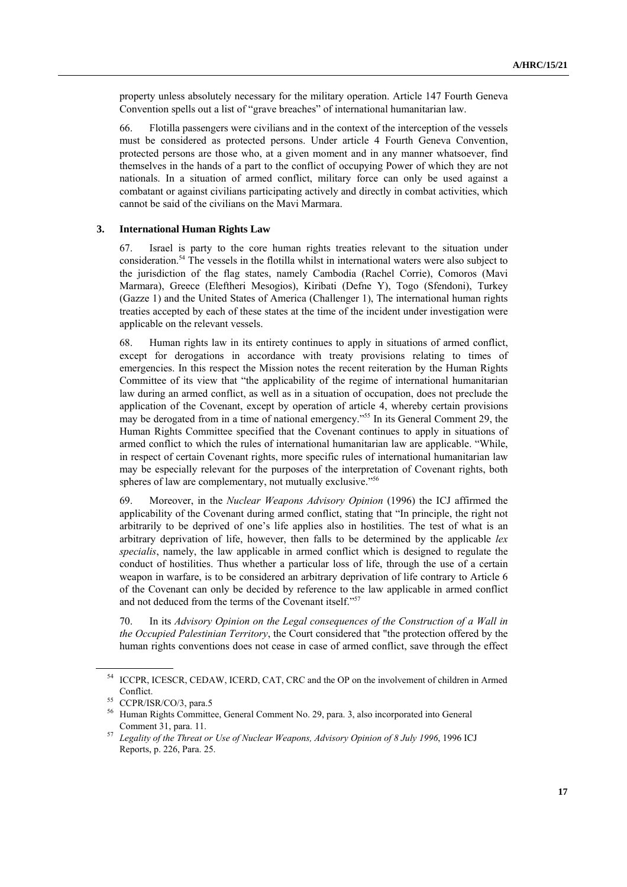property unless absolutely necessary for the military operation. Article 147 Fourth Geneva Convention spells out a list of "grave breaches" of international humanitarian law.

66. Flotilla passengers were civilians and in the context of the interception of the vessels must be considered as protected persons. Under article 4 Fourth Geneva Convention, protected persons are those who, at a given moment and in any manner whatsoever, find themselves in the hands of a part to the conflict of occupying Power of which they are not nationals. In a situation of armed conflict, military force can only be used against a combatant or against civilians participating actively and directly in combat activities, which cannot be said of the civilians on the Mavi Marmara.

#### **3. International Human Rights Law**

67. Israel is party to the core human rights treaties relevant to the situation under consideration.54 The vessels in the flotilla whilst in international waters were also subject to the jurisdiction of the flag states, namely Cambodia (Rachel Corrie), Comoros (Mavi Marmara), Greece (Eleftheri Mesogios), Kiribati (Defne Y), Togo (Sfendoni), Turkey (Gazze 1) and the United States of America (Challenger 1), The international human rights treaties accepted by each of these states at the time of the incident under investigation were applicable on the relevant vessels.

68. Human rights law in its entirety continues to apply in situations of armed conflict, except for derogations in accordance with treaty provisions relating to times of emergencies. In this respect the Mission notes the recent reiteration by the Human Rights Committee of its view that "the applicability of the regime of international humanitarian law during an armed conflict, as well as in a situation of occupation, does not preclude the application of the Covenant, except by operation of article 4, whereby certain provisions may be derogated from in a time of national emergency."<sup>55</sup> In its General Comment 29, the Human Rights Committee specified that the Covenant continues to apply in situations of armed conflict to which the rules of international humanitarian law are applicable. "While, in respect of certain Covenant rights, more specific rules of international humanitarian law may be especially relevant for the purposes of the interpretation of Covenant rights, both spheres of law are complementary, not mutually exclusive."<sup>56</sup>

69. Moreover, in the *Nuclear Weapons Advisory Opinion* (1996) the ICJ affirmed the applicability of the Covenant during armed conflict, stating that "In principle, the right not arbitrarily to be deprived of one's life applies also in hostilities. The test of what is an arbitrary deprivation of life, however, then falls to be determined by the applicable *lex specialis*, namely, the law applicable in armed conflict which is designed to regulate the conduct of hostilities. Thus whether a particular loss of life, through the use of a certain weapon in warfare, is to be considered an arbitrary deprivation of life contrary to Article 6 of the Covenant can only be decided by reference to the law applicable in armed conflict and not deduced from the terms of the Covenant itself."57

70. In its *Advisory Opinion on the Legal consequences of the Construction of a Wall in the Occupied Palestinian Territory*, the Court considered that "the protection offered by the human rights conventions does not cease in case of armed conflict, save through the effect

<sup>54</sup> ICCPR, ICESCR, CEDAW, ICERD, CAT, CRC and the OP on the involvement of children in Armed Conflict.<br>
<sup>55</sup> CCPR/ISR/CO/3, para.5

<sup>&</sup>lt;sup>56</sup> Human Rights Committee, General Comment No. 29, para. 3, also incorporated into General Comment 31, para. 11.

<sup>&</sup>lt;sup>57</sup> Legality of the Threat or Use of Nuclear Weapons, Advisory Opinion of 8 July 1996, 1996 ICJ Reports, p. 226, Para. 25.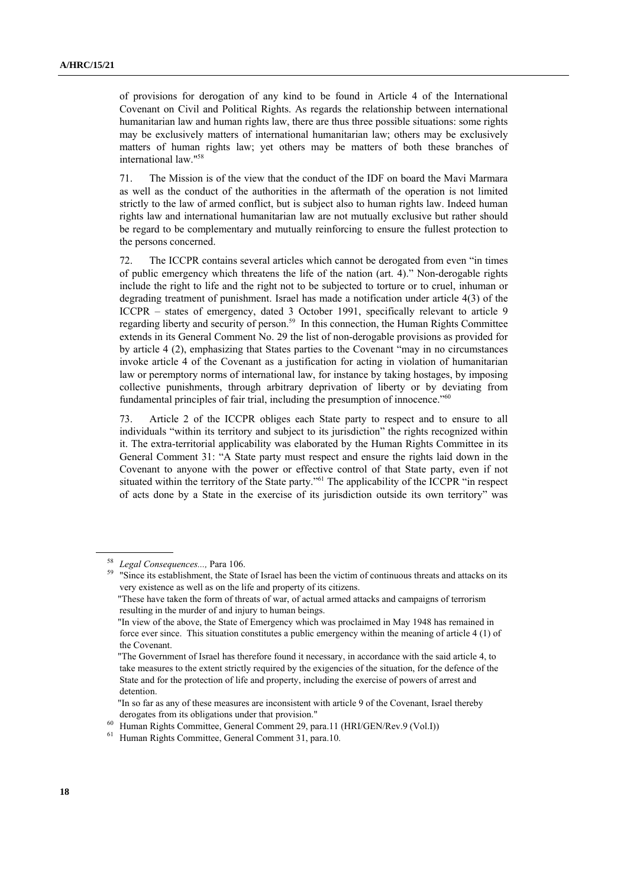of provisions for derogation of any kind to be found in Article 4 of the International Covenant on Civil and Political Rights. As regards the relationship between international humanitarian law and human rights law, there are thus three possible situations: some rights may be exclusively matters of international humanitarian law; others may be exclusively matters of human rights law; yet others may be matters of both these branches of international law."58

71. The Mission is of the view that the conduct of the IDF on board the Mavi Marmara as well as the conduct of the authorities in the aftermath of the operation is not limited strictly to the law of armed conflict, but is subject also to human rights law. Indeed human rights law and international humanitarian law are not mutually exclusive but rather should be regard to be complementary and mutually reinforcing to ensure the fullest protection to the persons concerned.

72. The ICCPR contains several articles which cannot be derogated from even "in times of public emergency which threatens the life of the nation (art. 4)." Non-derogable rights include the right to life and the right not to be subjected to torture or to cruel, inhuman or degrading treatment of punishment. Israel has made a notification under article 4(3) of the ICCPR – states of emergency, dated 3 October 1991, specifically relevant to article 9 regarding liberty and security of person.<sup>59</sup> In this connection, the Human Rights Committee extends in its General Comment No. 29 the list of non-derogable provisions as provided for by article 4 (2), emphasizing that States parties to the Covenant "may in no circumstances invoke article 4 of the Covenant as a justification for acting in violation of humanitarian law or peremptory norms of international law, for instance by taking hostages, by imposing collective punishments, through arbitrary deprivation of liberty or by deviating from fundamental principles of fair trial, including the presumption of innocence."<sup>60</sup>

73. Article 2 of the ICCPR obliges each State party to respect and to ensure to all individuals "within its territory and subject to its jurisdiction" the rights recognized within it. The extra-territorial applicability was elaborated by the Human Rights Committee in its General Comment 31: "A State party must respect and ensure the rights laid down in the Covenant to anyone with the power or effective control of that State party, even if not situated within the territory of the State party."<sup>61</sup> The applicability of the ICCPR "in respect of acts done by a State in the exercise of its jurisdiction outside its own territory" was

<sup>&</sup>lt;sup>58</sup> *Legal Consequences...,* Para 106.<br><sup>59</sup> "Since its establishment, the State of Israel has been the victim of continuous threats and attacks on its very existence as well as on the life and property of its citizens.

<sup>&</sup>quot;These have taken the form of threats of war, of actual armed attacks and campaigns of terrorism resulting in the murder of and injury to human beings.

<sup>&</sup>quot;In view of the above, the State of Emergency which was proclaimed in May 1948 has remained in force ever since. This situation constitutes a public emergency within the meaning of article 4 (1) of the Covenant.

<sup>&</sup>quot;The Government of Israel has therefore found it necessary, in accordance with the said article 4, to take measures to the extent strictly required by the exigencies of the situation, for the defence of the State and for the protection of life and property, including the exercise of powers of arrest and detention.

<sup>&</sup>quot;In so far as any of these measures are inconsistent with article 9 of the Covenant, Israel thereby derogates from its obligations under that provision."<br><sup>60</sup> Human Rights Committee, General Comment 29, para.11 (HRI/GEN/Rev.9 (Vol.I))

<sup>61</sup> Human Rights Committee, General Comment 31, para.10.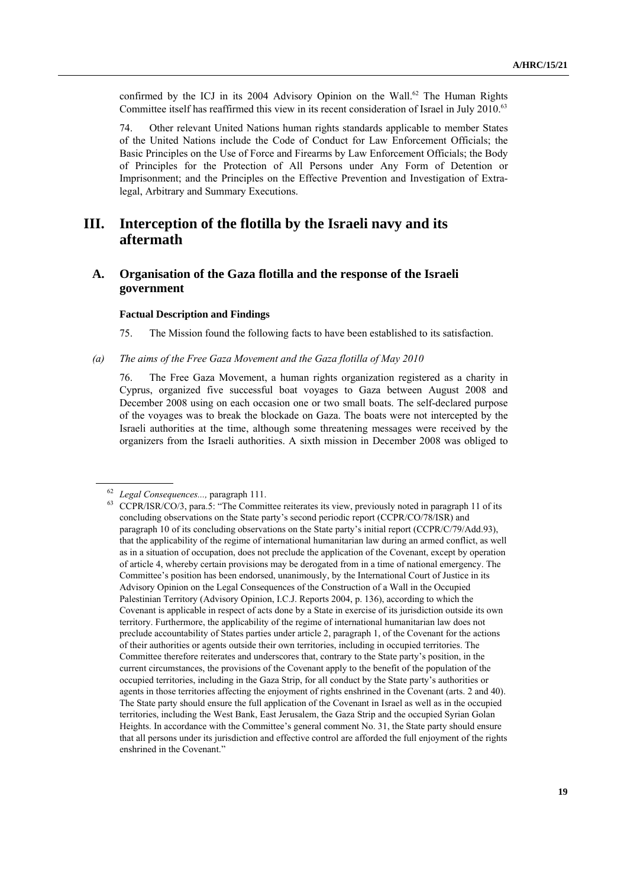confirmed by the ICJ in its 2004 Advisory Opinion on the Wall.<sup>62</sup> The Human Rights Committee itself has reaffirmed this view in its recent consideration of Israel in July 2010.<sup>63</sup>

74. Other relevant United Nations human rights standards applicable to member States of the United Nations include the Code of Conduct for Law Enforcement Officials; the Basic Principles on the Use of Force and Firearms by Law Enforcement Officials; the Body of Principles for the Protection of All Persons under Any Form of Detention or Imprisonment; and the Principles on the Effective Prevention and Investigation of Extralegal, Arbitrary and Summary Executions.

# **III. Interception of the flotilla by the Israeli navy and its aftermath**

# **A. Organisation of the Gaza flotilla and the response of the Israeli government**

#### **Factual Description and Findings**

75. The Mission found the following facts to have been established to its satisfaction.

 *(a) The aims of the Free Gaza Movement and the Gaza flotilla of May 2010* 

76. The Free Gaza Movement, a human rights organization registered as a charity in Cyprus, organized five successful boat voyages to Gaza between August 2008 and December 2008 using on each occasion one or two small boats. The self-declared purpose of the voyages was to break the blockade on Gaza. The boats were not intercepted by the Israeli authorities at the time, although some threatening messages were received by the organizers from the Israeli authorities. A sixth mission in December 2008 was obliged to

<sup>&</sup>lt;sup>62</sup> *Legal Consequences...,* paragraph 111.<br><sup>63</sup> CCPR/ISR/CO/3, para.5: "The Committee reiterates its view, previously noted in paragraph 11 of its concluding observations on the State party's second periodic report (CCPR/CO/78/ISR) and paragraph 10 of its concluding observations on the State party's initial report (CCPR/C/79/Add.93), that the applicability of the regime of international humanitarian law during an armed conflict, as well as in a situation of occupation, does not preclude the application of the Covenant, except by operation of article 4, whereby certain provisions may be derogated from in a time of national emergency. The Committee's position has been endorsed, unanimously, by the International Court of Justice in its Advisory Opinion on the Legal Consequences of the Construction of a Wall in the Occupied Palestinian Territory (Advisory Opinion, I.C.J. Reports 2004, p. 136), according to which the Covenant is applicable in respect of acts done by a State in exercise of its jurisdiction outside its own territory. Furthermore, the applicability of the regime of international humanitarian law does not preclude accountability of States parties under article 2, paragraph 1, of the Covenant for the actions of their authorities or agents outside their own territories, including in occupied territories. The Committee therefore reiterates and underscores that, contrary to the State party's position, in the current circumstances, the provisions of the Covenant apply to the benefit of the population of the occupied territories, including in the Gaza Strip, for all conduct by the State party's authorities or agents in those territories affecting the enjoyment of rights enshrined in the Covenant (arts. 2 and 40). The State party should ensure the full application of the Covenant in Israel as well as in the occupied territories, including the West Bank, East Jerusalem, the Gaza Strip and the occupied Syrian Golan Heights. In accordance with the Committee's general comment No. 31, the State party should ensure that all persons under its jurisdiction and effective control are afforded the full enjoyment of the rights enshrined in the Covenant."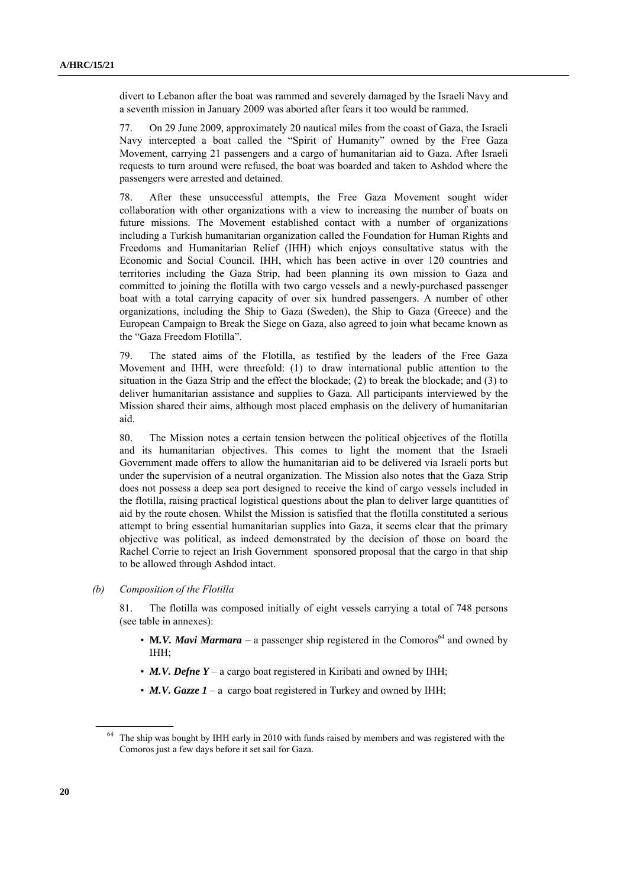divert to Lebanon after the boat was rammed and severely damaged by the Israeli Navy and a seventh mission in January 2009 was aborted after fears it too would be rammed.

77. On 29 June 2009, approximately 20 nautical miles from the coast of Gaza, the Israeli Navy intercepted a boat called the "Spirit of Humanity" owned by the Free Gaza Movement, carrying 21 passengers and a cargo of humanitarian aid to Gaza. After Israeli requests to turn around were refused, the boat was boarded and taken to Ashdod where the passengers were arrested and detained.

78. After these unsuccessful attempts, the Free Gaza Movement sought wider collaboration with other organizations with a view to increasing the number of boats on future missions. The Movement established contact with a number of organizations including a Turkish humanitarian organization called the Foundation for Human Rights and Freedoms and Humanitarian Relief (IHH) which enjoys consultative status with the Economic and Social Council. IHH, which has been active in over 120 countries and territories including the Gaza Strip, had been planning its own mission to Gaza and committed to joining the flotilla with two cargo vessels and a newly-purchased passenger boat with a total carrying capacity of over six hundred passengers. A number of other organizations, including the Ship to Gaza (Sweden), the Ship to Gaza (Greece) and the European Campaign to Break the Siege on Gaza, also agreed to join what became known as the "Gaza Freedom Flotilla".

79. The stated aims of the Flotilla, as testified by the leaders of the Free Gaza Movement and IHH, were threefold: (1) to draw international public attention to the situation in the Gaza Strip and the effect the blockade; (2) to break the blockade; and (3) to deliver humanitarian assistance and supplies to Gaza. All participants interviewed by the Mission shared their aims, although most placed emphasis on the delivery of humanitarian aid.

80. The Mission notes a certain tension between the political objectives of the flotilla and its humanitarian objectives. This comes to light the moment that the Israeli Government made offers to allow the humanitarian aid to be delivered via Israeli ports but under the supervision of a neutral organization. The Mission also notes that the Gaza Strip does not possess a deep sea port designed to receive the kind of cargo vessels included in the flotilla, raising practical logistical questions about the plan to deliver large quantities of aid by the route chosen. Whilst the Mission is satisfied that the flotilla constituted a serious attempt to bring essential humanitarian supplies into Gaza, it seems clear that the primary objective was political, as indeed demonstrated by the decision of those on board the Rachel Corrie to reject an Irish Government sponsored proposal that the cargo in that ship to be allowed through Ashdod intact.

 *(b) Composition of the Flotilla* 

81. The flotilla was composed initially of eight vessels carrying a total of 748 persons (see table in annexes):

- M.*V. Mavi Marmara* a passenger ship registered in the Comoros<sup>64</sup> and owned by IHH;
- *M.V. Defne Y* a cargo boat registered in Kiribati and owned by IHH;
- *M.V. Gazze 1* a cargo boat registered in Turkey and owned by IHH;

<sup>&</sup>lt;sup>64</sup> The ship was bought by IHH early in 2010 with funds raised by members and was registered with the Comoros just a few days before it set sail for Gaza.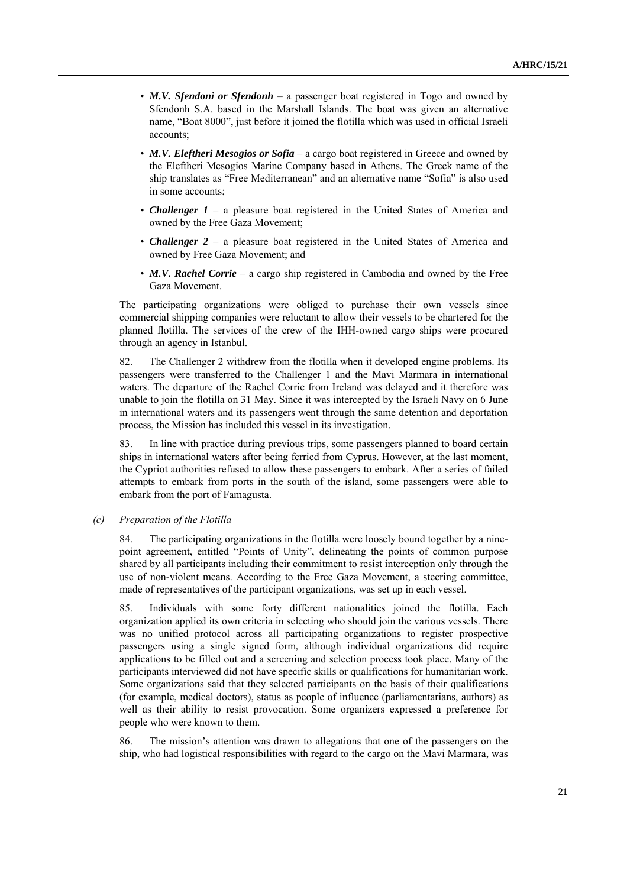- *M.V. Sfendoni or Sfendonh* a passenger boat registered in Togo and owned by Sfendonh S.A. based in the Marshall Islands. The boat was given an alternative name, "Boat 8000", just before it joined the flotilla which was used in official Israeli accounts;
- *M.V. Eleftheri Mesogios or Sofia*  a cargo boat registered in Greece and owned by the Eleftheri Mesogios Marine Company based in Athens. The Greek name of the ship translates as "Free Mediterranean" and an alternative name "Sofia" is also used in some accounts;
- *Challenger 1* a pleasure boat registered in the United States of America and owned by the Free Gaza Movement;
- *Challenger 2* a pleasure boat registered in the United States of America and owned by Free Gaza Movement; and
- *M.V. Rachel Corrie* a cargo ship registered in Cambodia and owned by the Free Gaza Movement.

The participating organizations were obliged to purchase their own vessels since commercial shipping companies were reluctant to allow their vessels to be chartered for the planned flotilla. The services of the crew of the IHH-owned cargo ships were procured through an agency in Istanbul.

82. The Challenger 2 withdrew from the flotilla when it developed engine problems. Its passengers were transferred to the Challenger 1 and the Mavi Marmara in international waters. The departure of the Rachel Corrie from Ireland was delayed and it therefore was unable to join the flotilla on 31 May. Since it was intercepted by the Israeli Navy on 6 June in international waters and its passengers went through the same detention and deportation process, the Mission has included this vessel in its investigation.

83. In line with practice during previous trips, some passengers planned to board certain ships in international waters after being ferried from Cyprus. However, at the last moment, the Cypriot authorities refused to allow these passengers to embark. After a series of failed attempts to embark from ports in the south of the island, some passengers were able to embark from the port of Famagusta.

#### *(c) Preparation of the Flotilla*

84. The participating organizations in the flotilla were loosely bound together by a ninepoint agreement, entitled "Points of Unity", delineating the points of common purpose shared by all participants including their commitment to resist interception only through the use of non-violent means. According to the Free Gaza Movement, a steering committee, made of representatives of the participant organizations, was set up in each vessel.

85. Individuals with some forty different nationalities joined the flotilla. Each organization applied its own criteria in selecting who should join the various vessels. There was no unified protocol across all participating organizations to register prospective passengers using a single signed form, although individual organizations did require applications to be filled out and a screening and selection process took place. Many of the participants interviewed did not have specific skills or qualifications for humanitarian work. Some organizations said that they selected participants on the basis of their qualifications (for example, medical doctors), status as people of influence (parliamentarians, authors) as well as their ability to resist provocation. Some organizers expressed a preference for people who were known to them.

86. The mission's attention was drawn to allegations that one of the passengers on the ship, who had logistical responsibilities with regard to the cargo on the Mavi Marmara, was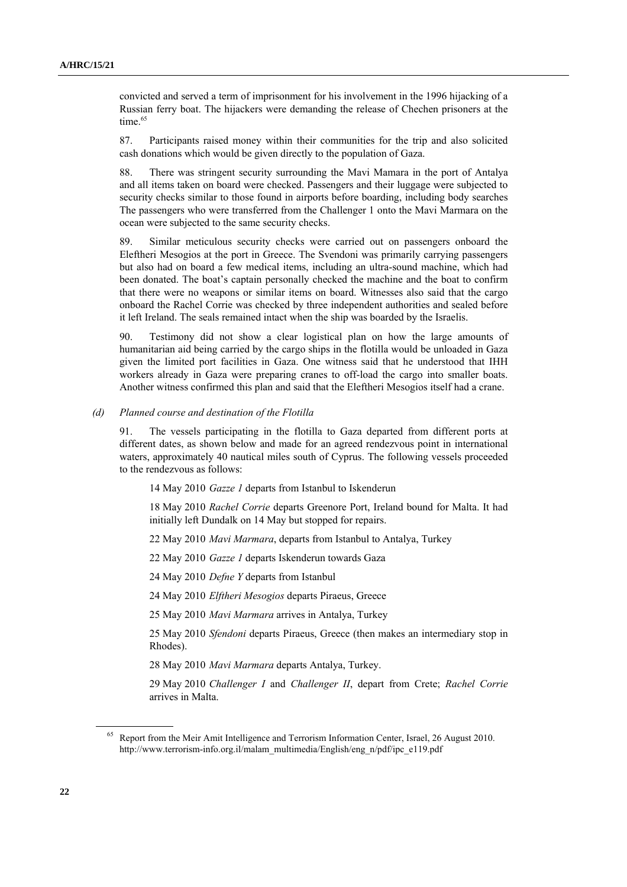convicted and served a term of imprisonment for his involvement in the 1996 hijacking of a Russian ferry boat. The hijackers were demanding the release of Chechen prisoners at the time.<sup>65</sup>

87. Participants raised money within their communities for the trip and also solicited cash donations which would be given directly to the population of Gaza.

88. There was stringent security surrounding the Mavi Mamara in the port of Antalya and all items taken on board were checked. Passengers and their luggage were subjected to security checks similar to those found in airports before boarding, including body searches The passengers who were transferred from the Challenger 1 onto the Mavi Marmara on the ocean were subjected to the same security checks.

89. Similar meticulous security checks were carried out on passengers onboard the Eleftheri Mesogios at the port in Greece. The Svendoni was primarily carrying passengers but also had on board a few medical items, including an ultra-sound machine, which had been donated. The boat's captain personally checked the machine and the boat to confirm that there were no weapons or similar items on board. Witnesses also said that the cargo onboard the Rachel Corrie was checked by three independent authorities and sealed before it left Ireland. The seals remained intact when the ship was boarded by the Israelis.

90. Testimony did not show a clear logistical plan on how the large amounts of humanitarian aid being carried by the cargo ships in the flotilla would be unloaded in Gaza given the limited port facilities in Gaza. One witness said that he understood that IHH workers already in Gaza were preparing cranes to off-load the cargo into smaller boats. Another witness confirmed this plan and said that the Eleftheri Mesogios itself had a crane.

# *(d) Planned course and destination of the Flotilla*

91. The vessels participating in the flotilla to Gaza departed from different ports at different dates, as shown below and made for an agreed rendezvous point in international waters, approximately 40 nautical miles south of Cyprus. The following vessels proceeded to the rendezvous as follows:

14 May 2010 *Gazze 1* departs from Istanbul to Iskenderun

18 May 2010 *Rachel Corrie* departs Greenore Port, Ireland bound for Malta. It had initially left Dundalk on 14 May but stopped for repairs.

22 May 2010 *Mavi Marmara*, departs from Istanbul to Antalya, Turkey

22 May 2010 *Gazze 1* departs Iskenderun towards Gaza

24 May 2010 *Defne Y* departs from Istanbul

24 May 2010 *Elftheri Mesogios* departs Piraeus, Greece

25 May 2010 *Mavi Marmara* arrives in Antalya, Turkey

25 May 2010 *Sfendoni* departs Piraeus, Greece (then makes an intermediary stop in Rhodes).

28 May 2010 *Mavi Marmara* departs Antalya, Turkey.

29 May 2010 *Challenger I* and *Challenger II*, depart from Crete; *Rachel Corrie* arrives in Malta.

<sup>&</sup>lt;sup>65</sup> Report from the Meir Amit Intelligence and Terrorism Information Center, Israel, 26 August 2010. http://www.terrorism-info.org.il/malam\_multimedia/English/eng\_n/pdf/ipc\_e119.pdf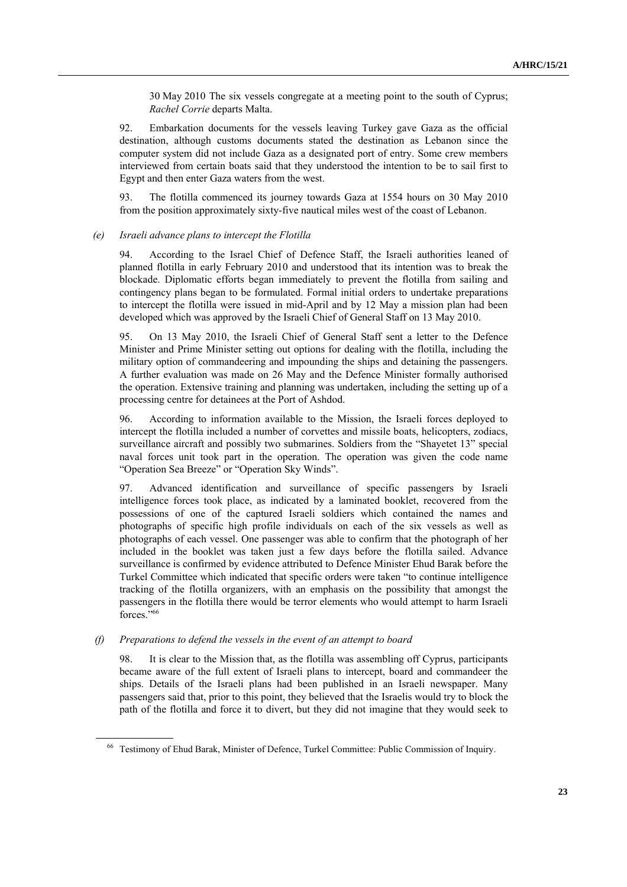30 May 2010 The six vessels congregate at a meeting point to the south of Cyprus; *Rachel Corrie* departs Malta.

92. Embarkation documents for the vessels leaving Turkey gave Gaza as the official destination, although customs documents stated the destination as Lebanon since the computer system did not include Gaza as a designated port of entry. Some crew members interviewed from certain boats said that they understood the intention to be to sail first to Egypt and then enter Gaza waters from the west.

93. The flotilla commenced its journey towards Gaza at 1554 hours on 30 May 2010 from the position approximately sixty-five nautical miles west of the coast of Lebanon.

# *(e) Israeli advance plans to intercept the Flotilla*

94. According to the Israel Chief of Defence Staff, the Israeli authorities leaned of planned flotilla in early February 2010 and understood that its intention was to break the blockade. Diplomatic efforts began immediately to prevent the flotilla from sailing and contingency plans began to be formulated. Formal initial orders to undertake preparations to intercept the flotilla were issued in mid-April and by 12 May a mission plan had been developed which was approved by the Israeli Chief of General Staff on 13 May 2010.

95. On 13 May 2010, the Israeli Chief of General Staff sent a letter to the Defence Minister and Prime Minister setting out options for dealing with the flotilla, including the military option of commandeering and impounding the ships and detaining the passengers. A further evaluation was made on 26 May and the Defence Minister formally authorised the operation. Extensive training and planning was undertaken, including the setting up of a processing centre for detainees at the Port of Ashdod.

96. According to information available to the Mission, the Israeli forces deployed to intercept the flotilla included a number of corvettes and missile boats, helicopters, zodiacs, surveillance aircraft and possibly two submarines. Soldiers from the "Shayetet 13" special naval forces unit took part in the operation. The operation was given the code name "Operation Sea Breeze" or "Operation Sky Winds".

97. Advanced identification and surveillance of specific passengers by Israeli intelligence forces took place, as indicated by a laminated booklet, recovered from the possessions of one of the captured Israeli soldiers which contained the names and photographs of specific high profile individuals on each of the six vessels as well as photographs of each vessel. One passenger was able to confirm that the photograph of her included in the booklet was taken just a few days before the flotilla sailed. Advance surveillance is confirmed by evidence attributed to Defence Minister Ehud Barak before the Turkel Committee which indicated that specific orders were taken "to continue intelligence tracking of the flotilla organizers, with an emphasis on the possibility that amongst the passengers in the flotilla there would be terror elements who would attempt to harm Israeli forces."66

# *(f) Preparations to defend the vessels in the event of an attempt to board*

98. It is clear to the Mission that, as the flotilla was assembling off Cyprus, participants became aware of the full extent of Israeli plans to intercept, board and commandeer the ships. Details of the Israeli plans had been published in an Israeli newspaper. Many passengers said that, prior to this point, they believed that the Israelis would try to block the path of the flotilla and force it to divert, but they did not imagine that they would seek to

<sup>66</sup> Testimony of Ehud Barak, Minister of Defence, Turkel Committee: Public Commission of Inquiry.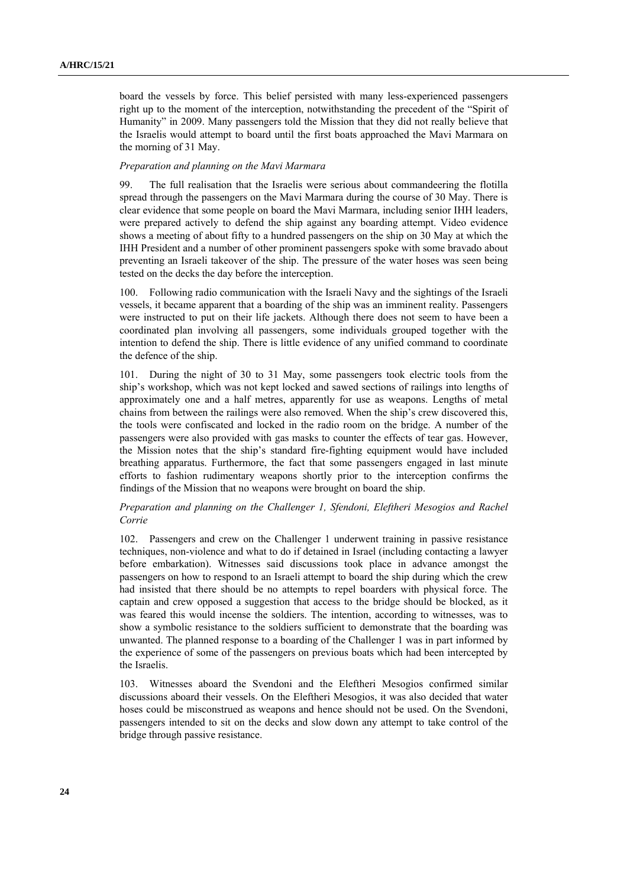board the vessels by force. This belief persisted with many less-experienced passengers right up to the moment of the interception, notwithstanding the precedent of the "Spirit of Humanity" in 2009. Many passengers told the Mission that they did not really believe that the Israelis would attempt to board until the first boats approached the Mavi Marmara on the morning of 31 May.

#### *Preparation and planning on the Mavi Marmara*

99. The full realisation that the Israelis were serious about commandeering the flotilla spread through the passengers on the Mavi Marmara during the course of 30 May. There is clear evidence that some people on board the Mavi Marmara, including senior IHH leaders, were prepared actively to defend the ship against any boarding attempt. Video evidence shows a meeting of about fifty to a hundred passengers on the ship on 30 May at which the IHH President and a number of other prominent passengers spoke with some bravado about preventing an Israeli takeover of the ship. The pressure of the water hoses was seen being tested on the decks the day before the interception.

100. Following radio communication with the Israeli Navy and the sightings of the Israeli vessels, it became apparent that a boarding of the ship was an imminent reality. Passengers were instructed to put on their life jackets. Although there does not seem to have been a coordinated plan involving all passengers, some individuals grouped together with the intention to defend the ship. There is little evidence of any unified command to coordinate the defence of the ship.

101. During the night of 30 to 31 May, some passengers took electric tools from the ship's workshop, which was not kept locked and sawed sections of railings into lengths of approximately one and a half metres, apparently for use as weapons. Lengths of metal chains from between the railings were also removed. When the ship's crew discovered this, the tools were confiscated and locked in the radio room on the bridge. A number of the passengers were also provided with gas masks to counter the effects of tear gas. However, the Mission notes that the ship's standard fire-fighting equipment would have included breathing apparatus. Furthermore, the fact that some passengers engaged in last minute efforts to fashion rudimentary weapons shortly prior to the interception confirms the findings of the Mission that no weapons were brought on board the ship.

# *Preparation and planning on the Challenger 1, Sfendoni, Eleftheri Mesogios and Rachel Corrie*

102. Passengers and crew on the Challenger 1 underwent training in passive resistance techniques, non-violence and what to do if detained in Israel (including contacting a lawyer before embarkation). Witnesses said discussions took place in advance amongst the passengers on how to respond to an Israeli attempt to board the ship during which the crew had insisted that there should be no attempts to repel boarders with physical force. The captain and crew opposed a suggestion that access to the bridge should be blocked, as it was feared this would incense the soldiers. The intention, according to witnesses, was to show a symbolic resistance to the soldiers sufficient to demonstrate that the boarding was unwanted. The planned response to a boarding of the Challenger 1 was in part informed by the experience of some of the passengers on previous boats which had been intercepted by the Israelis.

103. Witnesses aboard the Svendoni and the Eleftheri Mesogios confirmed similar discussions aboard their vessels. On the Eleftheri Mesogios, it was also decided that water hoses could be misconstrued as weapons and hence should not be used. On the Svendoni, passengers intended to sit on the decks and slow down any attempt to take control of the bridge through passive resistance.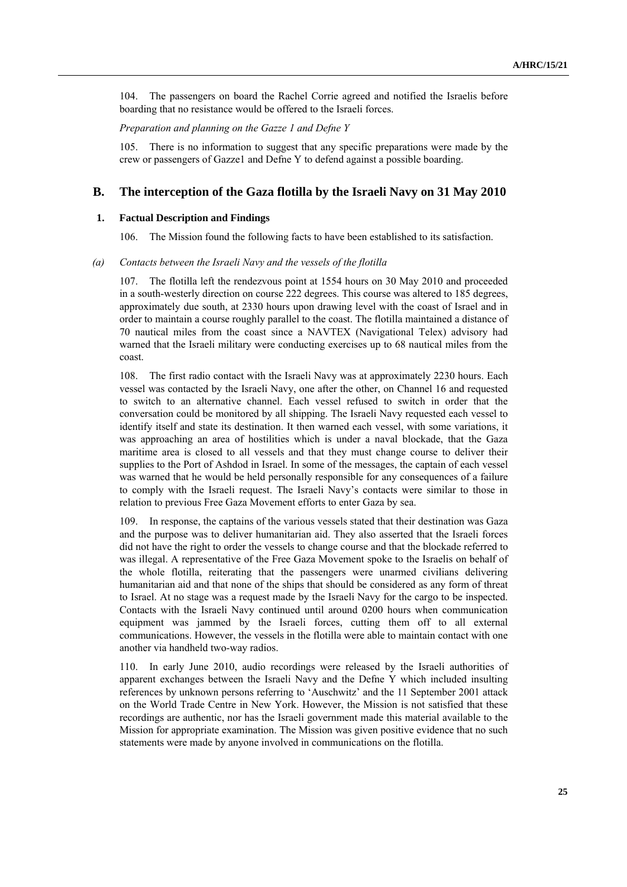104. The passengers on board the Rachel Corrie agreed and notified the Israelis before boarding that no resistance would be offered to the Israeli forces.

*Preparation and planning on the Gazze 1 and Defne Y*

105. There is no information to suggest that any specific preparations were made by the crew or passengers of Gazze1 and Defne Y to defend against a possible boarding.

# **B. The interception of the Gaza flotilla by the Israeli Navy on 31 May 2010**

#### **1. Factual Description and Findings**

106. The Mission found the following facts to have been established to its satisfaction.

#### *(a) Contacts between the Israeli Navy and the vessels of the flotilla*

107. The flotilla left the rendezvous point at 1554 hours on 30 May 2010 and proceeded in a south-westerly direction on course 222 degrees. This course was altered to 185 degrees, approximately due south, at 2330 hours upon drawing level with the coast of Israel and in order to maintain a course roughly parallel to the coast. The flotilla maintained a distance of 70 nautical miles from the coast since a NAVTEX (Navigational Telex) advisory had warned that the Israeli military were conducting exercises up to 68 nautical miles from the coast.

108. The first radio contact with the Israeli Navy was at approximately 2230 hours. Each vessel was contacted by the Israeli Navy, one after the other, on Channel 16 and requested to switch to an alternative channel. Each vessel refused to switch in order that the conversation could be monitored by all shipping. The Israeli Navy requested each vessel to identify itself and state its destination. It then warned each vessel, with some variations, it was approaching an area of hostilities which is under a naval blockade, that the Gaza maritime area is closed to all vessels and that they must change course to deliver their supplies to the Port of Ashdod in Israel. In some of the messages, the captain of each vessel was warned that he would be held personally responsible for any consequences of a failure to comply with the Israeli request. The Israeli Navy's contacts were similar to those in relation to previous Free Gaza Movement efforts to enter Gaza by sea.

109. In response, the captains of the various vessels stated that their destination was Gaza and the purpose was to deliver humanitarian aid. They also asserted that the Israeli forces did not have the right to order the vessels to change course and that the blockade referred to was illegal. A representative of the Free Gaza Movement spoke to the Israelis on behalf of the whole flotilla, reiterating that the passengers were unarmed civilians delivering humanitarian aid and that none of the ships that should be considered as any form of threat to Israel. At no stage was a request made by the Israeli Navy for the cargo to be inspected. Contacts with the Israeli Navy continued until around 0200 hours when communication equipment was jammed by the Israeli forces, cutting them off to all external communications. However, the vessels in the flotilla were able to maintain contact with one another via handheld two-way radios.

110. In early June 2010, audio recordings were released by the Israeli authorities of apparent exchanges between the Israeli Navy and the Defne Y which included insulting references by unknown persons referring to 'Auschwitz' and the 11 September 2001 attack on the World Trade Centre in New York. However, the Mission is not satisfied that these recordings are authentic, nor has the Israeli government made this material available to the Mission for appropriate examination. The Mission was given positive evidence that no such statements were made by anyone involved in communications on the flotilla.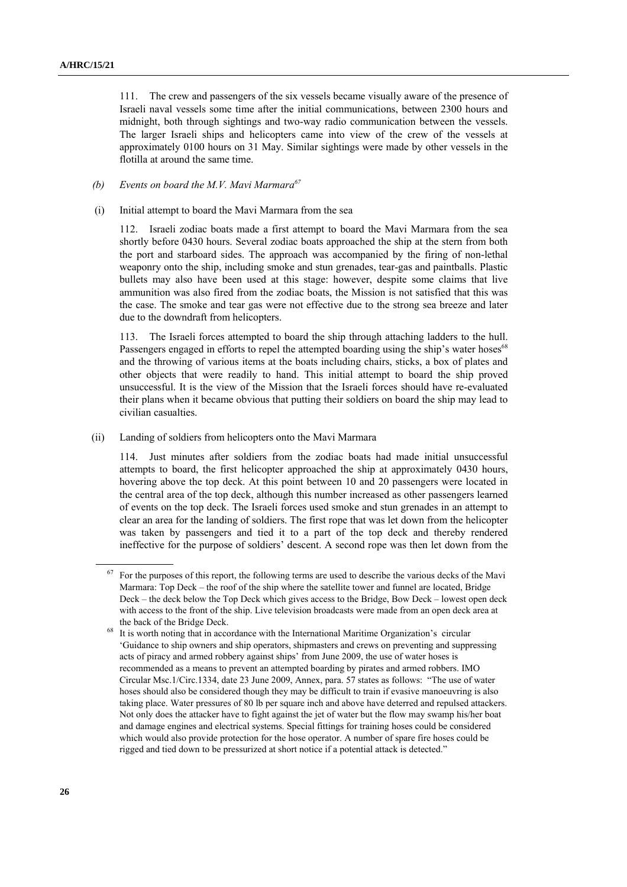111. The crew and passengers of the six vessels became visually aware of the presence of Israeli naval vessels some time after the initial communications, between 2300 hours and midnight, both through sightings and two-way radio communication between the vessels. The larger Israeli ships and helicopters came into view of the crew of the vessels at approximately 0100 hours on 31 May. Similar sightings were made by other vessels in the flotilla at around the same time.

- *(b) Events on board the M.V. Mavi Marmara67*
- (i) Initial attempt to board the Mavi Marmara from the sea

112. Israeli zodiac boats made a first attempt to board the Mavi Marmara from the sea shortly before 0430 hours. Several zodiac boats approached the ship at the stern from both the port and starboard sides. The approach was accompanied by the firing of non-lethal weaponry onto the ship, including smoke and stun grenades, tear-gas and paintballs. Plastic bullets may also have been used at this stage: however, despite some claims that live ammunition was also fired from the zodiac boats, the Mission is not satisfied that this was the case. The smoke and tear gas were not effective due to the strong sea breeze and later due to the downdraft from helicopters.

113. The Israeli forces attempted to board the ship through attaching ladders to the hull. Passengers engaged in efforts to repel the attempted boarding using the ship's water hoses<sup>68</sup> and the throwing of various items at the boats including chairs, sticks, a box of plates and other objects that were readily to hand. This initial attempt to board the ship proved unsuccessful. It is the view of the Mission that the Israeli forces should have re-evaluated their plans when it became obvious that putting their soldiers on board the ship may lead to civilian casualties.

(ii) Landing of soldiers from helicopters onto the Mavi Marmara

114. Just minutes after soldiers from the zodiac boats had made initial unsuccessful attempts to board, the first helicopter approached the ship at approximately 0430 hours, hovering above the top deck. At this point between 10 and 20 passengers were located in the central area of the top deck, although this number increased as other passengers learned of events on the top deck. The Israeli forces used smoke and stun grenades in an attempt to clear an area for the landing of soldiers. The first rope that was let down from the helicopter was taken by passengers and tied it to a part of the top deck and thereby rendered ineffective for the purpose of soldiers' descent. A second rope was then let down from the

<sup>67</sup> For the purposes of this report, the following terms are used to describe the various decks of the Mavi Marmara: Top Deck – the roof of the ship where the satellite tower and funnel are located, Bridge Deck – the deck below the Top Deck which gives access to the Bridge, Bow Deck – lowest open deck with access to the front of the ship. Live television broadcasts were made from an open deck area at the back of the Bridge Deck.<br><sup>68</sup> It is worth noting that in accordance with the International Maritime Organization's circular

<sup>&#</sup>x27;Guidance to ship owners and ship operators, shipmasters and crews on preventing and suppressing acts of piracy and armed robbery against ships' from June 2009, the use of water hoses is recommended as a means to prevent an attempted boarding by pirates and armed robbers. IMO Circular Msc.1/Circ.1334, date 23 June 2009, Annex, para. 57 states as follows: "The use of water hoses should also be considered though they may be difficult to train if evasive manoeuvring is also taking place. Water pressures of 80 lb per square inch and above have deterred and repulsed attackers. Not only does the attacker have to fight against the jet of water but the flow may swamp his/her boat and damage engines and electrical systems. Special fittings for training hoses could be considered which would also provide protection for the hose operator. A number of spare fire hoses could be rigged and tied down to be pressurized at short notice if a potential attack is detected."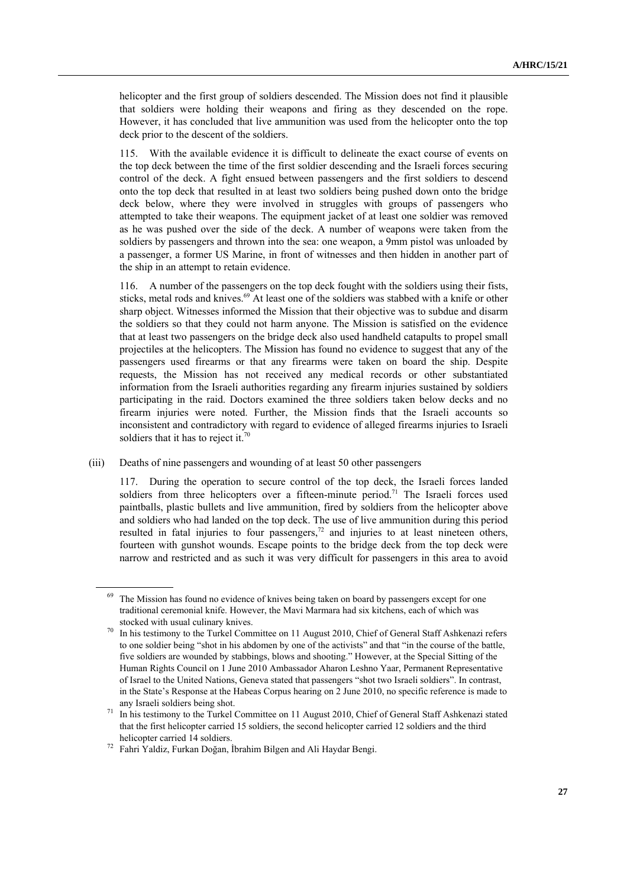helicopter and the first group of soldiers descended. The Mission does not find it plausible that soldiers were holding their weapons and firing as they descended on the rope. However, it has concluded that live ammunition was used from the helicopter onto the top deck prior to the descent of the soldiers.

115. With the available evidence it is difficult to delineate the exact course of events on the top deck between the time of the first soldier descending and the Israeli forces securing control of the deck. A fight ensued between passengers and the first soldiers to descend onto the top deck that resulted in at least two soldiers being pushed down onto the bridge deck below, where they were involved in struggles with groups of passengers who attempted to take their weapons. The equipment jacket of at least one soldier was removed as he was pushed over the side of the deck. A number of weapons were taken from the soldiers by passengers and thrown into the sea: one weapon, a 9mm pistol was unloaded by a passenger, a former US Marine, in front of witnesses and then hidden in another part of the ship in an attempt to retain evidence.

116. A number of the passengers on the top deck fought with the soldiers using their fists, sticks, metal rods and knives.<sup>69</sup> At least one of the soldiers was stabbed with a knife or other sharp object. Witnesses informed the Mission that their objective was to subdue and disarm the soldiers so that they could not harm anyone. The Mission is satisfied on the evidence that at least two passengers on the bridge deck also used handheld catapults to propel small projectiles at the helicopters. The Mission has found no evidence to suggest that any of the passengers used firearms or that any firearms were taken on board the ship. Despite requests, the Mission has not received any medical records or other substantiated information from the Israeli authorities regarding any firearm injuries sustained by soldiers participating in the raid. Doctors examined the three soldiers taken below decks and no firearm injuries were noted. Further, the Mission finds that the Israeli accounts so inconsistent and contradictory with regard to evidence of alleged firearms injuries to Israeli soldiers that it has to reject it.<sup>7</sup>

# (iii) Deaths of nine passengers and wounding of at least 50 other passengers

117. During the operation to secure control of the top deck, the Israeli forces landed soldiers from three helicopters over a fifteen-minute period.<sup>71</sup> The Israeli forces used paintballs, plastic bullets and live ammunition, fired by soldiers from the helicopter above and soldiers who had landed on the top deck. The use of live ammunition during this period resulted in fatal injuries to four passengers,<sup>72</sup> and injuries to at least nineteen others, fourteen with gunshot wounds. Escape points to the bridge deck from the top deck were narrow and restricted and as such it was very difficult for passengers in this area to avoid

<sup>&</sup>lt;sup>69</sup> The Mission has found no evidence of knives being taken on board by passengers except for one traditional ceremonial knife. However, the Mavi Marmara had six kitchens, each of which was

stocked with usual culinary knives.<br><sup>70</sup> In his testimony to the Turkel Committee on 11 August 2010, Chief of General Staff Ashkenazi refers to one soldier being "shot in his abdomen by one of the activists" and that "in the course of the battle, five soldiers are wounded by stabbings, blows and shooting." However, at the Special Sitting of the Human Rights Council on 1 June 2010 Ambassador Aharon Leshno Yaar, Permanent Representative of Israel to the United Nations, Geneva stated that passengers "shot two Israeli soldiers". In contrast, in the State's Response at the Habeas Corpus hearing on 2 June 2010, no specific reference is made to

any Israeli soldiers being shot.<br><sup>71</sup> In his testimony to the Turkel Committee on 11 August 2010, Chief of General Staff Ashkenazi stated that the first helicopter carried 15 soldiers, the second helicopter carried 12 soldiers and the third

helicopter carried 14 soldiers.<br><sup>72</sup> Fahri Yaldiz, Furkan Doğan, İbrahim Bilgen and Ali Haydar Bengi.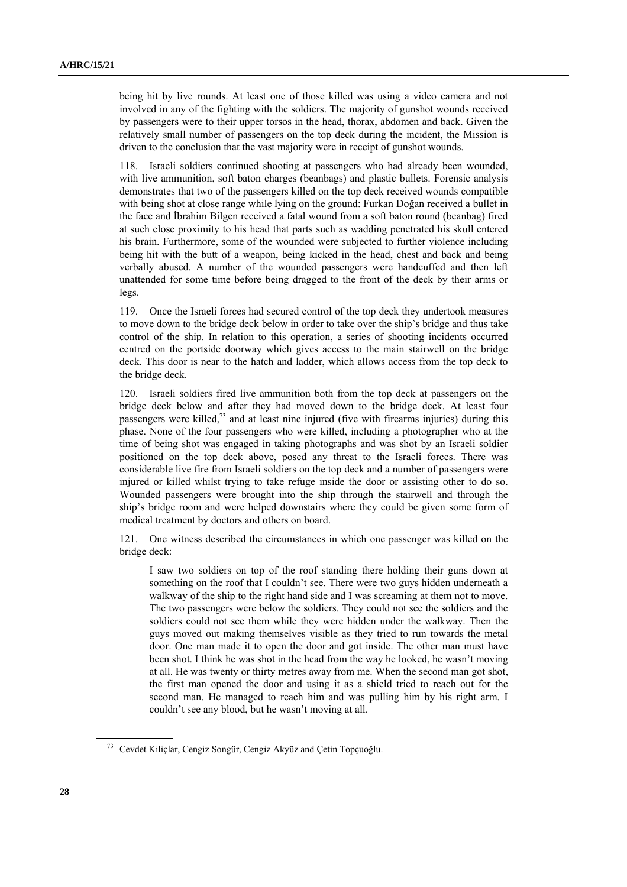being hit by live rounds. At least one of those killed was using a video camera and not involved in any of the fighting with the soldiers. The majority of gunshot wounds received by passengers were to their upper torsos in the head, thorax, abdomen and back. Given the relatively small number of passengers on the top deck during the incident, the Mission is driven to the conclusion that the vast majority were in receipt of gunshot wounds.

118. Israeli soldiers continued shooting at passengers who had already been wounded, with live ammunition, soft baton charges (beanbags) and plastic bullets. Forensic analysis demonstrates that two of the passengers killed on the top deck received wounds compatible with being shot at close range while lying on the ground: Furkan Doğan received a bullet in the face and İbrahim Bilgen received a fatal wound from a soft baton round (beanbag) fired at such close proximity to his head that parts such as wadding penetrated his skull entered his brain. Furthermore, some of the wounded were subjected to further violence including being hit with the butt of a weapon, being kicked in the head, chest and back and being verbally abused. A number of the wounded passengers were handcuffed and then left unattended for some time before being dragged to the front of the deck by their arms or legs.

119. Once the Israeli forces had secured control of the top deck they undertook measures to move down to the bridge deck below in order to take over the ship's bridge and thus take control of the ship. In relation to this operation, a series of shooting incidents occurred centred on the portside doorway which gives access to the main stairwell on the bridge deck. This door is near to the hatch and ladder, which allows access from the top deck to the bridge deck.

120. Israeli soldiers fired live ammunition both from the top deck at passengers on the bridge deck below and after they had moved down to the bridge deck. At least four passengers were killed, $73$  and at least nine injured (five with firearms injuries) during this phase. None of the four passengers who were killed, including a photographer who at the time of being shot was engaged in taking photographs and was shot by an Israeli soldier positioned on the top deck above, posed any threat to the Israeli forces. There was considerable live fire from Israeli soldiers on the top deck and a number of passengers were injured or killed whilst trying to take refuge inside the door or assisting other to do so. Wounded passengers were brought into the ship through the stairwell and through the ship's bridge room and were helped downstairs where they could be given some form of medical treatment by doctors and others on board.

121. One witness described the circumstances in which one passenger was killed on the bridge deck:

I saw two soldiers on top of the roof standing there holding their guns down at something on the roof that I couldn't see. There were two guys hidden underneath a walkway of the ship to the right hand side and I was screaming at them not to move. The two passengers were below the soldiers. They could not see the soldiers and the soldiers could not see them while they were hidden under the walkway. Then the guys moved out making themselves visible as they tried to run towards the metal door. One man made it to open the door and got inside. The other man must have been shot. I think he was shot in the head from the way he looked, he wasn't moving at all. He was twenty or thirty metres away from me. When the second man got shot, the first man opened the door and using it as a shield tried to reach out for the second man. He managed to reach him and was pulling him by his right arm. I couldn't see any blood, but he wasn't moving at all.

<sup>73</sup> Cevdet Kiliçlar, Cengiz Songür, Cengiz Akyüz and Çetin Topçuoğlu.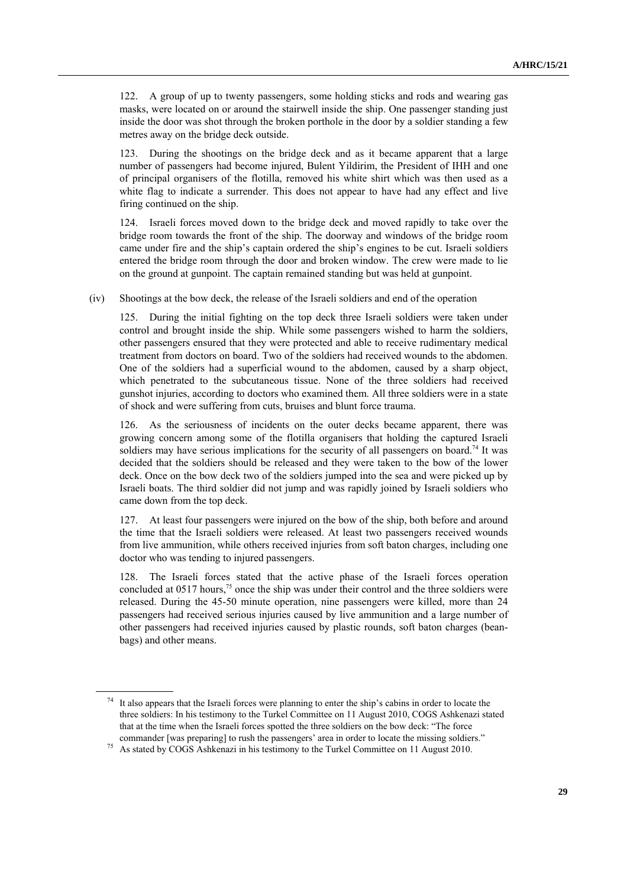122. A group of up to twenty passengers, some holding sticks and rods and wearing gas masks, were located on or around the stairwell inside the ship. One passenger standing just inside the door was shot through the broken porthole in the door by a soldier standing a few metres away on the bridge deck outside.

123. During the shootings on the bridge deck and as it became apparent that a large number of passengers had become injured, Bulent Yildirim, the President of IHH and one of principal organisers of the flotilla, removed his white shirt which was then used as a white flag to indicate a surrender. This does not appear to have had any effect and live firing continued on the ship.

124. Israeli forces moved down to the bridge deck and moved rapidly to take over the bridge room towards the front of the ship. The doorway and windows of the bridge room came under fire and the ship's captain ordered the ship's engines to be cut. Israeli soldiers entered the bridge room through the door and broken window. The crew were made to lie on the ground at gunpoint. The captain remained standing but was held at gunpoint.

(iv) Shootings at the bow deck, the release of the Israeli soldiers and end of the operation

125. During the initial fighting on the top deck three Israeli soldiers were taken under control and brought inside the ship. While some passengers wished to harm the soldiers, other passengers ensured that they were protected and able to receive rudimentary medical treatment from doctors on board. Two of the soldiers had received wounds to the abdomen. One of the soldiers had a superficial wound to the abdomen, caused by a sharp object, which penetrated to the subcutaneous tissue. None of the three soldiers had received gunshot injuries, according to doctors who examined them. All three soldiers were in a state of shock and were suffering from cuts, bruises and blunt force trauma.

As the seriousness of incidents on the outer decks became apparent, there was growing concern among some of the flotilla organisers that holding the captured Israeli soldiers may have serious implications for the security of all passengers on board.<sup>74</sup> It was decided that the soldiers should be released and they were taken to the bow of the lower deck. Once on the bow deck two of the soldiers jumped into the sea and were picked up by Israeli boats. The third soldier did not jump and was rapidly joined by Israeli soldiers who came down from the top deck.

127. At least four passengers were injured on the bow of the ship, both before and around the time that the Israeli soldiers were released. At least two passengers received wounds from live ammunition, while others received injuries from soft baton charges, including one doctor who was tending to injured passengers.

128. The Israeli forces stated that the active phase of the Israeli forces operation concluded at 0517 hours,<sup>75</sup> once the ship was under their control and the three soldiers were released. During the 45-50 minute operation, nine passengers were killed, more than 24 passengers had received serious injuries caused by live ammunition and a large number of other passengers had received injuries caused by plastic rounds, soft baton charges (beanbags) and other means.

 $74$  It also appears that the Israeli forces were planning to enter the ship's cabins in order to locate the three soldiers: In his testimony to the Turkel Committee on 11 August 2010, COGS Ashkenazi stated that at the time when the Israeli forces spotted the three soldiers on the bow deck: "The force

commander [was preparing] to rush the passengers' area in order to locate the missing soldiers." 75 As stated by COGS Ashkenazi in his testimony to the Turkel Committee on 11 August 2010.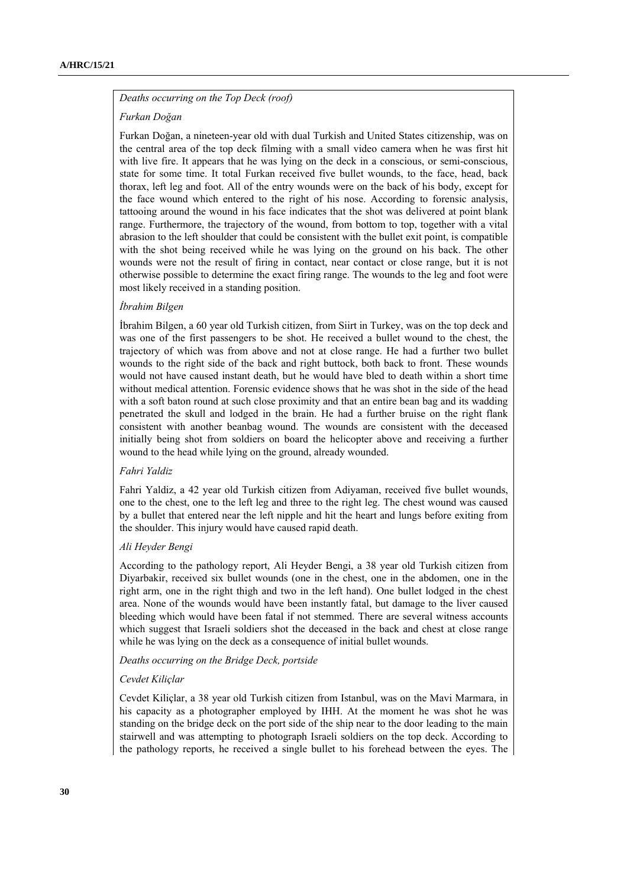# *Deaths occurring on the Top Deck (roof)*

# *Furkan Doğan*

Furkan Doğan, a nineteen-year old with dual Turkish and United States citizenship, was on the central area of the top deck filming with a small video camera when he was first hit with live fire. It appears that he was lying on the deck in a conscious, or semi-conscious, state for some time. It total Furkan received five bullet wounds, to the face, head, back thorax, left leg and foot. All of the entry wounds were on the back of his body, except for the face wound which entered to the right of his nose. According to forensic analysis, tattooing around the wound in his face indicates that the shot was delivered at point blank range. Furthermore, the trajectory of the wound, from bottom to top, together with a vital abrasion to the left shoulder that could be consistent with the bullet exit point, is compatible with the shot being received while he was lying on the ground on his back. The other wounds were not the result of firing in contact, near contact or close range, but it is not otherwise possible to determine the exact firing range. The wounds to the leg and foot were most likely received in a standing position.

#### *İbrahim Bilgen*

İbrahim Bilgen, a 60 year old Turkish citizen, from Siirt in Turkey, was on the top deck and was one of the first passengers to be shot. He received a bullet wound to the chest, the trajectory of which was from above and not at close range. He had a further two bullet wounds to the right side of the back and right buttock, both back to front. These wounds would not have caused instant death, but he would have bled to death within a short time without medical attention. Forensic evidence shows that he was shot in the side of the head with a soft baton round at such close proximity and that an entire bean bag and its wadding penetrated the skull and lodged in the brain. He had a further bruise on the right flank consistent with another beanbag wound. The wounds are consistent with the deceased initially being shot from soldiers on board the helicopter above and receiving a further wound to the head while lying on the ground, already wounded.

# *Fahri Yaldiz*

Fahri Yaldiz, a 42 year old Turkish citizen from Adiyaman, received five bullet wounds, one to the chest, one to the left leg and three to the right leg. The chest wound was caused by a bullet that entered near the left nipple and hit the heart and lungs before exiting from the shoulder. This injury would have caused rapid death.

# *Ali Heyder Bengi*

According to the pathology report, Ali Heyder Bengi, a 38 year old Turkish citizen from Diyarbakir, received six bullet wounds (one in the chest, one in the abdomen, one in the right arm, one in the right thigh and two in the left hand). One bullet lodged in the chest area. None of the wounds would have been instantly fatal, but damage to the liver caused bleeding which would have been fatal if not stemmed. There are several witness accounts which suggest that Israeli soldiers shot the deceased in the back and chest at close range while he was lying on the deck as a consequence of initial bullet wounds.

#### *Deaths occurring on the Bridge Deck, portside*

#### *Cevdet Kiliçlar*

Cevdet Kiliçlar, a 38 year old Turkish citizen from Istanbul, was on the Mavi Marmara, in his capacity as a photographer employed by IHH. At the moment he was shot he was standing on the bridge deck on the port side of the ship near to the door leading to the main stairwell and was attempting to photograph Israeli soldiers on the top deck. According to the pathology reports, he received a single bullet to his forehead between the eyes. The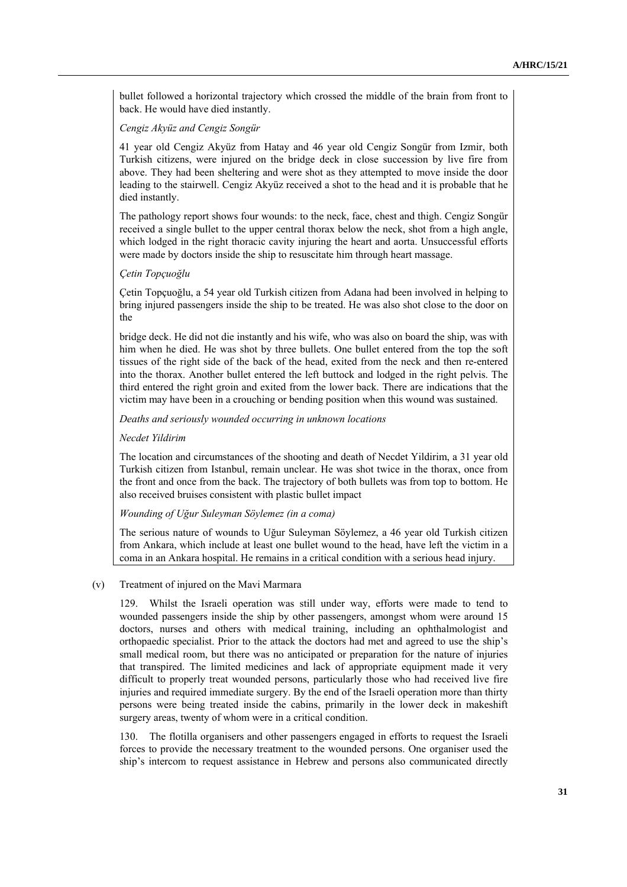bullet followed a horizontal trajectory which crossed the middle of the brain from front to back. He would have died instantly.

*Cengiz Akyüz and Cengiz Songür*

41 year old Cengiz Akyüz from Hatay and 46 year old Cengiz Songür from Izmir, both Turkish citizens, were injured on the bridge deck in close succession by live fire from above. They had been sheltering and were shot as they attempted to move inside the door leading to the stairwell. Cengiz Akyüz received a shot to the head and it is probable that he died instantly.

The pathology report shows four wounds: to the neck, face, chest and thigh. Cengiz Songür received a single bullet to the upper central thorax below the neck, shot from a high angle, which lodged in the right thoracic cavity injuring the heart and aorta. Unsuccessful efforts were made by doctors inside the ship to resuscitate him through heart massage.

# *Çetin Topçuoğlu*

Çetin Topçuoğlu, a 54 year old Turkish citizen from Adana had been involved in helping to bring injured passengers inside the ship to be treated. He was also shot close to the door on the

bridge deck. He did not die instantly and his wife, who was also on board the ship, was with him when he died. He was shot by three bullets. One bullet entered from the top the soft tissues of the right side of the back of the head, exited from the neck and then re-entered into the thorax. Another bullet entered the left buttock and lodged in the right pelvis. The third entered the right groin and exited from the lower back. There are indications that the victim may have been in a crouching or bending position when this wound was sustained.

*Deaths and seriously wounded occurring in unknown locations*

*Necdet Yildirim*

The location and circumstances of the shooting and death of Necdet Yildirim, a 31 year old Turkish citizen from Istanbul, remain unclear. He was shot twice in the thorax, once from the front and once from the back. The trajectory of both bullets was from top to bottom. He also received bruises consistent with plastic bullet impact

*Wounding of Uğur Suleyman Söylemez (in a coma)*

The serious nature of wounds to Uğur Suleyman Söylemez, a 46 year old Turkish citizen from Ankara, which include at least one bullet wound to the head, have left the victim in a coma in an Ankara hospital. He remains in a critical condition with a serious head injury.

# (v) Treatment of injured on the Mavi Marmara

129. Whilst the Israeli operation was still under way, efforts were made to tend to wounded passengers inside the ship by other passengers, amongst whom were around 15 doctors, nurses and others with medical training, including an ophthalmologist and orthopaedic specialist. Prior to the attack the doctors had met and agreed to use the ship's small medical room, but there was no anticipated or preparation for the nature of injuries that transpired. The limited medicines and lack of appropriate equipment made it very difficult to properly treat wounded persons, particularly those who had received live fire injuries and required immediate surgery. By the end of the Israeli operation more than thirty persons were being treated inside the cabins, primarily in the lower deck in makeshift surgery areas, twenty of whom were in a critical condition.

130. The flotilla organisers and other passengers engaged in efforts to request the Israeli forces to provide the necessary treatment to the wounded persons. One organiser used the ship's intercom to request assistance in Hebrew and persons also communicated directly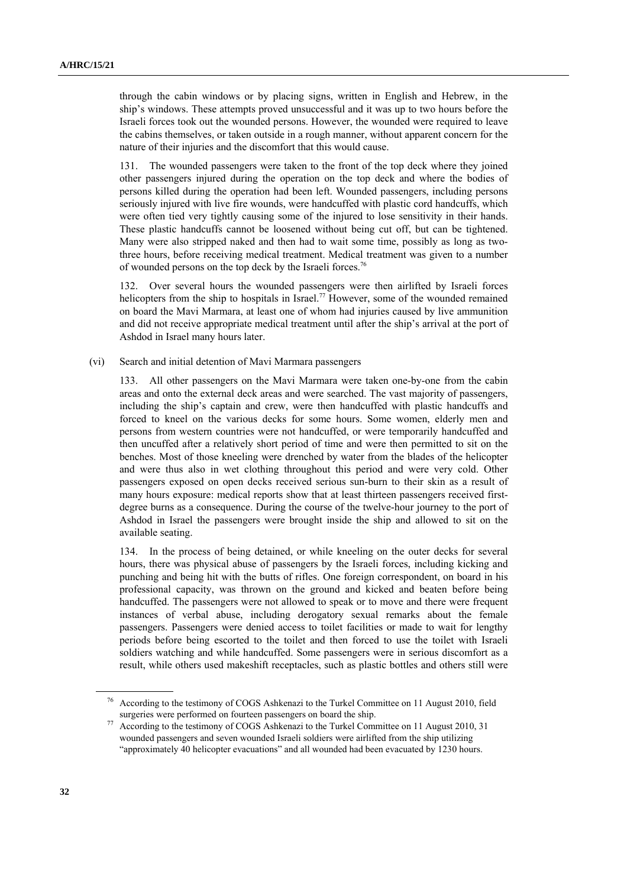through the cabin windows or by placing signs, written in English and Hebrew, in the ship's windows. These attempts proved unsuccessful and it was up to two hours before the Israeli forces took out the wounded persons. However, the wounded were required to leave the cabins themselves, or taken outside in a rough manner, without apparent concern for the nature of their injuries and the discomfort that this would cause.

131. The wounded passengers were taken to the front of the top deck where they joined other passengers injured during the operation on the top deck and where the bodies of persons killed during the operation had been left. Wounded passengers, including persons seriously injured with live fire wounds, were handcuffed with plastic cord handcuffs, which were often tied very tightly causing some of the injured to lose sensitivity in their hands. These plastic handcuffs cannot be loosened without being cut off, but can be tightened. Many were also stripped naked and then had to wait some time, possibly as long as twothree hours, before receiving medical treatment. Medical treatment was given to a number of wounded persons on the top deck by the Israeli forces.<sup>76</sup>

132. Over several hours the wounded passengers were then airlifted by Israeli forces helicopters from the ship to hospitals in Israel.<sup>77</sup> However, some of the wounded remained on board the Mavi Marmara, at least one of whom had injuries caused by live ammunition and did not receive appropriate medical treatment until after the ship's arrival at the port of Ashdod in Israel many hours later.

(vi) Search and initial detention of Mavi Marmara passengers

133. All other passengers on the Mavi Marmara were taken one-by-one from the cabin areas and onto the external deck areas and were searched. The vast majority of passengers, including the ship's captain and crew, were then handcuffed with plastic handcuffs and forced to kneel on the various decks for some hours. Some women, elderly men and persons from western countries were not handcuffed, or were temporarily handcuffed and then uncuffed after a relatively short period of time and were then permitted to sit on the benches. Most of those kneeling were drenched by water from the blades of the helicopter and were thus also in wet clothing throughout this period and were very cold. Other passengers exposed on open decks received serious sun-burn to their skin as a result of many hours exposure: medical reports show that at least thirteen passengers received firstdegree burns as a consequence. During the course of the twelve-hour journey to the port of Ashdod in Israel the passengers were brought inside the ship and allowed to sit on the available seating.

134. In the process of being detained, or while kneeling on the outer decks for several hours, there was physical abuse of passengers by the Israeli forces, including kicking and punching and being hit with the butts of rifles. One foreign correspondent, on board in his professional capacity, was thrown on the ground and kicked and beaten before being handcuffed. The passengers were not allowed to speak or to move and there were frequent instances of verbal abuse, including derogatory sexual remarks about the female passengers. Passengers were denied access to toilet facilities or made to wait for lengthy periods before being escorted to the toilet and then forced to use the toilet with Israeli soldiers watching and while handcuffed. Some passengers were in serious discomfort as a result, while others used makeshift receptacles, such as plastic bottles and others still were

<sup>76</sup> According to the testimony of COGS Ashkenazi to the Turkel Committee on 11 August 2010, field

surgeries were performed on fourteen passengers on board the ship.<br><sup>77</sup> According to the testimony of COGS Ashkenazi to the Turkel Committee on 11 August 2010, 31 wounded passengers and seven wounded Israeli soldiers were airlifted from the ship utilizing "approximately 40 helicopter evacuations" and all wounded had been evacuated by 1230 hours.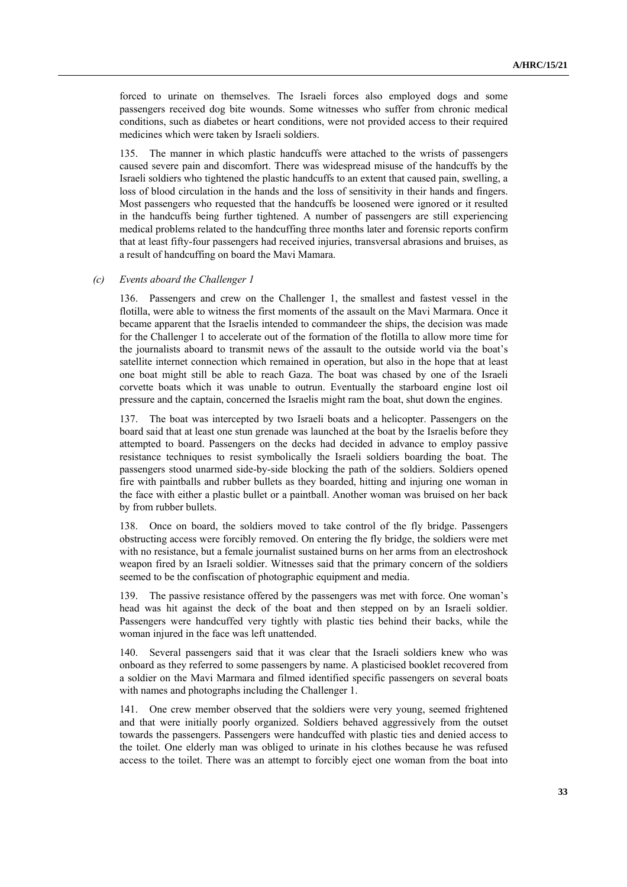forced to urinate on themselves. The Israeli forces also employed dogs and some passengers received dog bite wounds. Some witnesses who suffer from chronic medical conditions, such as diabetes or heart conditions, were not provided access to their required medicines which were taken by Israeli soldiers.

135. The manner in which plastic handcuffs were attached to the wrists of passengers caused severe pain and discomfort. There was widespread misuse of the handcuffs by the Israeli soldiers who tightened the plastic handcuffs to an extent that caused pain, swelling, a loss of blood circulation in the hands and the loss of sensitivity in their hands and fingers. Most passengers who requested that the handcuffs be loosened were ignored or it resulted in the handcuffs being further tightened. A number of passengers are still experiencing medical problems related to the handcuffing three months later and forensic reports confirm that at least fifty-four passengers had received injuries, transversal abrasions and bruises, as a result of handcuffing on board the Mavi Mamara.

#### *(c) Events aboard the Challenger 1*

136. Passengers and crew on the Challenger 1, the smallest and fastest vessel in the flotilla, were able to witness the first moments of the assault on the Mavi Marmara. Once it became apparent that the Israelis intended to commandeer the ships, the decision was made for the Challenger 1 to accelerate out of the formation of the flotilla to allow more time for the journalists aboard to transmit news of the assault to the outside world via the boat's satellite internet connection which remained in operation, but also in the hope that at least one boat might still be able to reach Gaza. The boat was chased by one of the Israeli corvette boats which it was unable to outrun. Eventually the starboard engine lost oil pressure and the captain, concerned the Israelis might ram the boat, shut down the engines.

137. The boat was intercepted by two Israeli boats and a helicopter. Passengers on the board said that at least one stun grenade was launched at the boat by the Israelis before they attempted to board. Passengers on the decks had decided in advance to employ passive resistance techniques to resist symbolically the Israeli soldiers boarding the boat. The passengers stood unarmed side-by-side blocking the path of the soldiers. Soldiers opened fire with paintballs and rubber bullets as they boarded, hitting and injuring one woman in the face with either a plastic bullet or a paintball. Another woman was bruised on her back by from rubber bullets.

138. Once on board, the soldiers moved to take control of the fly bridge. Passengers obstructing access were forcibly removed. On entering the fly bridge, the soldiers were met with no resistance, but a female journalist sustained burns on her arms from an electroshock weapon fired by an Israeli soldier. Witnesses said that the primary concern of the soldiers seemed to be the confiscation of photographic equipment and media.

139. The passive resistance offered by the passengers was met with force. One woman's head was hit against the deck of the boat and then stepped on by an Israeli soldier. Passengers were handcuffed very tightly with plastic ties behind their backs, while the woman injured in the face was left unattended.

140. Several passengers said that it was clear that the Israeli soldiers knew who was onboard as they referred to some passengers by name. A plasticised booklet recovered from a soldier on the Mavi Marmara and filmed identified specific passengers on several boats with names and photographs including the Challenger 1.

141. One crew member observed that the soldiers were very young, seemed frightened and that were initially poorly organized. Soldiers behaved aggressively from the outset towards the passengers. Passengers were handcuffed with plastic ties and denied access to the toilet. One elderly man was obliged to urinate in his clothes because he was refused access to the toilet. There was an attempt to forcibly eject one woman from the boat into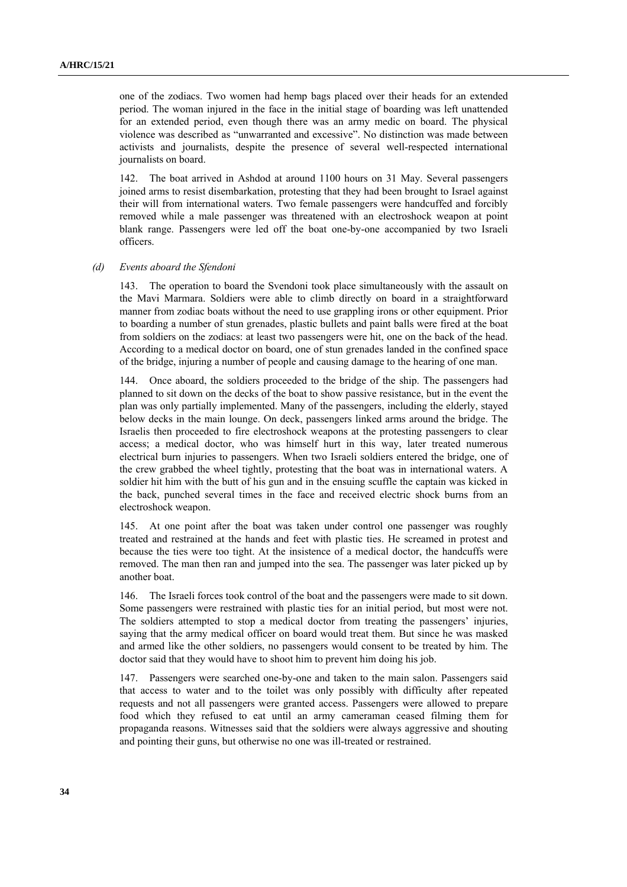one of the zodiacs. Two women had hemp bags placed over their heads for an extended period. The woman injured in the face in the initial stage of boarding was left unattended for an extended period, even though there was an army medic on board. The physical violence was described as "unwarranted and excessive". No distinction was made between activists and journalists, despite the presence of several well-respected international journalists on board.

142. The boat arrived in Ashdod at around 1100 hours on 31 May. Several passengers joined arms to resist disembarkation, protesting that they had been brought to Israel against their will from international waters. Two female passengers were handcuffed and forcibly removed while a male passenger was threatened with an electroshock weapon at point blank range. Passengers were led off the boat one-by-one accompanied by two Israeli officers.

#### *(d) Events aboard the Sfendoni*

143. The operation to board the Svendoni took place simultaneously with the assault on the Mavi Marmara. Soldiers were able to climb directly on board in a straightforward manner from zodiac boats without the need to use grappling irons or other equipment. Prior to boarding a number of stun grenades, plastic bullets and paint balls were fired at the boat from soldiers on the zodiacs: at least two passengers were hit, one on the back of the head. According to a medical doctor on board, one of stun grenades landed in the confined space of the bridge, injuring a number of people and causing damage to the hearing of one man.

144. Once aboard, the soldiers proceeded to the bridge of the ship. The passengers had planned to sit down on the decks of the boat to show passive resistance, but in the event the plan was only partially implemented. Many of the passengers, including the elderly, stayed below decks in the main lounge. On deck, passengers linked arms around the bridge. The Israelis then proceeded to fire electroshock weapons at the protesting passengers to clear access; a medical doctor, who was himself hurt in this way, later treated numerous electrical burn injuries to passengers. When two Israeli soldiers entered the bridge, one of the crew grabbed the wheel tightly, protesting that the boat was in international waters. A soldier hit him with the butt of his gun and in the ensuing scuffle the captain was kicked in the back, punched several times in the face and received electric shock burns from an electroshock weapon.

145. At one point after the boat was taken under control one passenger was roughly treated and restrained at the hands and feet with plastic ties. He screamed in protest and because the ties were too tight. At the insistence of a medical doctor, the handcuffs were removed. The man then ran and jumped into the sea. The passenger was later picked up by another boat.

146. The Israeli forces took control of the boat and the passengers were made to sit down. Some passengers were restrained with plastic ties for an initial period, but most were not. The soldiers attempted to stop a medical doctor from treating the passengers' injuries, saying that the army medical officer on board would treat them. But since he was masked and armed like the other soldiers, no passengers would consent to be treated by him. The doctor said that they would have to shoot him to prevent him doing his job.

147. Passengers were searched one-by-one and taken to the main salon. Passengers said that access to water and to the toilet was only possibly with difficulty after repeated requests and not all passengers were granted access. Passengers were allowed to prepare food which they refused to eat until an army cameraman ceased filming them for propaganda reasons. Witnesses said that the soldiers were always aggressive and shouting and pointing their guns, but otherwise no one was ill-treated or restrained.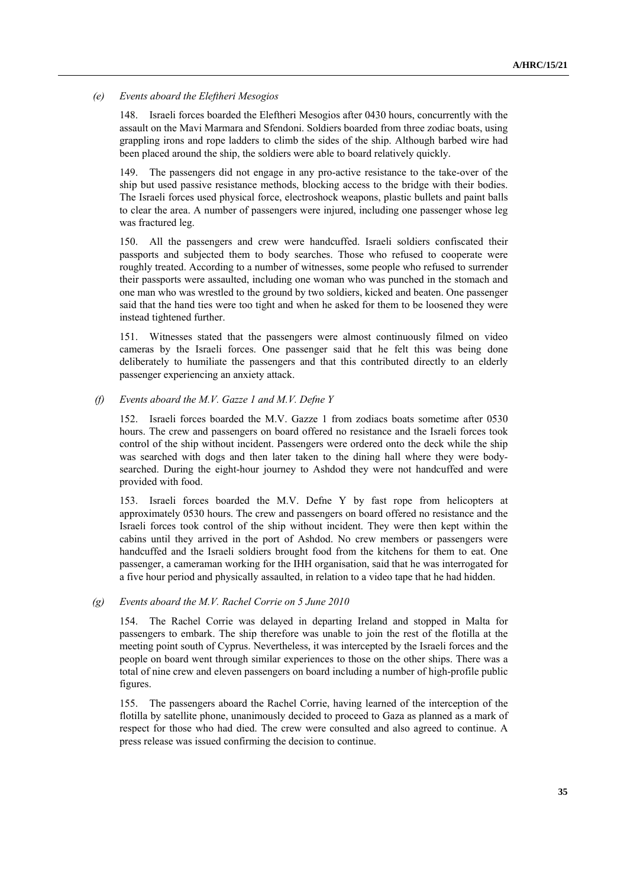## *(e) Events aboard the Eleftheri Mesogios*

148. Israeli forces boarded the Eleftheri Mesogios after 0430 hours, concurrently with the assault on the Mavi Marmara and Sfendoni. Soldiers boarded from three zodiac boats, using grappling irons and rope ladders to climb the sides of the ship. Although barbed wire had been placed around the ship, the soldiers were able to board relatively quickly.

149. The passengers did not engage in any pro-active resistance to the take-over of the ship but used passive resistance methods, blocking access to the bridge with their bodies. The Israeli forces used physical force, electroshock weapons, plastic bullets and paint balls to clear the area. A number of passengers were injured, including one passenger whose leg was fractured leg.

150. All the passengers and crew were handcuffed. Israeli soldiers confiscated their passports and subjected them to body searches. Those who refused to cooperate were roughly treated. According to a number of witnesses, some people who refused to surrender their passports were assaulted, including one woman who was punched in the stomach and one man who was wrestled to the ground by two soldiers, kicked and beaten. One passenger said that the hand ties were too tight and when he asked for them to be loosened they were instead tightened further.

151. Witnesses stated that the passengers were almost continuously filmed on video cameras by the Israeli forces. One passenger said that he felt this was being done deliberately to humiliate the passengers and that this contributed directly to an elderly passenger experiencing an anxiety attack.

# *(f) Events aboard the M.V. Gazze 1 and M.V. Defne Y*

152. Israeli forces boarded the M.V. Gazze 1 from zodiacs boats sometime after 0530 hours. The crew and passengers on board offered no resistance and the Israeli forces took control of the ship without incident. Passengers were ordered onto the deck while the ship was searched with dogs and then later taken to the dining hall where they were bodysearched. During the eight-hour journey to Ashdod they were not handcuffed and were provided with food.

153. Israeli forces boarded the M.V. Defne Y by fast rope from helicopters at approximately 0530 hours. The crew and passengers on board offered no resistance and the Israeli forces took control of the ship without incident. They were then kept within the cabins until they arrived in the port of Ashdod. No crew members or passengers were handcuffed and the Israeli soldiers brought food from the kitchens for them to eat. One passenger, a cameraman working for the IHH organisation, said that he was interrogated for a five hour period and physically assaulted, in relation to a video tape that he had hidden.

#### *(g) Events aboard the M.V. Rachel Corrie on 5 June 2010*

154. The Rachel Corrie was delayed in departing Ireland and stopped in Malta for passengers to embark. The ship therefore was unable to join the rest of the flotilla at the meeting point south of Cyprus. Nevertheless, it was intercepted by the Israeli forces and the people on board went through similar experiences to those on the other ships. There was a total of nine crew and eleven passengers on board including a number of high-profile public figures.

155. The passengers aboard the Rachel Corrie, having learned of the interception of the flotilla by satellite phone, unanimously decided to proceed to Gaza as planned as a mark of respect for those who had died. The crew were consulted and also agreed to continue. A press release was issued confirming the decision to continue.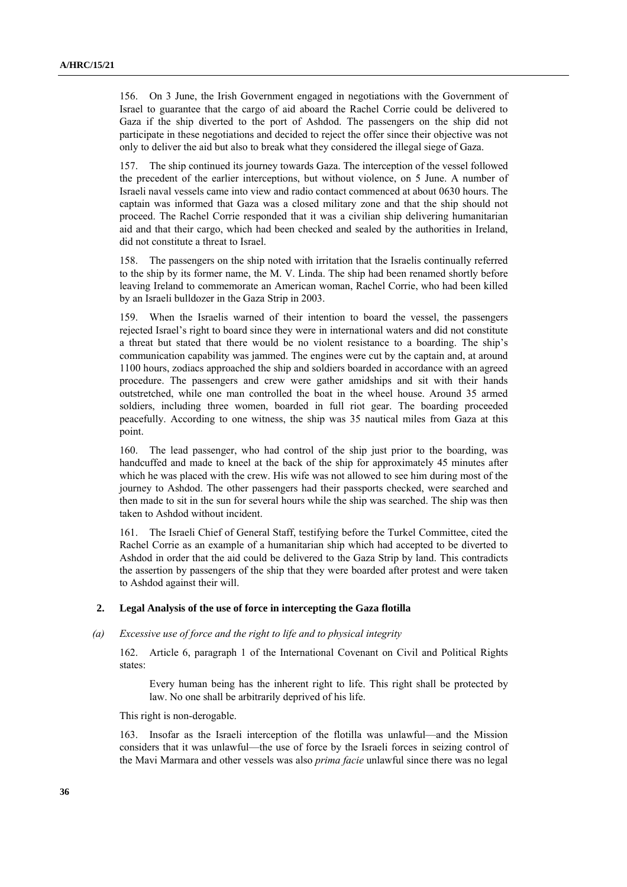156. On 3 June, the Irish Government engaged in negotiations with the Government of Israel to guarantee that the cargo of aid aboard the Rachel Corrie could be delivered to Gaza if the ship diverted to the port of Ashdod. The passengers on the ship did not participate in these negotiations and decided to reject the offer since their objective was not only to deliver the aid but also to break what they considered the illegal siege of Gaza.

157. The ship continued its journey towards Gaza. The interception of the vessel followed the precedent of the earlier interceptions, but without violence, on 5 June. A number of Israeli naval vessels came into view and radio contact commenced at about 0630 hours. The captain was informed that Gaza was a closed military zone and that the ship should not proceed. The Rachel Corrie responded that it was a civilian ship delivering humanitarian aid and that their cargo, which had been checked and sealed by the authorities in Ireland, did not constitute a threat to Israel.

158. The passengers on the ship noted with irritation that the Israelis continually referred to the ship by its former name, the M. V. Linda. The ship had been renamed shortly before leaving Ireland to commemorate an American woman, Rachel Corrie, who had been killed by an Israeli bulldozer in the Gaza Strip in 2003.

159. When the Israelis warned of their intention to board the vessel, the passengers rejected Israel's right to board since they were in international waters and did not constitute a threat but stated that there would be no violent resistance to a boarding. The ship's communication capability was jammed. The engines were cut by the captain and, at around 1100 hours, zodiacs approached the ship and soldiers boarded in accordance with an agreed procedure. The passengers and crew were gather amidships and sit with their hands outstretched, while one man controlled the boat in the wheel house. Around 35 armed soldiers, including three women, boarded in full riot gear. The boarding proceeded peacefully. According to one witness, the ship was 35 nautical miles from Gaza at this point.

160. The lead passenger, who had control of the ship just prior to the boarding, was handcuffed and made to kneel at the back of the ship for approximately 45 minutes after which he was placed with the crew. His wife was not allowed to see him during most of the journey to Ashdod. The other passengers had their passports checked, were searched and then made to sit in the sun for several hours while the ship was searched. The ship was then taken to Ashdod without incident.

161. The Israeli Chief of General Staff, testifying before the Turkel Committee, cited the Rachel Corrie as an example of a humanitarian ship which had accepted to be diverted to Ashdod in order that the aid could be delivered to the Gaza Strip by land. This contradicts the assertion by passengers of the ship that they were boarded after protest and were taken to Ashdod against their will.

#### **2. Legal Analysis of the use of force in intercepting the Gaza flotilla**

# *(a) Excessive use of force and the right to life and to physical integrity*

162. Article 6, paragraph 1 of the International Covenant on Civil and Political Rights states:

Every human being has the inherent right to life. This right shall be protected by law. No one shall be arbitrarily deprived of his life.

This right is non-derogable.

163. Insofar as the Israeli interception of the flotilla was unlawful—and the Mission considers that it was unlawful—the use of force by the Israeli forces in seizing control of the Mavi Marmara and other vessels was also *prima facie* unlawful since there was no legal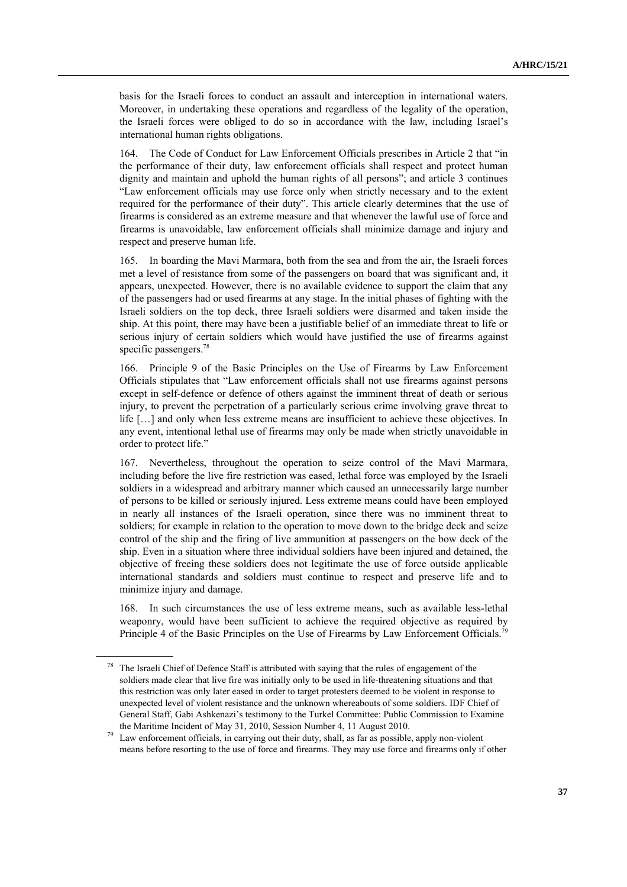basis for the Israeli forces to conduct an assault and interception in international waters. Moreover, in undertaking these operations and regardless of the legality of the operation, the Israeli forces were obliged to do so in accordance with the law, including Israel's international human rights obligations.

164. The Code of Conduct for Law Enforcement Officials prescribes in Article 2 that "in the performance of their duty, law enforcement officials shall respect and protect human dignity and maintain and uphold the human rights of all persons"; and article 3 continues "Law enforcement officials may use force only when strictly necessary and to the extent required for the performance of their duty". This article clearly determines that the use of firearms is considered as an extreme measure and that whenever the lawful use of force and firearms is unavoidable, law enforcement officials shall minimize damage and injury and respect and preserve human life.

165. In boarding the Mavi Marmara, both from the sea and from the air, the Israeli forces met a level of resistance from some of the passengers on board that was significant and, it appears, unexpected. However, there is no available evidence to support the claim that any of the passengers had or used firearms at any stage. In the initial phases of fighting with the Israeli soldiers on the top deck, three Israeli soldiers were disarmed and taken inside the ship. At this point, there may have been a justifiable belief of an immediate threat to life or serious injury of certain soldiers which would have justified the use of firearms against specific passengers.<sup>78</sup>

166. Principle 9 of the Basic Principles on the Use of Firearms by Law Enforcement Officials stipulates that "Law enforcement officials shall not use firearms against persons except in self-defence or defence of others against the imminent threat of death or serious injury, to prevent the perpetration of a particularly serious crime involving grave threat to life […] and only when less extreme means are insufficient to achieve these objectives. In any event, intentional lethal use of firearms may only be made when strictly unavoidable in order to protect life."

167. Nevertheless, throughout the operation to seize control of the Mavi Marmara, including before the live fire restriction was eased, lethal force was employed by the Israeli soldiers in a widespread and arbitrary manner which caused an unnecessarily large number of persons to be killed or seriously injured. Less extreme means could have been employed in nearly all instances of the Israeli operation, since there was no imminent threat to soldiers; for example in relation to the operation to move down to the bridge deck and seize control of the ship and the firing of live ammunition at passengers on the bow deck of the ship. Even in a situation where three individual soldiers have been injured and detained, the objective of freeing these soldiers does not legitimate the use of force outside applicable international standards and soldiers must continue to respect and preserve life and to minimize injury and damage.

168. In such circumstances the use of less extreme means, such as available less-lethal weaponry, would have been sufficient to achieve the required objective as required by Principle 4 of the Basic Principles on the Use of Firearms by Law Enforcement Officials.<sup>7</sup>

<sup>&</sup>lt;sup>78</sup> The Israeli Chief of Defence Staff is attributed with saying that the rules of engagement of the soldiers made clear that live fire was initially only to be used in life-threatening situations and that this restriction was only later eased in order to target protesters deemed to be violent in response to unexpected level of violent resistance and the unknown whereabouts of some soldiers. IDF Chief of General Staff, Gabi Ashkenazi's testimony to the Turkel Committee: Public Commission to Examine

the Maritime Incident of May 31, 2010, Session Number 4, 11 August 2010.<br><sup>79</sup> Law enforcement officials, in carrying out their duty, shall, as far as possible, apply non-violent means before resorting to the use of force and firearms. They may use force and firearms only if other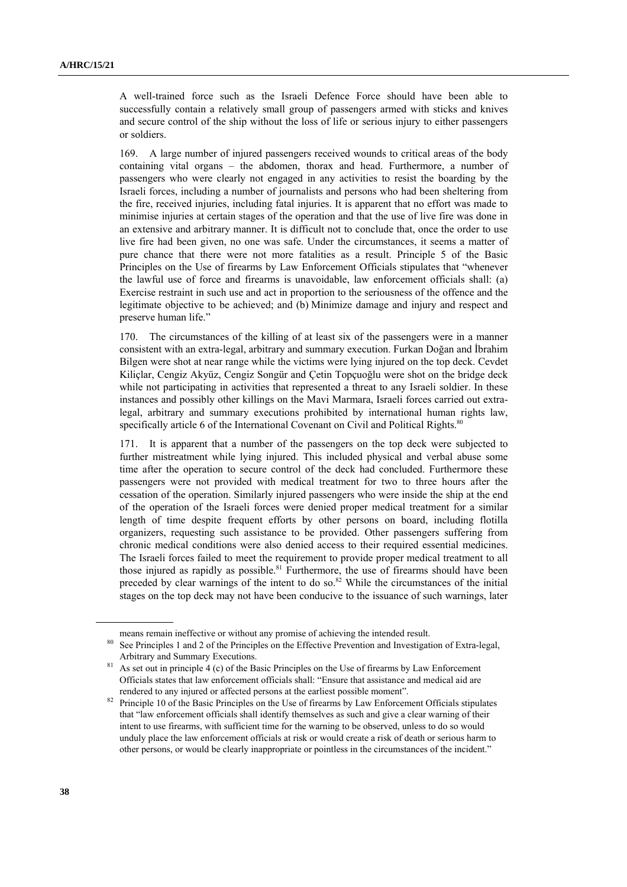A well-trained force such as the Israeli Defence Force should have been able to successfully contain a relatively small group of passengers armed with sticks and knives and secure control of the ship without the loss of life or serious injury to either passengers or soldiers.

169. A large number of injured passengers received wounds to critical areas of the body containing vital organs – the abdomen, thorax and head. Furthermore, a number of passengers who were clearly not engaged in any activities to resist the boarding by the Israeli forces, including a number of journalists and persons who had been sheltering from the fire, received injuries, including fatal injuries. It is apparent that no effort was made to minimise injuries at certain stages of the operation and that the use of live fire was done in an extensive and arbitrary manner. It is difficult not to conclude that, once the order to use live fire had been given, no one was safe. Under the circumstances, it seems a matter of pure chance that there were not more fatalities as a result. Principle 5 of the Basic Principles on the Use of firearms by Law Enforcement Officials stipulates that "whenever the lawful use of force and firearms is unavoidable, law enforcement officials shall: (a) Exercise restraint in such use and act in proportion to the seriousness of the offence and the legitimate objective to be achieved; and (b) Minimize damage and injury and respect and preserve human life."

170. The circumstances of the killing of at least six of the passengers were in a manner consistent with an extra-legal, arbitrary and summary execution. Furkan Doğan and İbrahim Bilgen were shot at near range while the victims were lying injured on the top deck. Cevdet Kiliçlar, Cengiz Akyüz, Cengiz Songür and Çetin Topçuoğlu were shot on the bridge deck while not participating in activities that represented a threat to any Israeli soldier. In these instances and possibly other killings on the Mavi Marmara, Israeli forces carried out extralegal, arbitrary and summary executions prohibited by international human rights law, specifically article 6 of the International Covenant on Civil and Political Rights.<sup>8</sup>

171. It is apparent that a number of the passengers on the top deck were subjected to further mistreatment while lying injured. This included physical and verbal abuse some time after the operation to secure control of the deck had concluded. Furthermore these passengers were not provided with medical treatment for two to three hours after the cessation of the operation. Similarly injured passengers who were inside the ship at the end of the operation of the Israeli forces were denied proper medical treatment for a similar length of time despite frequent efforts by other persons on board, including flotilla organizers, requesting such assistance to be provided. Other passengers suffering from chronic medical conditions were also denied access to their required essential medicines. The Israeli forces failed to meet the requirement to provide proper medical treatment to all those injured as rapidly as possible.<sup>81</sup> Furthermore, the use of firearms should have been preceded by clear warnings of the intent to do so. $82$  While the circumstances of the initial stages on the top deck may not have been conducive to the issuance of such warnings, later

means remain ineffective or without any promise of achieving the intended result.<br>See Principles 1 and 2 of the Principles on the Effective Prevention and Investigation of Extra-legal, Arbitrary and Summary Executions.<br><sup>81</sup> As set out in principle 4 (c) of the Basic Principles on the Use of firearms by Law Enforcement

Officials states that law enforcement officials shall: "Ensure that assistance and medical aid are

rendered to any injured or affected persons at the earliest possible moment". 82 Principle 10 of the Basic Principles on the Use of firearms by Law Enforcement Officials stipulates that "law enforcement officials shall identify themselves as such and give a clear warning of their intent to use firearms, with sufficient time for the warning to be observed, unless to do so would unduly place the law enforcement officials at risk or would create a risk of death or serious harm to other persons, or would be clearly inappropriate or pointless in the circumstances of the incident."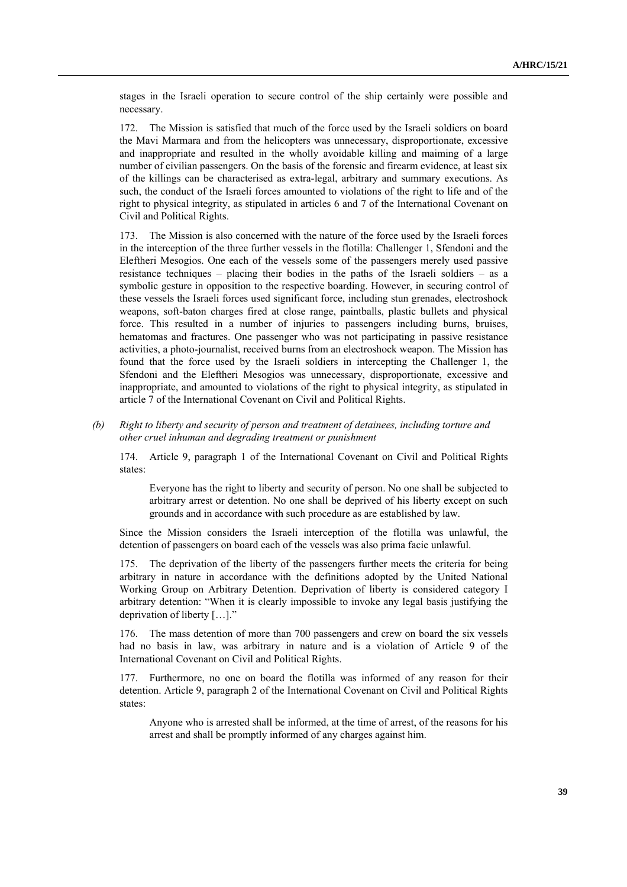stages in the Israeli operation to secure control of the ship certainly were possible and necessary.

172. The Mission is satisfied that much of the force used by the Israeli soldiers on board the Mavi Marmara and from the helicopters was unnecessary, disproportionate, excessive and inappropriate and resulted in the wholly avoidable killing and maiming of a large number of civilian passengers. On the basis of the forensic and firearm evidence, at least six of the killings can be characterised as extra-legal, arbitrary and summary executions. As such, the conduct of the Israeli forces amounted to violations of the right to life and of the right to physical integrity, as stipulated in articles 6 and 7 of the International Covenant on Civil and Political Rights.

173. The Mission is also concerned with the nature of the force used by the Israeli forces in the interception of the three further vessels in the flotilla: Challenger 1, Sfendoni and the Eleftheri Mesogios. One each of the vessels some of the passengers merely used passive resistance techniques – placing their bodies in the paths of the Israeli soldiers – as a symbolic gesture in opposition to the respective boarding. However, in securing control of these vessels the Israeli forces used significant force, including stun grenades, electroshock weapons, soft-baton charges fired at close range, paintballs, plastic bullets and physical force. This resulted in a number of injuries to passengers including burns, bruises, hematomas and fractures. One passenger who was not participating in passive resistance activities, a photo-journalist, received burns from an electroshock weapon. The Mission has found that the force used by the Israeli soldiers in intercepting the Challenger 1, the Sfendoni and the Eleftheri Mesogios was unnecessary, disproportionate, excessive and inappropriate, and amounted to violations of the right to physical integrity, as stipulated in article 7 of the International Covenant on Civil and Political Rights.

 *(b) Right to liberty and security of person and treatment of detainees, including torture and other cruel inhuman and degrading treatment or punishment* 

174. Article 9, paragraph 1 of the International Covenant on Civil and Political Rights states:

Everyone has the right to liberty and security of person. No one shall be subjected to arbitrary arrest or detention. No one shall be deprived of his liberty except on such grounds and in accordance with such procedure as are established by law.

Since the Mission considers the Israeli interception of the flotilla was unlawful, the detention of passengers on board each of the vessels was also prima facie unlawful.

175. The deprivation of the liberty of the passengers further meets the criteria for being arbitrary in nature in accordance with the definitions adopted by the United National Working Group on Arbitrary Detention. Deprivation of liberty is considered category I arbitrary detention: "When it is clearly impossible to invoke any legal basis justifying the deprivation of liberty […]."

176. The mass detention of more than 700 passengers and crew on board the six vessels had no basis in law, was arbitrary in nature and is a violation of Article 9 of the International Covenant on Civil and Political Rights.

177. Furthermore, no one on board the flotilla was informed of any reason for their detention. Article 9, paragraph 2 of the International Covenant on Civil and Political Rights states:

Anyone who is arrested shall be informed, at the time of arrest, of the reasons for his arrest and shall be promptly informed of any charges against him.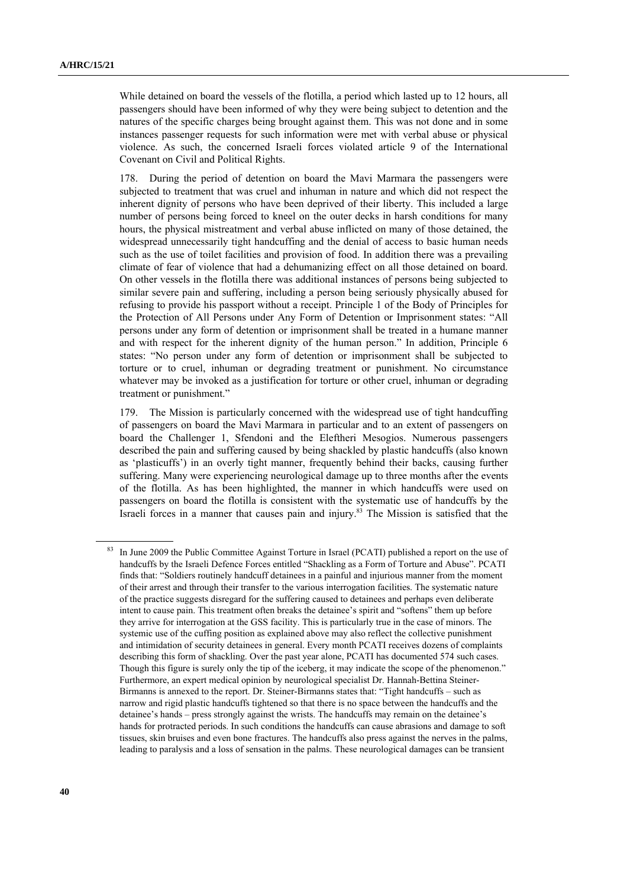While detained on board the vessels of the flotilla, a period which lasted up to 12 hours, all passengers should have been informed of why they were being subject to detention and the natures of the specific charges being brought against them. This was not done and in some instances passenger requests for such information were met with verbal abuse or physical violence. As such, the concerned Israeli forces violated article 9 of the International Covenant on Civil and Political Rights.

178. During the period of detention on board the Mavi Marmara the passengers were subjected to treatment that was cruel and inhuman in nature and which did not respect the inherent dignity of persons who have been deprived of their liberty. This included a large number of persons being forced to kneel on the outer decks in harsh conditions for many hours, the physical mistreatment and verbal abuse inflicted on many of those detained, the widespread unnecessarily tight handcuffing and the denial of access to basic human needs such as the use of toilet facilities and provision of food. In addition there was a prevailing climate of fear of violence that had a dehumanizing effect on all those detained on board. On other vessels in the flotilla there was additional instances of persons being subjected to similar severe pain and suffering, including a person being seriously physically abused for refusing to provide his passport without a receipt. Principle 1 of the Body of Principles for the Protection of All Persons under Any Form of Detention or Imprisonment states: "All persons under any form of detention or imprisonment shall be treated in a humane manner and with respect for the inherent dignity of the human person." In addition, Principle 6 states: "No person under any form of detention or imprisonment shall be subjected to torture or to cruel, inhuman or degrading treatment or punishment. No circumstance whatever may be invoked as a justification for torture or other cruel, inhuman or degrading treatment or punishment."

179. The Mission is particularly concerned with the widespread use of tight handcuffing of passengers on board the Mavi Marmara in particular and to an extent of passengers on board the Challenger 1, Sfendoni and the Eleftheri Mesogios. Numerous passengers described the pain and suffering caused by being shackled by plastic handcuffs (also known as 'plasticuffs') in an overly tight manner, frequently behind their backs, causing further suffering. Many were experiencing neurological damage up to three months after the events of the flotilla. As has been highlighted, the manner in which handcuffs were used on passengers on board the flotilla is consistent with the systematic use of handcuffs by the Israeli forces in a manner that causes pain and injury.<sup>83</sup> The Mission is satisfied that the

<sup>83</sup> In June 2009 the Public Committee Against Torture in Israel (PCATI) published a report on the use of handcuffs by the Israeli Defence Forces entitled "Shackling as a Form of Torture and Abuse". PCATI finds that: "Soldiers routinely handcuff detainees in a painful and injurious manner from the moment of their arrest and through their transfer to the various interrogation facilities. The systematic nature of the practice suggests disregard for the suffering caused to detainees and perhaps even deliberate intent to cause pain. This treatment often breaks the detainee's spirit and "softens" them up before they arrive for interrogation at the GSS facility. This is particularly true in the case of minors. The systemic use of the cuffing position as explained above may also reflect the collective punishment and intimidation of security detainees in general. Every month PCATI receives dozens of complaints describing this form of shackling. Over the past year alone, PCATI has documented 574 such cases. Though this figure is surely only the tip of the iceberg, it may indicate the scope of the phenomenon." Furthermore, an expert medical opinion by neurological specialist Dr. Hannah-Bettina Steiner-Birmanns is annexed to the report. Dr. Steiner-Birmanns states that: "Tight handcuffs – such as narrow and rigid plastic handcuffs tightened so that there is no space between the handcuffs and the detainee's hands – press strongly against the wrists. The handcuffs may remain on the detainee's hands for protracted periods. In such conditions the handcuffs can cause abrasions and damage to soft tissues, skin bruises and even bone fractures. The handcuffs also press against the nerves in the palms, leading to paralysis and a loss of sensation in the palms. These neurological damages can be transient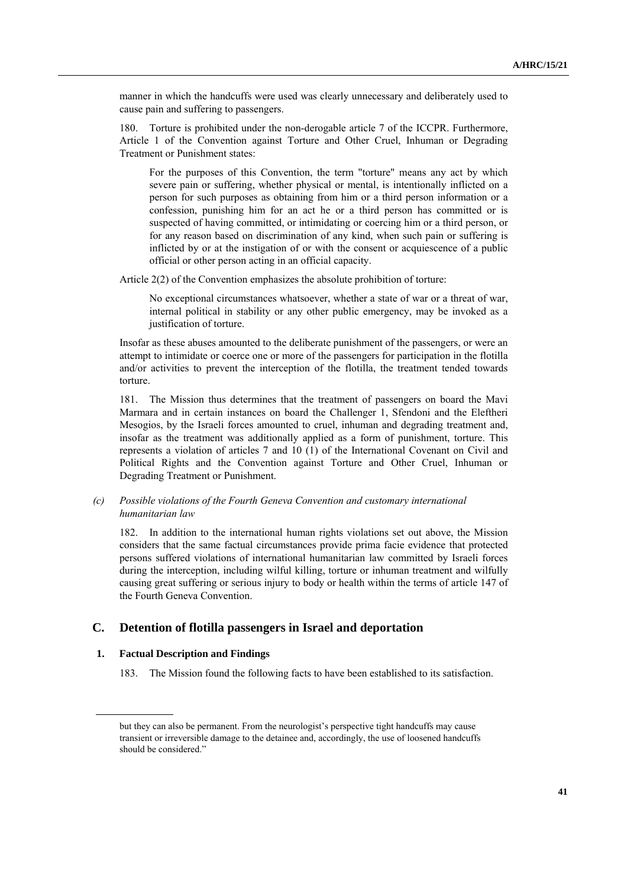manner in which the handcuffs were used was clearly unnecessary and deliberately used to cause pain and suffering to passengers.

180. Torture is prohibited under the non-derogable article 7 of the ICCPR. Furthermore, Article 1 of the Convention against Torture and Other Cruel, Inhuman or Degrading Treatment or Punishment states:

For the purposes of this Convention, the term "torture" means any act by which severe pain or suffering, whether physical or mental, is intentionally inflicted on a person for such purposes as obtaining from him or a third person information or a confession, punishing him for an act he or a third person has committed or is suspected of having committed, or intimidating or coercing him or a third person, or for any reason based on discrimination of any kind, when such pain or suffering is inflicted by or at the instigation of or with the consent or acquiescence of a public official or other person acting in an official capacity.

Article 2(2) of the Convention emphasizes the absolute prohibition of torture:

No exceptional circumstances whatsoever, whether a state of war or a threat of war, internal political in stability or any other public emergency, may be invoked as a justification of torture.

Insofar as these abuses amounted to the deliberate punishment of the passengers, or were an attempt to intimidate or coerce one or more of the passengers for participation in the flotilla and/or activities to prevent the interception of the flotilla, the treatment tended towards torture.

181. The Mission thus determines that the treatment of passengers on board the Mavi Marmara and in certain instances on board the Challenger 1, Sfendoni and the Eleftheri Mesogios, by the Israeli forces amounted to cruel, inhuman and degrading treatment and, insofar as the treatment was additionally applied as a form of punishment, torture. This represents a violation of articles 7 and 10 (1) of the International Covenant on Civil and Political Rights and the Convention against Torture and Other Cruel, Inhuman or Degrading Treatment or Punishment.

# *(c) Possible violations of the Fourth Geneva Convention and customary international humanitarian law*

182. In addition to the international human rights violations set out above, the Mission considers that the same factual circumstances provide prima facie evidence that protected persons suffered violations of international humanitarian law committed by Israeli forces during the interception, including wilful killing, torture or inhuman treatment and wilfully causing great suffering or serious injury to body or health within the terms of article 147 of the Fourth Geneva Convention.

# **C. Detention of flotilla passengers in Israel and deportation**

# **1. Factual Description and Findings**

183. The Mission found the following facts to have been established to its satisfaction.

but they can also be permanent. From the neurologist's perspective tight handcuffs may cause transient or irreversible damage to the detainee and, accordingly, the use of loosened handcuffs should be considered."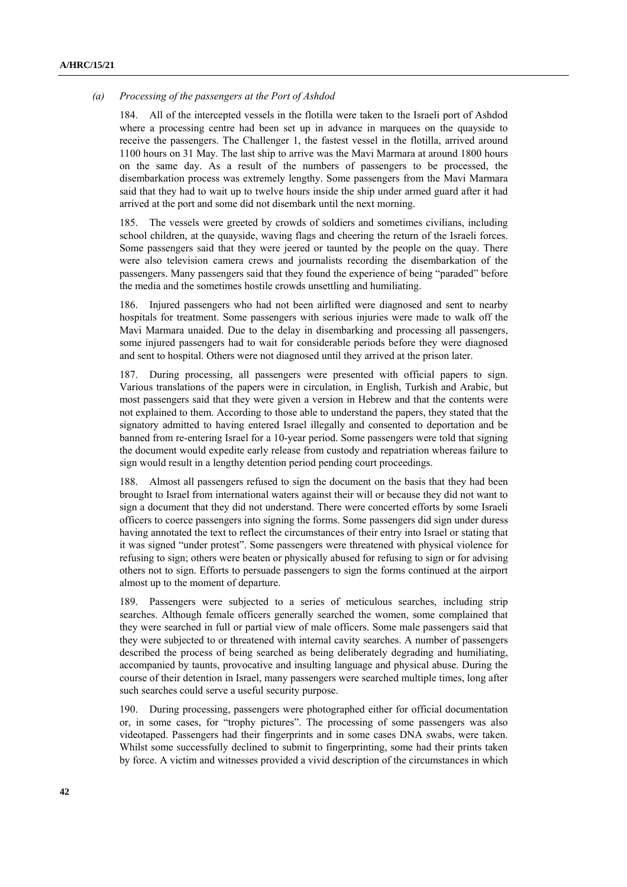# *(a) Processing of the passengers at the Port of Ashdod*

184. All of the intercepted vessels in the flotilla were taken to the Israeli port of Ashdod where a processing centre had been set up in advance in marquees on the quayside to receive the passengers. The Challenger 1, the fastest vessel in the flotilla, arrived around 1100 hours on 31 May. The last ship to arrive was the Mavi Marmara at around 1800 hours on the same day. As a result of the numbers of passengers to be processed, the disembarkation process was extremely lengthy. Some passengers from the Mavi Marmara said that they had to wait up to twelve hours inside the ship under armed guard after it had arrived at the port and some did not disembark until the next morning.

185. The vessels were greeted by crowds of soldiers and sometimes civilians, including school children, at the quayside, waving flags and cheering the return of the Israeli forces. Some passengers said that they were jeered or taunted by the people on the quay. There were also television camera crews and journalists recording the disembarkation of the passengers. Many passengers said that they found the experience of being "paraded" before the media and the sometimes hostile crowds unsettling and humiliating.

186. Injured passengers who had not been airlifted were diagnosed and sent to nearby hospitals for treatment. Some passengers with serious injuries were made to walk off the Mavi Marmara unaided. Due to the delay in disembarking and processing all passengers, some injured passengers had to wait for considerable periods before they were diagnosed and sent to hospital. Others were not diagnosed until they arrived at the prison later.

187. During processing, all passengers were presented with official papers to sign. Various translations of the papers were in circulation, in English, Turkish and Arabic, but most passengers said that they were given a version in Hebrew and that the contents were not explained to them. According to those able to understand the papers, they stated that the signatory admitted to having entered Israel illegally and consented to deportation and be banned from re-entering Israel for a 10-year period. Some passengers were told that signing the document would expedite early release from custody and repatriation whereas failure to sign would result in a lengthy detention period pending court proceedings.

188. Almost all passengers refused to sign the document on the basis that they had been brought to Israel from international waters against their will or because they did not want to sign a document that they did not understand. There were concerted efforts by some Israeli officers to coerce passengers into signing the forms. Some passengers did sign under duress having annotated the text to reflect the circumstances of their entry into Israel or stating that it was signed "under protest". Some passengers were threatened with physical violence for refusing to sign; others were beaten or physically abused for refusing to sign or for advising others not to sign. Efforts to persuade passengers to sign the forms continued at the airport almost up to the moment of departure.

189. Passengers were subjected to a series of meticulous searches, including strip searches. Although female officers generally searched the women, some complained that they were searched in full or partial view of male officers. Some male passengers said that they were subjected to or threatened with internal cavity searches. A number of passengers described the process of being searched as being deliberately degrading and humiliating, accompanied by taunts, provocative and insulting language and physical abuse. During the course of their detention in Israel, many passengers were searched multiple times, long after such searches could serve a useful security purpose.

190. During processing, passengers were photographed either for official documentation or, in some cases, for "trophy pictures". The processing of some passengers was also videotaped. Passengers had their fingerprints and in some cases DNA swabs, were taken. Whilst some successfully declined to submit to fingerprinting, some had their prints taken by force. A victim and witnesses provided a vivid description of the circumstances in which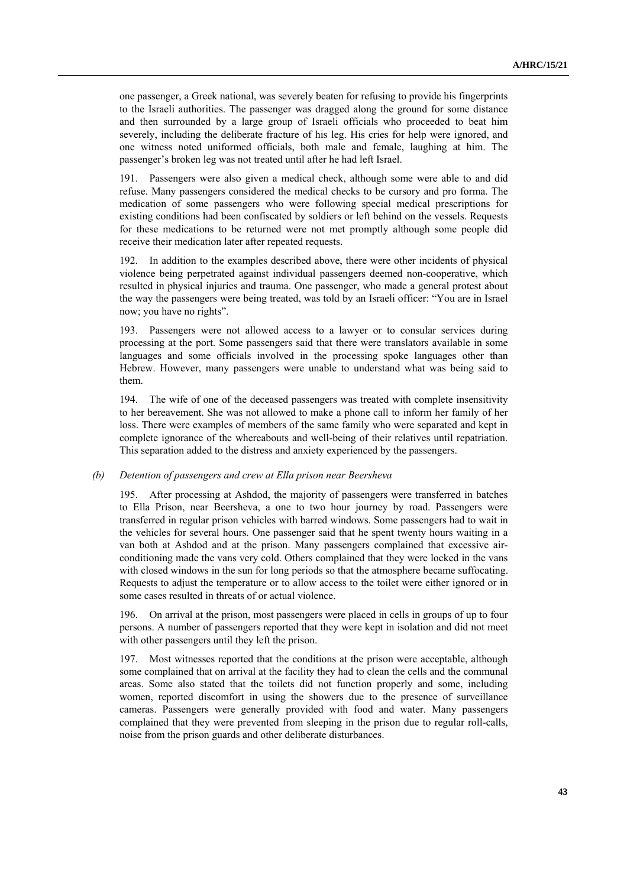one passenger, a Greek national, was severely beaten for refusing to provide his fingerprints to the Israeli authorities. The passenger was dragged along the ground for some distance and then surrounded by a large group of Israeli officials who proceeded to beat him severely, including the deliberate fracture of his leg. His cries for help were ignored, and one witness noted uniformed officials, both male and female, laughing at him. The passenger's broken leg was not treated until after he had left Israel.

191. Passengers were also given a medical check, although some were able to and did refuse. Many passengers considered the medical checks to be cursory and pro forma. The medication of some passengers who were following special medical prescriptions for existing conditions had been confiscated by soldiers or left behind on the vessels. Requests for these medications to be returned were not met promptly although some people did receive their medication later after repeated requests.

192. In addition to the examples described above, there were other incidents of physical violence being perpetrated against individual passengers deemed non-cooperative, which resulted in physical injuries and trauma. One passenger, who made a general protest about the way the passengers were being treated, was told by an Israeli officer: "You are in Israel now; you have no rights".

193. Passengers were not allowed access to a lawyer or to consular services during processing at the port. Some passengers said that there were translators available in some languages and some officials involved in the processing spoke languages other than Hebrew. However, many passengers were unable to understand what was being said to them.

194. The wife of one of the deceased passengers was treated with complete insensitivity to her bereavement. She was not allowed to make a phone call to inform her family of her loss. There were examples of members of the same family who were separated and kept in complete ignorance of the whereabouts and well-being of their relatives until repatriation. This separation added to the distress and anxiety experienced by the passengers.

#### *(b) Detention of passengers and crew at Ella prison near Beersheva*

195. After processing at Ashdod, the majority of passengers were transferred in batches to Ella Prison, near Beersheva, a one to two hour journey by road. Passengers were transferred in regular prison vehicles with barred windows. Some passengers had to wait in the vehicles for several hours. One passenger said that he spent twenty hours waiting in a van both at Ashdod and at the prison. Many passengers complained that excessive airconditioning made the vans very cold. Others complained that they were locked in the vans with closed windows in the sun for long periods so that the atmosphere became suffocating. Requests to adjust the temperature or to allow access to the toilet were either ignored or in some cases resulted in threats of or actual violence.

196. On arrival at the prison, most passengers were placed in cells in groups of up to four persons. A number of passengers reported that they were kept in isolation and did not meet with other passengers until they left the prison.

197. Most witnesses reported that the conditions at the prison were acceptable, although some complained that on arrival at the facility they had to clean the cells and the communal areas. Some also stated that the toilets did not function properly and some, including women, reported discomfort in using the showers due to the presence of surveillance cameras. Passengers were generally provided with food and water. Many passengers complained that they were prevented from sleeping in the prison due to regular roll-calls, noise from the prison guards and other deliberate disturbances.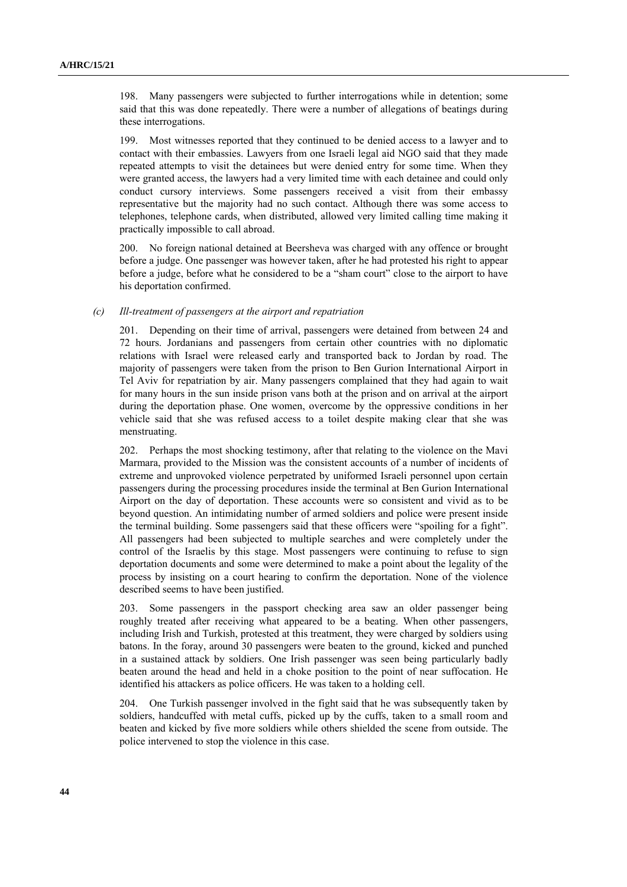198. Many passengers were subjected to further interrogations while in detention; some said that this was done repeatedly. There were a number of allegations of beatings during these interrogations.

199. Most witnesses reported that they continued to be denied access to a lawyer and to contact with their embassies. Lawyers from one Israeli legal aid NGO said that they made repeated attempts to visit the detainees but were denied entry for some time. When they were granted access, the lawyers had a very limited time with each detainee and could only conduct cursory interviews. Some passengers received a visit from their embassy representative but the majority had no such contact. Although there was some access to telephones, telephone cards, when distributed, allowed very limited calling time making it practically impossible to call abroad.

200. No foreign national detained at Beersheva was charged with any offence or brought before a judge. One passenger was however taken, after he had protested his right to appear before a judge, before what he considered to be a "sham court" close to the airport to have his deportation confirmed.

#### *(c) Ill-treatment of passengers at the airport and repatriation*

201. Depending on their time of arrival, passengers were detained from between 24 and 72 hours. Jordanians and passengers from certain other countries with no diplomatic relations with Israel were released early and transported back to Jordan by road. The majority of passengers were taken from the prison to Ben Gurion International Airport in Tel Aviv for repatriation by air. Many passengers complained that they had again to wait for many hours in the sun inside prison vans both at the prison and on arrival at the airport during the deportation phase. One women, overcome by the oppressive conditions in her vehicle said that she was refused access to a toilet despite making clear that she was menstruating.

202. Perhaps the most shocking testimony, after that relating to the violence on the Mavi Marmara, provided to the Mission was the consistent accounts of a number of incidents of extreme and unprovoked violence perpetrated by uniformed Israeli personnel upon certain passengers during the processing procedures inside the terminal at Ben Gurion International Airport on the day of deportation. These accounts were so consistent and vivid as to be beyond question. An intimidating number of armed soldiers and police were present inside the terminal building. Some passengers said that these officers were "spoiling for a fight". All passengers had been subjected to multiple searches and were completely under the control of the Israelis by this stage. Most passengers were continuing to refuse to sign deportation documents and some were determined to make a point about the legality of the process by insisting on a court hearing to confirm the deportation. None of the violence described seems to have been justified.

203. Some passengers in the passport checking area saw an older passenger being roughly treated after receiving what appeared to be a beating. When other passengers, including Irish and Turkish, protested at this treatment, they were charged by soldiers using batons. In the foray, around 30 passengers were beaten to the ground, kicked and punched in a sustained attack by soldiers. One Irish passenger was seen being particularly badly beaten around the head and held in a choke position to the point of near suffocation. He identified his attackers as police officers. He was taken to a holding cell.

204. One Turkish passenger involved in the fight said that he was subsequently taken by soldiers, handcuffed with metal cuffs, picked up by the cuffs, taken to a small room and beaten and kicked by five more soldiers while others shielded the scene from outside. The police intervened to stop the violence in this case.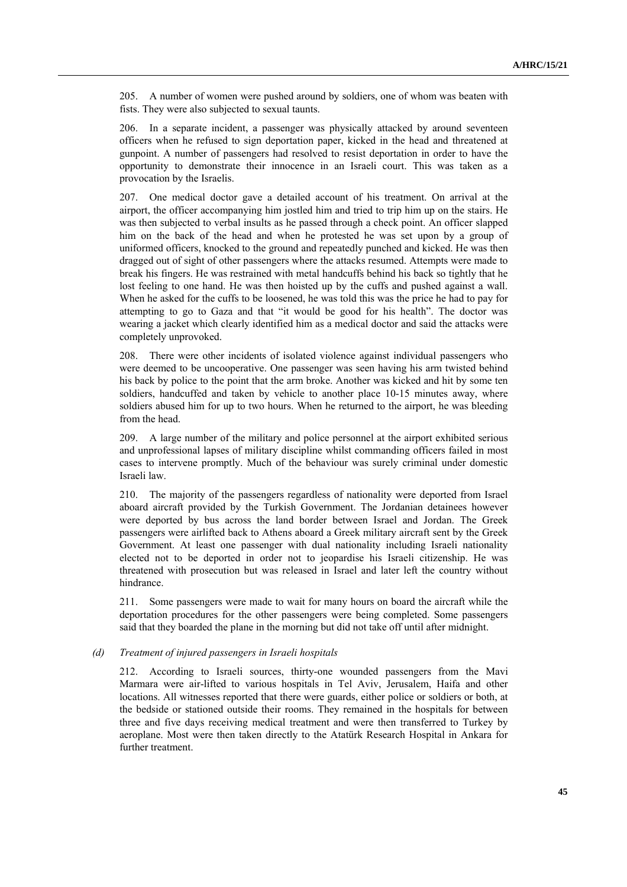205. A number of women were pushed around by soldiers, one of whom was beaten with fists. They were also subjected to sexual taunts.

206. In a separate incident, a passenger was physically attacked by around seventeen officers when he refused to sign deportation paper, kicked in the head and threatened at gunpoint. A number of passengers had resolved to resist deportation in order to have the opportunity to demonstrate their innocence in an Israeli court. This was taken as a provocation by the Israelis.

207. One medical doctor gave a detailed account of his treatment. On arrival at the airport, the officer accompanying him jostled him and tried to trip him up on the stairs. He was then subjected to verbal insults as he passed through a check point. An officer slapped him on the back of the head and when he protested he was set upon by a group of uniformed officers, knocked to the ground and repeatedly punched and kicked. He was then dragged out of sight of other passengers where the attacks resumed. Attempts were made to break his fingers. He was restrained with metal handcuffs behind his back so tightly that he lost feeling to one hand. He was then hoisted up by the cuffs and pushed against a wall. When he asked for the cuffs to be loosened, he was told this was the price he had to pay for attempting to go to Gaza and that "it would be good for his health". The doctor was wearing a jacket which clearly identified him as a medical doctor and said the attacks were completely unprovoked.

208. There were other incidents of isolated violence against individual passengers who were deemed to be uncooperative. One passenger was seen having his arm twisted behind his back by police to the point that the arm broke. Another was kicked and hit by some ten soldiers, handcuffed and taken by vehicle to another place 10-15 minutes away, where soldiers abused him for up to two hours. When he returned to the airport, he was bleeding from the head.

209. A large number of the military and police personnel at the airport exhibited serious and unprofessional lapses of military discipline whilst commanding officers failed in most cases to intervene promptly. Much of the behaviour was surely criminal under domestic Israeli law.

210. The majority of the passengers regardless of nationality were deported from Israel aboard aircraft provided by the Turkish Government. The Jordanian detainees however were deported by bus across the land border between Israel and Jordan. The Greek passengers were airlifted back to Athens aboard a Greek military aircraft sent by the Greek Government. At least one passenger with dual nationality including Israeli nationality elected not to be deported in order not to jeopardise his Israeli citizenship. He was threatened with prosecution but was released in Israel and later left the country without hindrance.

211. Some passengers were made to wait for many hours on board the aircraft while the deportation procedures for the other passengers were being completed. Some passengers said that they boarded the plane in the morning but did not take off until after midnight.

#### *(d) Treatment of injured passengers in Israeli hospitals*

212. According to Israeli sources, thirty-one wounded passengers from the Mavi Marmara were air-lifted to various hospitals in Tel Aviv, Jerusalem, Haifa and other locations. All witnesses reported that there were guards, either police or soldiers or both, at the bedside or stationed outside their rooms. They remained in the hospitals for between three and five days receiving medical treatment and were then transferred to Turkey by aeroplane. Most were then taken directly to the Atatürk Research Hospital in Ankara for further treatment.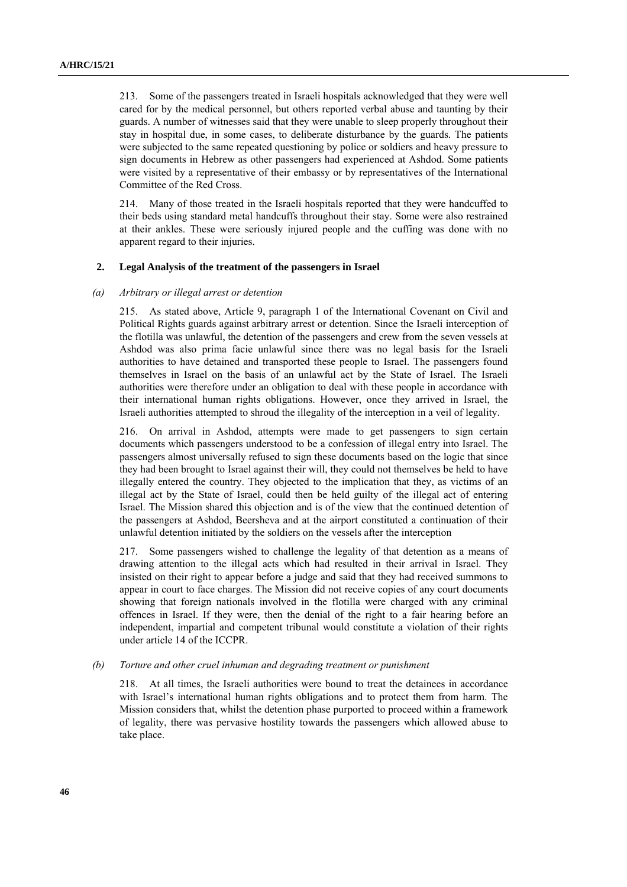213. Some of the passengers treated in Israeli hospitals acknowledged that they were well cared for by the medical personnel, but others reported verbal abuse and taunting by their guards. A number of witnesses said that they were unable to sleep properly throughout their stay in hospital due, in some cases, to deliberate disturbance by the guards. The patients were subjected to the same repeated questioning by police or soldiers and heavy pressure to sign documents in Hebrew as other passengers had experienced at Ashdod. Some patients were visited by a representative of their embassy or by representatives of the International Committee of the Red Cross.

214. Many of those treated in the Israeli hospitals reported that they were handcuffed to their beds using standard metal handcuffs throughout their stay. Some were also restrained at their ankles. These were seriously injured people and the cuffing was done with no apparent regard to their injuries.

#### **2. Legal Analysis of the treatment of the passengers in Israel**

#### *(a) Arbitrary or illegal arrest or detention*

215. As stated above, Article 9, paragraph 1 of the International Covenant on Civil and Political Rights guards against arbitrary arrest or detention. Since the Israeli interception of the flotilla was unlawful, the detention of the passengers and crew from the seven vessels at Ashdod was also prima facie unlawful since there was no legal basis for the Israeli authorities to have detained and transported these people to Israel. The passengers found themselves in Israel on the basis of an unlawful act by the State of Israel. The Israeli authorities were therefore under an obligation to deal with these people in accordance with their international human rights obligations. However, once they arrived in Israel, the Israeli authorities attempted to shroud the illegality of the interception in a veil of legality.

216. On arrival in Ashdod, attempts were made to get passengers to sign certain documents which passengers understood to be a confession of illegal entry into Israel. The passengers almost universally refused to sign these documents based on the logic that since they had been brought to Israel against their will, they could not themselves be held to have illegally entered the country. They objected to the implication that they, as victims of an illegal act by the State of Israel, could then be held guilty of the illegal act of entering Israel. The Mission shared this objection and is of the view that the continued detention of the passengers at Ashdod, Beersheva and at the airport constituted a continuation of their unlawful detention initiated by the soldiers on the vessels after the interception

217. Some passengers wished to challenge the legality of that detention as a means of drawing attention to the illegal acts which had resulted in their arrival in Israel. They insisted on their right to appear before a judge and said that they had received summons to appear in court to face charges. The Mission did not receive copies of any court documents showing that foreign nationals involved in the flotilla were charged with any criminal offences in Israel. If they were, then the denial of the right to a fair hearing before an independent, impartial and competent tribunal would constitute a violation of their rights under article 14 of the ICCPR.

#### *(b) Torture and other cruel inhuman and degrading treatment or punishment*

218. At all times, the Israeli authorities were bound to treat the detainees in accordance with Israel's international human rights obligations and to protect them from harm. The Mission considers that, whilst the detention phase purported to proceed within a framework of legality, there was pervasive hostility towards the passengers which allowed abuse to take place.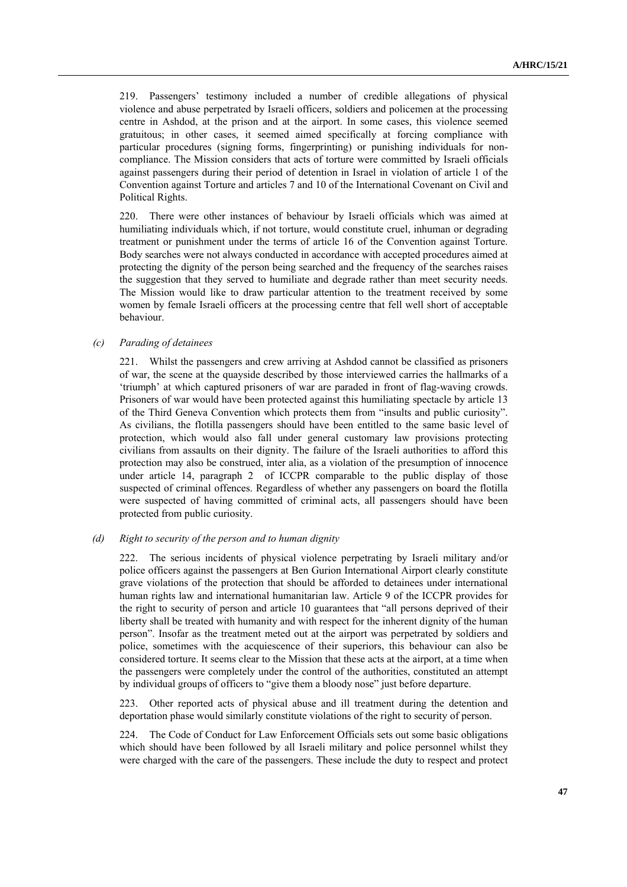219. Passengers' testimony included a number of credible allegations of physical violence and abuse perpetrated by Israeli officers, soldiers and policemen at the processing centre in Ashdod, at the prison and at the airport. In some cases, this violence seemed gratuitous; in other cases, it seemed aimed specifically at forcing compliance with particular procedures (signing forms, fingerprinting) or punishing individuals for noncompliance. The Mission considers that acts of torture were committed by Israeli officials against passengers during their period of detention in Israel in violation of article 1 of the Convention against Torture and articles 7 and 10 of the International Covenant on Civil and Political Rights.

220. There were other instances of behaviour by Israeli officials which was aimed at humiliating individuals which, if not torture, would constitute cruel, inhuman or degrading treatment or punishment under the terms of article 16 of the Convention against Torture. Body searches were not always conducted in accordance with accepted procedures aimed at protecting the dignity of the person being searched and the frequency of the searches raises the suggestion that they served to humiliate and degrade rather than meet security needs. The Mission would like to draw particular attention to the treatment received by some women by female Israeli officers at the processing centre that fell well short of acceptable behaviour.

# *(c) Parading of detainees*

221. Whilst the passengers and crew arriving at Ashdod cannot be classified as prisoners of war, the scene at the quayside described by those interviewed carries the hallmarks of a 'triumph' at which captured prisoners of war are paraded in front of flag-waving crowds. Prisoners of war would have been protected against this humiliating spectacle by article 13 of the Third Geneva Convention which protects them from "insults and public curiosity". As civilians, the flotilla passengers should have been entitled to the same basic level of protection, which would also fall under general customary law provisions protecting civilians from assaults on their dignity. The failure of the Israeli authorities to afford this protection may also be construed, inter alia, as a violation of the presumption of innocence under article 14, paragraph 2 of ICCPR comparable to the public display of those suspected of criminal offences. Regardless of whether any passengers on board the flotilla were suspected of having committed of criminal acts, all passengers should have been protected from public curiosity.

# *(d) Right to security of the person and to human dignity*

222. The serious incidents of physical violence perpetrating by Israeli military and/or police officers against the passengers at Ben Gurion International Airport clearly constitute grave violations of the protection that should be afforded to detainees under international human rights law and international humanitarian law. Article 9 of the ICCPR provides for the right to security of person and article 10 guarantees that "all persons deprived of their liberty shall be treated with humanity and with respect for the inherent dignity of the human person". Insofar as the treatment meted out at the airport was perpetrated by soldiers and police, sometimes with the acquiescence of their superiors, this behaviour can also be considered torture. It seems clear to the Mission that these acts at the airport, at a time when the passengers were completely under the control of the authorities, constituted an attempt by individual groups of officers to "give them a bloody nose" just before departure.

223. Other reported acts of physical abuse and ill treatment during the detention and deportation phase would similarly constitute violations of the right to security of person.

224. The Code of Conduct for Law Enforcement Officials sets out some basic obligations which should have been followed by all Israeli military and police personnel whilst they were charged with the care of the passengers. These include the duty to respect and protect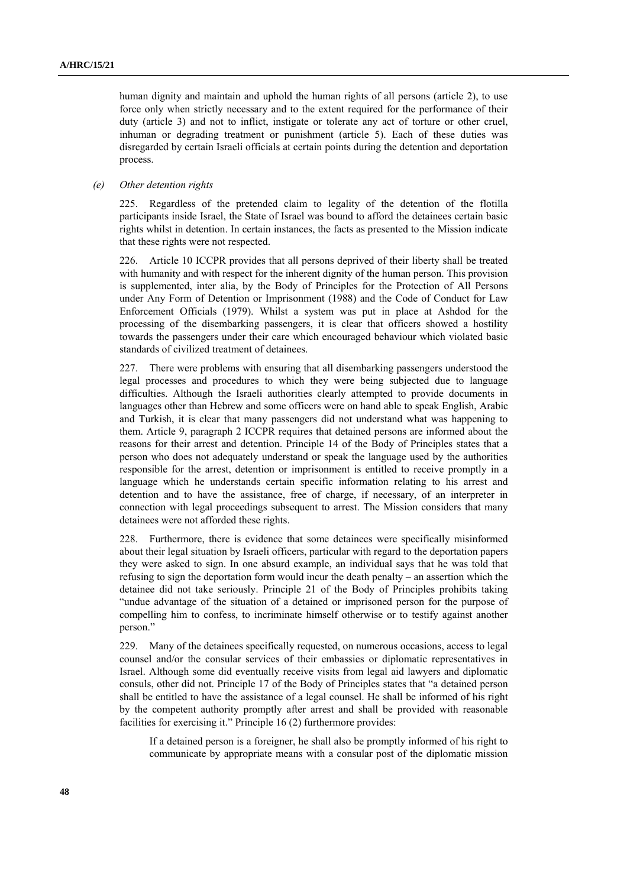human dignity and maintain and uphold the human rights of all persons (article 2), to use force only when strictly necessary and to the extent required for the performance of their duty (article 3) and not to inflict, instigate or tolerate any act of torture or other cruel, inhuman or degrading treatment or punishment (article 5). Each of these duties was disregarded by certain Israeli officials at certain points during the detention and deportation process.

#### *(e) Other detention rights*

225. Regardless of the pretended claim to legality of the detention of the flotilla participants inside Israel, the State of Israel was bound to afford the detainees certain basic rights whilst in detention. In certain instances, the facts as presented to the Mission indicate that these rights were not respected.

226. Article 10 ICCPR provides that all persons deprived of their liberty shall be treated with humanity and with respect for the inherent dignity of the human person. This provision is supplemented, inter alia, by the Body of Principles for the Protection of All Persons under Any Form of Detention or Imprisonment (1988) and the Code of Conduct for Law Enforcement Officials (1979). Whilst a system was put in place at Ashdod for the processing of the disembarking passengers, it is clear that officers showed a hostility towards the passengers under their care which encouraged behaviour which violated basic standards of civilized treatment of detainees.

227. There were problems with ensuring that all disembarking passengers understood the legal processes and procedures to which they were being subjected due to language difficulties. Although the Israeli authorities clearly attempted to provide documents in languages other than Hebrew and some officers were on hand able to speak English, Arabic and Turkish, it is clear that many passengers did not understand what was happening to them. Article 9, paragraph 2 ICCPR requires that detained persons are informed about the reasons for their arrest and detention. Principle 14 of the Body of Principles states that a person who does not adequately understand or speak the language used by the authorities responsible for the arrest, detention or imprisonment is entitled to receive promptly in a language which he understands certain specific information relating to his arrest and detention and to have the assistance, free of charge, if necessary, of an interpreter in connection with legal proceedings subsequent to arrest. The Mission considers that many detainees were not afforded these rights.

228. Furthermore, there is evidence that some detainees were specifically misinformed about their legal situation by Israeli officers, particular with regard to the deportation papers they were asked to sign. In one absurd example, an individual says that he was told that refusing to sign the deportation form would incur the death penalty – an assertion which the detainee did not take seriously. Principle 21 of the Body of Principles prohibits taking "undue advantage of the situation of a detained or imprisoned person for the purpose of compelling him to confess, to incriminate himself otherwise or to testify against another person."

229. Many of the detainees specifically requested, on numerous occasions, access to legal counsel and/or the consular services of their embassies or diplomatic representatives in Israel. Although some did eventually receive visits from legal aid lawyers and diplomatic consuls, other did not. Principle 17 of the Body of Principles states that "a detained person shall be entitled to have the assistance of a legal counsel. He shall be informed of his right by the competent authority promptly after arrest and shall be provided with reasonable facilities for exercising it." Principle 16 (2) furthermore provides:

If a detained person is a foreigner, he shall also be promptly informed of his right to communicate by appropriate means with a consular post of the diplomatic mission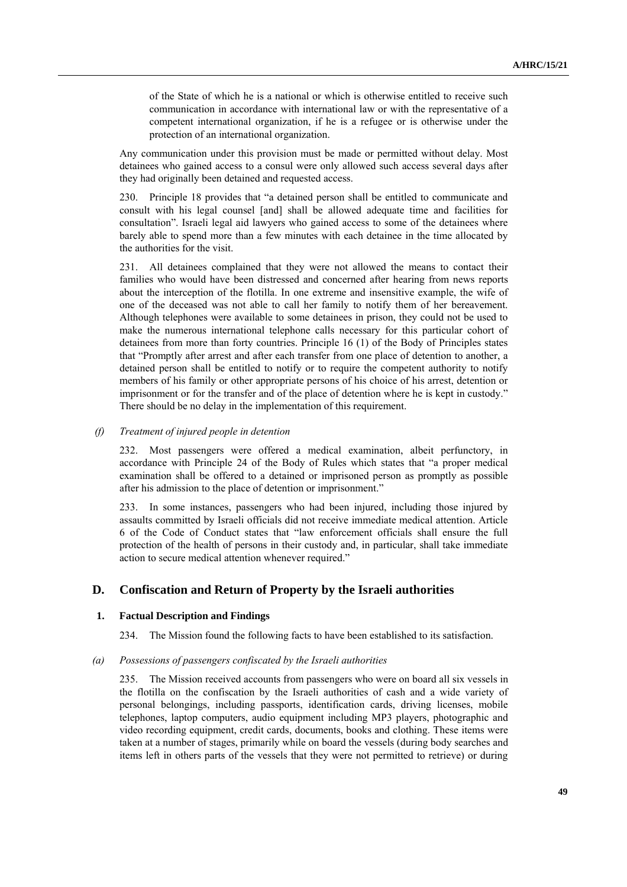of the State of which he is a national or which is otherwise entitled to receive such communication in accordance with international law or with the representative of a competent international organization, if he is a refugee or is otherwise under the protection of an international organization.

Any communication under this provision must be made or permitted without delay. Most detainees who gained access to a consul were only allowed such access several days after they had originally been detained and requested access.

230. Principle 18 provides that "a detained person shall be entitled to communicate and consult with his legal counsel [and] shall be allowed adequate time and facilities for consultation". Israeli legal aid lawyers who gained access to some of the detainees where barely able to spend more than a few minutes with each detainee in the time allocated by the authorities for the visit.

231. All detainees complained that they were not allowed the means to contact their families who would have been distressed and concerned after hearing from news reports about the interception of the flotilla. In one extreme and insensitive example, the wife of one of the deceased was not able to call her family to notify them of her bereavement. Although telephones were available to some detainees in prison, they could not be used to make the numerous international telephone calls necessary for this particular cohort of detainees from more than forty countries. Principle 16 (1) of the Body of Principles states that "Promptly after arrest and after each transfer from one place of detention to another, a detained person shall be entitled to notify or to require the competent authority to notify members of his family or other appropriate persons of his choice of his arrest, detention or imprisonment or for the transfer and of the place of detention where he is kept in custody." There should be no delay in the implementation of this requirement.

# *(f) Treatment of injured people in detention*

232. Most passengers were offered a medical examination, albeit perfunctory, in accordance with Principle 24 of the Body of Rules which states that "a proper medical examination shall be offered to a detained or imprisoned person as promptly as possible after his admission to the place of detention or imprisonment."

233. In some instances, passengers who had been injured, including those injured by assaults committed by Israeli officials did not receive immediate medical attention. Article 6 of the Code of Conduct states that "law enforcement officials shall ensure the full protection of the health of persons in their custody and, in particular, shall take immediate action to secure medical attention whenever required."

# **D. Confiscation and Return of Property by the Israeli authorities**

# **1. Factual Description and Findings**

234. The Mission found the following facts to have been established to its satisfaction.

#### *(a) Possessions of passengers confiscated by the Israeli authorities*

235. The Mission received accounts from passengers who were on board all six vessels in the flotilla on the confiscation by the Israeli authorities of cash and a wide variety of personal belongings, including passports, identification cards, driving licenses, mobile telephones, laptop computers, audio equipment including MP3 players, photographic and video recording equipment, credit cards, documents, books and clothing. These items were taken at a number of stages, primarily while on board the vessels (during body searches and items left in others parts of the vessels that they were not permitted to retrieve) or during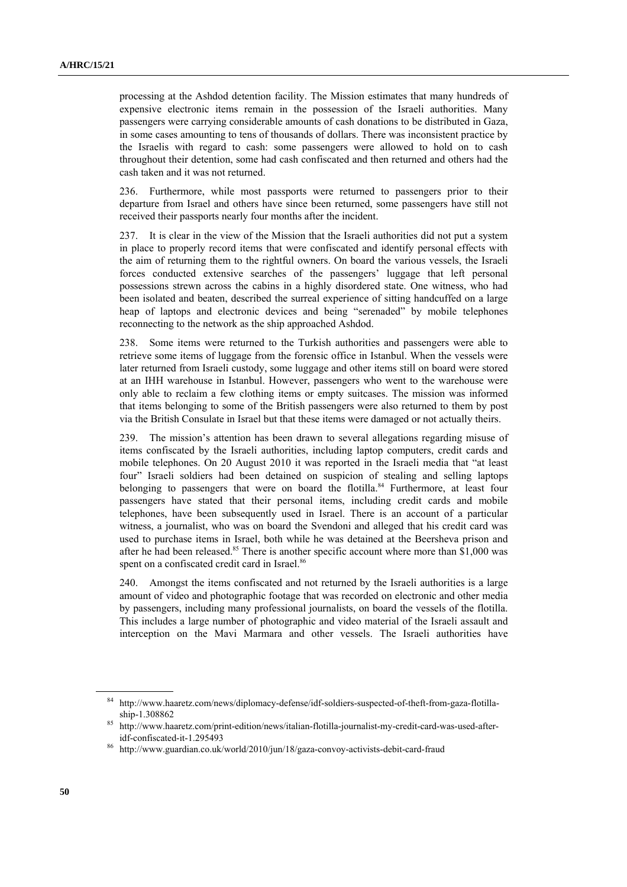processing at the Ashdod detention facility. The Mission estimates that many hundreds of expensive electronic items remain in the possession of the Israeli authorities. Many passengers were carrying considerable amounts of cash donations to be distributed in Gaza, in some cases amounting to tens of thousands of dollars. There was inconsistent practice by the Israelis with regard to cash: some passengers were allowed to hold on to cash throughout their detention, some had cash confiscated and then returned and others had the cash taken and it was not returned.

236. Furthermore, while most passports were returned to passengers prior to their departure from Israel and others have since been returned, some passengers have still not received their passports nearly four months after the incident.

237. It is clear in the view of the Mission that the Israeli authorities did not put a system in place to properly record items that were confiscated and identify personal effects with the aim of returning them to the rightful owners. On board the various vessels, the Israeli forces conducted extensive searches of the passengers' luggage that left personal possessions strewn across the cabins in a highly disordered state. One witness, who had been isolated and beaten, described the surreal experience of sitting handcuffed on a large heap of laptops and electronic devices and being "serenaded" by mobile telephones reconnecting to the network as the ship approached Ashdod.

238. Some items were returned to the Turkish authorities and passengers were able to retrieve some items of luggage from the forensic office in Istanbul. When the vessels were later returned from Israeli custody, some luggage and other items still on board were stored at an IHH warehouse in Istanbul. However, passengers who went to the warehouse were only able to reclaim a few clothing items or empty suitcases. The mission was informed that items belonging to some of the British passengers were also returned to them by post via the British Consulate in Israel but that these items were damaged or not actually theirs.

239. The mission's attention has been drawn to several allegations regarding misuse of items confiscated by the Israeli authorities, including laptop computers, credit cards and mobile telephones. On 20 August 2010 it was reported in the Israeli media that "at least four" Israeli soldiers had been detained on suspicion of stealing and selling laptops belonging to passengers that were on board the flotilla.<sup>84</sup> Furthermore, at least four passengers have stated that their personal items, including credit cards and mobile telephones, have been subsequently used in Israel. There is an account of a particular witness, a journalist, who was on board the Svendoni and alleged that his credit card was used to purchase items in Israel, both while he was detained at the Beersheva prison and after he had been released.<sup>85</sup> There is another specific account where more than \$1,000 was spent on a confiscated credit card in Israel.<sup>86</sup>

240. Amongst the items confiscated and not returned by the Israeli authorities is a large amount of video and photographic footage that was recorded on electronic and other media by passengers, including many professional journalists, on board the vessels of the flotilla. This includes a large number of photographic and video material of the Israeli assault and interception on the Mavi Marmara and other vessels. The Israeli authorities have

<sup>84</sup> http://www.haaretz.com/news/diplomacy-defense/idf-soldiers-suspected-of-theft-from-gaza-flotilla-

ship-1.308862<br>85 http://www.haaretz.com/print-edition/news/italian-flotilla-journalist-my-credit-card-was-used-after-<br>idf-confiscated-it-1.295493

 $66$  http://www.guardian.co.uk/world/2010/jun/18/gaza-convoy-activists-debit-card-fraud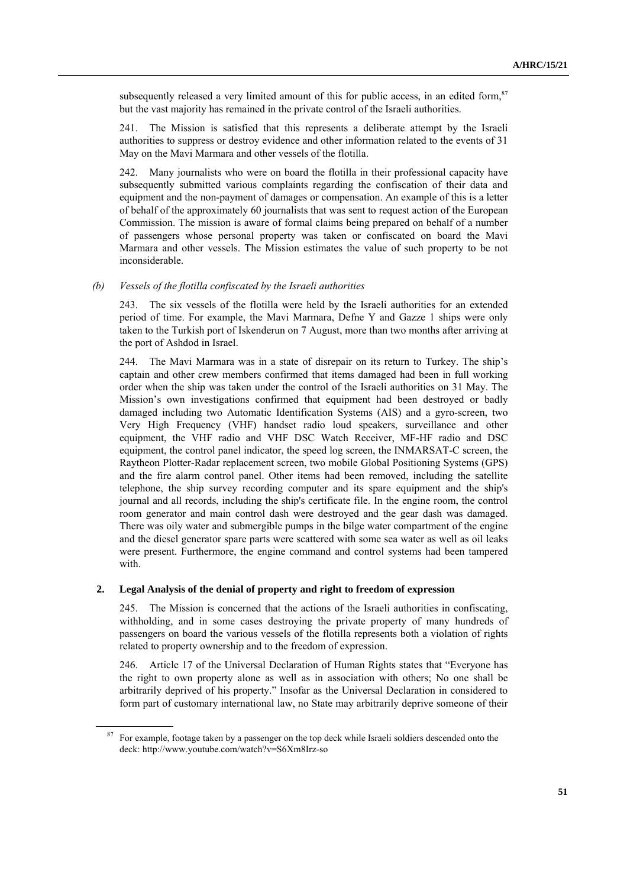subsequently released a very limited amount of this for public access, in an edited form, $87$ but the vast majority has remained in the private control of the Israeli authorities.

241. The Mission is satisfied that this represents a deliberate attempt by the Israeli authorities to suppress or destroy evidence and other information related to the events of 31 May on the Mavi Marmara and other vessels of the flotilla.

242. Many journalists who were on board the flotilla in their professional capacity have subsequently submitted various complaints regarding the confiscation of their data and equipment and the non-payment of damages or compensation. An example of this is a letter of behalf of the approximately 60 journalists that was sent to request action of the European Commission. The mission is aware of formal claims being prepared on behalf of a number of passengers whose personal property was taken or confiscated on board the Mavi Marmara and other vessels. The Mission estimates the value of such property to be not inconsiderable.

# *(b) Vessels of the flotilla confiscated by the Israeli authorities*

243. The six vessels of the flotilla were held by the Israeli authorities for an extended period of time. For example, the Mavi Marmara, Defne Y and Gazze 1 ships were only taken to the Turkish port of Iskenderun on 7 August, more than two months after arriving at the port of Ashdod in Israel.

244. The Mavi Marmara was in a state of disrepair on its return to Turkey. The ship's captain and other crew members confirmed that items damaged had been in full working order when the ship was taken under the control of the Israeli authorities on 31 May. The Mission's own investigations confirmed that equipment had been destroyed or badly damaged including two Automatic Identification Systems (AIS) and a gyro-screen, two Very High Frequency (VHF) handset radio loud speakers, surveillance and other equipment, the VHF radio and VHF DSC Watch Receiver, MF-HF radio and DSC equipment, the control panel indicator, the speed log screen, the INMARSAT-C screen, the Raytheon Plotter-Radar replacement screen, two mobile Global Positioning Systems (GPS) and the fire alarm control panel. Other items had been removed, including the satellite telephone, the ship survey recording computer and its spare equipment and the ship's journal and all records, including the ship's certificate file. In the engine room, the control room generator and main control dash were destroyed and the gear dash was damaged. There was oily water and submergible pumps in the bilge water compartment of the engine and the diesel generator spare parts were scattered with some sea water as well as oil leaks were present. Furthermore, the engine command and control systems had been tampered with.

# **2. Legal Analysis of the denial of property and right to freedom of expression**

245. The Mission is concerned that the actions of the Israeli authorities in confiscating, withholding, and in some cases destroying the private property of many hundreds of passengers on board the various vessels of the flotilla represents both a violation of rights related to property ownership and to the freedom of expression.

246. Article 17 of the Universal Declaration of Human Rights states that "Everyone has the right to own property alone as well as in association with others; No one shall be arbitrarily deprived of his property." Insofar as the Universal Declaration in considered to form part of customary international law, no State may arbitrarily deprive someone of their

<sup>&</sup>lt;sup>87</sup> For example, footage taken by a passenger on the top deck while Israeli soldiers descended onto the deck: http://www.youtube.com/watch?v=S6Xm8Irz-so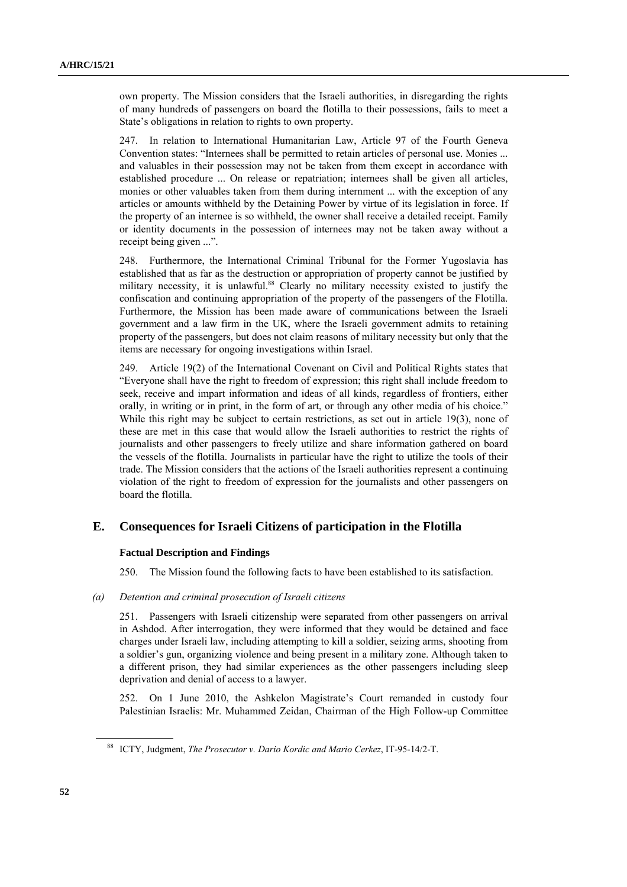own property. The Mission considers that the Israeli authorities, in disregarding the rights of many hundreds of passengers on board the flotilla to their possessions, fails to meet a State's obligations in relation to rights to own property.

247. In relation to International Humanitarian Law, Article 97 of the Fourth Geneva Convention states: "Internees shall be permitted to retain articles of personal use. Monies ... and valuables in their possession may not be taken from them except in accordance with established procedure ... On release or repatriation; internees shall be given all articles, monies or other valuables taken from them during internment ... with the exception of any articles or amounts withheld by the Detaining Power by virtue of its legislation in force. If the property of an internee is so withheld, the owner shall receive a detailed receipt. Family or identity documents in the possession of internees may not be taken away without a receipt being given ...".

248. Furthermore, the International Criminal Tribunal for the Former Yugoslavia has established that as far as the destruction or appropriation of property cannot be justified by military necessity, it is unlawful.<sup>88</sup> Clearly no military necessity existed to justify the confiscation and continuing appropriation of the property of the passengers of the Flotilla. Furthermore, the Mission has been made aware of communications between the Israeli government and a law firm in the UK, where the Israeli government admits to retaining property of the passengers, but does not claim reasons of military necessity but only that the items are necessary for ongoing investigations within Israel.

249. Article 19(2) of the International Covenant on Civil and Political Rights states that "Everyone shall have the right to freedom of expression; this right shall include freedom to seek, receive and impart information and ideas of all kinds, regardless of frontiers, either orally, in writing or in print, in the form of art, or through any other media of his choice." While this right may be subject to certain restrictions, as set out in article 19(3), none of these are met in this case that would allow the Israeli authorities to restrict the rights of journalists and other passengers to freely utilize and share information gathered on board the vessels of the flotilla. Journalists in particular have the right to utilize the tools of their trade. The Mission considers that the actions of the Israeli authorities represent a continuing violation of the right to freedom of expression for the journalists and other passengers on board the flotilla.

# **E. Consequences for Israeli Citizens of participation in the Flotilla**

#### **Factual Description and Findings**

250. The Mission found the following facts to have been established to its satisfaction.

#### *(a) Detention and criminal prosecution of Israeli citizens*

251. Passengers with Israeli citizenship were separated from other passengers on arrival in Ashdod. After interrogation, they were informed that they would be detained and face charges under Israeli law, including attempting to kill a soldier, seizing arms, shooting from a soldier's gun, organizing violence and being present in a military zone. Although taken to a different prison, they had similar experiences as the other passengers including sleep deprivation and denial of access to a lawyer.

252. On 1 June 2010, the Ashkelon Magistrate's Court remanded in custody four Palestinian Israelis: Mr. Muhammed Zeidan, Chairman of the High Follow-up Committee

<sup>88</sup> ICTY, Judgment, *The Prosecutor v. Dario Kordic and Mario Cerkez*, IT-95-14/2-T.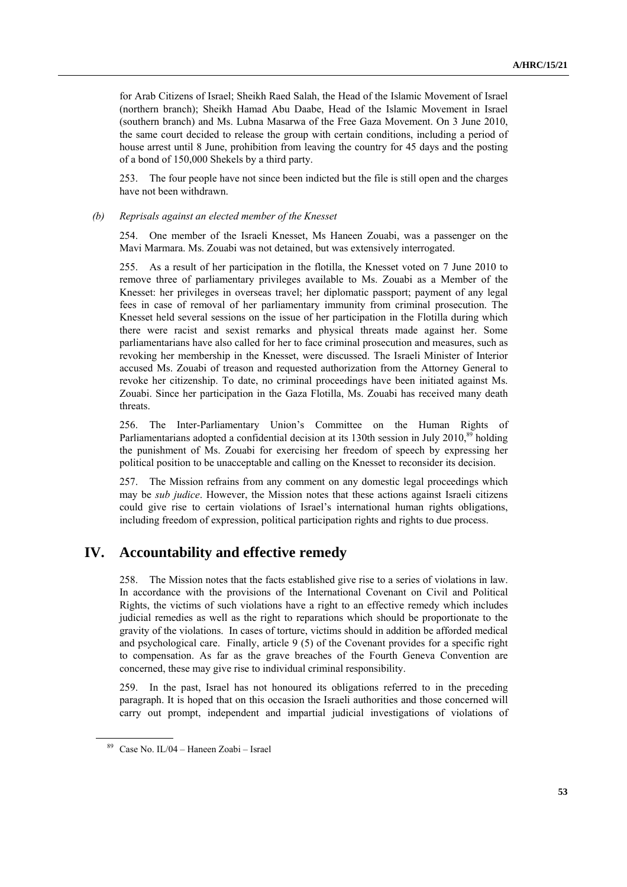for Arab Citizens of Israel; Sheikh Raed Salah, the Head of the Islamic Movement of Israel (northern branch); Sheikh Hamad Abu Daabe, Head of the Islamic Movement in Israel (southern branch) and Ms. Lubna Masarwa of the Free Gaza Movement. On 3 June 2010, the same court decided to release the group with certain conditions, including a period of house arrest until 8 June, prohibition from leaving the country for 45 days and the posting of a bond of 150,000 Shekels by a third party.

253. The four people have not since been indicted but the file is still open and the charges have not been withdrawn.

#### *(b) Reprisals against an elected member of the Knesset*

254. One member of the Israeli Knesset, Ms Haneen Zouabi, was a passenger on the Mavi Marmara. Ms. Zouabi was not detained, but was extensively interrogated.

255. As a result of her participation in the flotilla, the Knesset voted on 7 June 2010 to remove three of parliamentary privileges available to Ms. Zouabi as a Member of the Knesset: her privileges in overseas travel; her diplomatic passport; payment of any legal fees in case of removal of her parliamentary immunity from criminal prosecution. The Knesset held several sessions on the issue of her participation in the Flotilla during which there were racist and sexist remarks and physical threats made against her. Some parliamentarians have also called for her to face criminal prosecution and measures, such as revoking her membership in the Knesset, were discussed. The Israeli Minister of Interior accused Ms. Zouabi of treason and requested authorization from the Attorney General to revoke her citizenship. To date, no criminal proceedings have been initiated against Ms. Zouabi. Since her participation in the Gaza Flotilla, Ms. Zouabi has received many death threats.

256. The Inter-Parliamentary Union's Committee on the Human Rights of Parliamentarians adopted a confidential decision at its 130th session in July 2010, $^{89}$  holding the punishment of Ms. Zouabi for exercising her freedom of speech by expressing her political position to be unacceptable and calling on the Knesset to reconsider its decision.

257. The Mission refrains from any comment on any domestic legal proceedings which may be *sub judice*. However, the Mission notes that these actions against Israeli citizens could give rise to certain violations of Israel's international human rights obligations, including freedom of expression, political participation rights and rights to due process.

# **IV. Accountability and effective remedy**

258. The Mission notes that the facts established give rise to a series of violations in law. In accordance with the provisions of the International Covenant on Civil and Political Rights, the victims of such violations have a right to an effective remedy which includes judicial remedies as well as the right to reparations which should be proportionate to the gravity of the violations. In cases of torture, victims should in addition be afforded medical and psychological care. Finally, article 9 (5) of the Covenant provides for a specific right to compensation. As far as the grave breaches of the Fourth Geneva Convention are concerned, these may give rise to individual criminal responsibility.

259. In the past, Israel has not honoured its obligations referred to in the preceding paragraph. It is hoped that on this occasion the Israeli authorities and those concerned will carry out prompt, independent and impartial judicial investigations of violations of

<sup>89</sup> Case No. IL/04 – Haneen Zoabi – Israel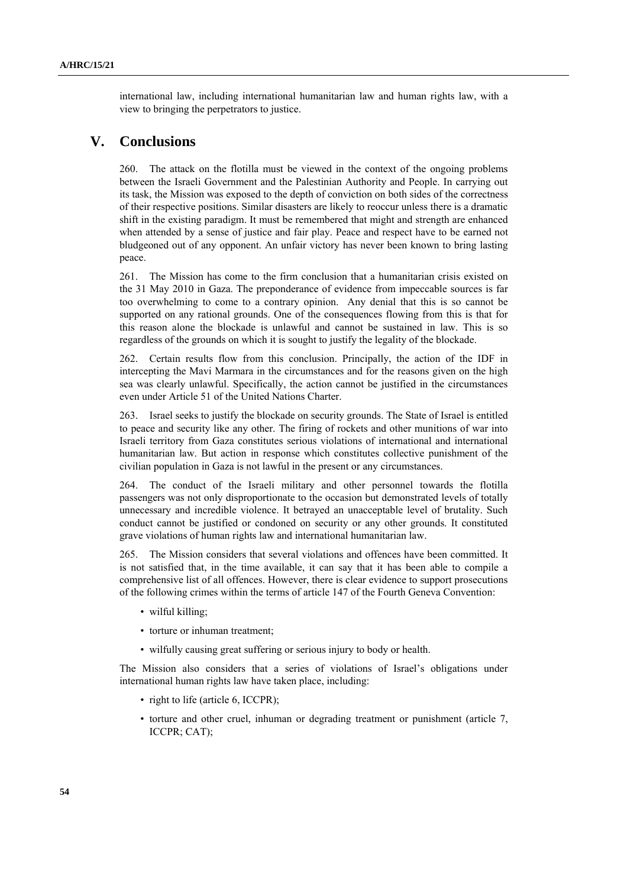international law, including international humanitarian law and human rights law, with a view to bringing the perpetrators to justice.

# **V. Conclusions**

260. The attack on the flotilla must be viewed in the context of the ongoing problems between the Israeli Government and the Palestinian Authority and People. In carrying out its task, the Mission was exposed to the depth of conviction on both sides of the correctness of their respective positions. Similar disasters are likely to reoccur unless there is a dramatic shift in the existing paradigm. It must be remembered that might and strength are enhanced when attended by a sense of justice and fair play. Peace and respect have to be earned not bludgeoned out of any opponent. An unfair victory has never been known to bring lasting peace.

261. The Mission has come to the firm conclusion that a humanitarian crisis existed on the 31 May 2010 in Gaza. The preponderance of evidence from impeccable sources is far too overwhelming to come to a contrary opinion. Any denial that this is so cannot be supported on any rational grounds. One of the consequences flowing from this is that for this reason alone the blockade is unlawful and cannot be sustained in law. This is so regardless of the grounds on which it is sought to justify the legality of the blockade.

262. Certain results flow from this conclusion. Principally, the action of the IDF in intercepting the Mavi Marmara in the circumstances and for the reasons given on the high sea was clearly unlawful. Specifically, the action cannot be justified in the circumstances even under Article 51 of the United Nations Charter.

263. Israel seeks to justify the blockade on security grounds. The State of Israel is entitled to peace and security like any other. The firing of rockets and other munitions of war into Israeli territory from Gaza constitutes serious violations of international and international humanitarian law. But action in response which constitutes collective punishment of the civilian population in Gaza is not lawful in the present or any circumstances.

264. The conduct of the Israeli military and other personnel towards the flotilla passengers was not only disproportionate to the occasion but demonstrated levels of totally unnecessary and incredible violence. It betrayed an unacceptable level of brutality. Such conduct cannot be justified or condoned on security or any other grounds. It constituted grave violations of human rights law and international humanitarian law.

265. The Mission considers that several violations and offences have been committed. It is not satisfied that, in the time available, it can say that it has been able to compile a comprehensive list of all offences. However, there is clear evidence to support prosecutions of the following crimes within the terms of article 147 of the Fourth Geneva Convention:

- wilful killing;
- torture or inhuman treatment;
- wilfully causing great suffering or serious injury to body or health.

The Mission also considers that a series of violations of Israel's obligations under international human rights law have taken place, including:

- right to life (article 6, ICCPR);
- torture and other cruel, inhuman or degrading treatment or punishment (article 7, ICCPR; CAT);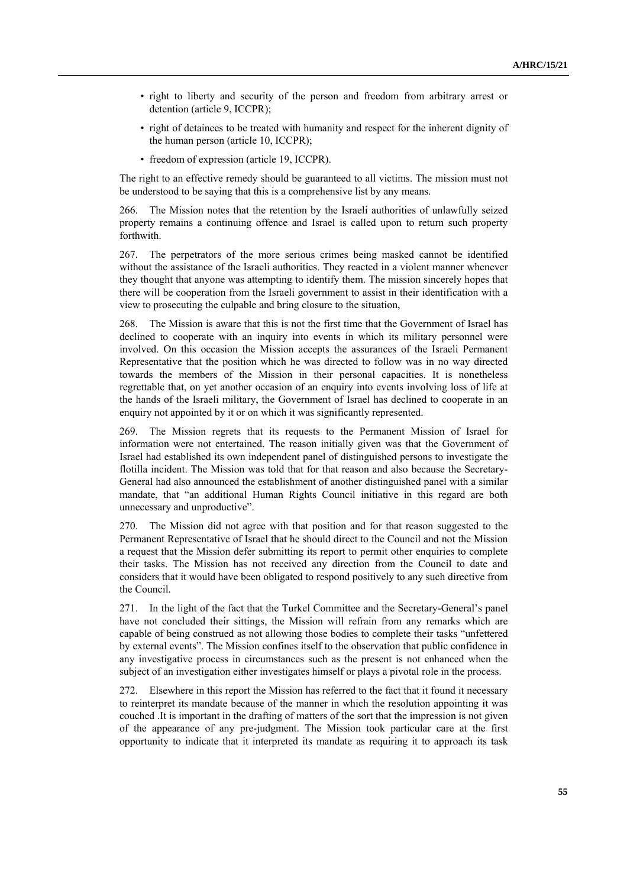- right to liberty and security of the person and freedom from arbitrary arrest or detention (article 9, ICCPR);
- right of detainees to be treated with humanity and respect for the inherent dignity of the human person (article 10, ICCPR);
- freedom of expression (article 19, ICCPR).

The right to an effective remedy should be guaranteed to all victims. The mission must not be understood to be saying that this is a comprehensive list by any means.

266. The Mission notes that the retention by the Israeli authorities of unlawfully seized property remains a continuing offence and Israel is called upon to return such property forthwith.

267. The perpetrators of the more serious crimes being masked cannot be identified without the assistance of the Israeli authorities. They reacted in a violent manner whenever they thought that anyone was attempting to identify them. The mission sincerely hopes that there will be cooperation from the Israeli government to assist in their identification with a view to prosecuting the culpable and bring closure to the situation,

268. The Mission is aware that this is not the first time that the Government of Israel has declined to cooperate with an inquiry into events in which its military personnel were involved. On this occasion the Mission accepts the assurances of the Israeli Permanent Representative that the position which he was directed to follow was in no way directed towards the members of the Mission in their personal capacities. It is nonetheless regrettable that, on yet another occasion of an enquiry into events involving loss of life at the hands of the Israeli military, the Government of Israel has declined to cooperate in an enquiry not appointed by it or on which it was significantly represented.

269. The Mission regrets that its requests to the Permanent Mission of Israel for information were not entertained. The reason initially given was that the Government of Israel had established its own independent panel of distinguished persons to investigate the flotilla incident. The Mission was told that for that reason and also because the Secretary-General had also announced the establishment of another distinguished panel with a similar mandate, that "an additional Human Rights Council initiative in this regard are both unnecessary and unproductive".

270. The Mission did not agree with that position and for that reason suggested to the Permanent Representative of Israel that he should direct to the Council and not the Mission a request that the Mission defer submitting its report to permit other enquiries to complete their tasks. The Mission has not received any direction from the Council to date and considers that it would have been obligated to respond positively to any such directive from the Council.

271. In the light of the fact that the Turkel Committee and the Secretary-General's panel have not concluded their sittings, the Mission will refrain from any remarks which are capable of being construed as not allowing those bodies to complete their tasks "unfettered by external events". The Mission confines itself to the observation that public confidence in any investigative process in circumstances such as the present is not enhanced when the subject of an investigation either investigates himself or plays a pivotal role in the process.

272. Elsewhere in this report the Mission has referred to the fact that it found it necessary to reinterpret its mandate because of the manner in which the resolution appointing it was couched .It is important in the drafting of matters of the sort that the impression is not given of the appearance of any pre-judgment. The Mission took particular care at the first opportunity to indicate that it interpreted its mandate as requiring it to approach its task